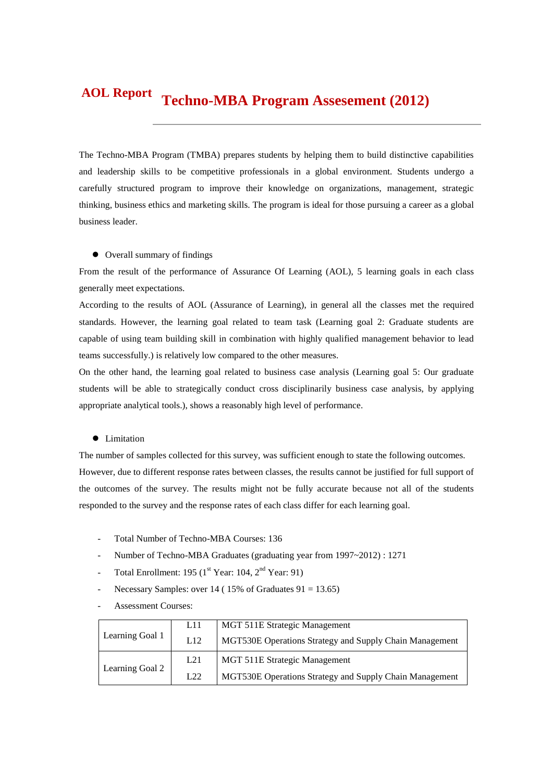#### **Techno-MBA Program Assesement (2012) AOL Report**

The Techno-MBA Program (TMBA) prepares students by helping them to build distinctive capabilities and leadership skills to be competitive professionals in a global environment. Students undergo a carefully structured program to improve their knowledge on organizations, management, strategic thinking, business ethics and marketing skills. The program is ideal for those pursuing a career as a global business leader.

#### Overall summary of findings

From the result of the performance of Assurance Of Learning (AOL), 5 learning goals in each class generally meet expectations.

According to the results of AOL (Assurance of Learning), in general all the classes met the required standards. However, the learning goal related to team task (Learning goal 2: Graduate students are capable of using team building skill in combination with highly qualified management behavior to lead teams successfully.) is relatively low compared to the other measures.

On the other hand, the learning goal related to business case analysis (Learning goal 5: Our graduate students will be able to strategically conduct cross disciplinarily business case analysis, by applying appropriate analytical tools.), shows a reasonably high level of performance.

#### • Limitation

The number of samples collected for this survey, was sufficient enough to state the following outcomes. However, due to different response rates between classes, the results cannot be justified for full support of the outcomes of the survey. The results might not be fully accurate because not all of the students responded to the survey and the response rates of each class differ for each learning goal.

- Total Number of Techno-MBA Courses: 136
- Number of Techno-MBA Graduates (graduating year from 1997~2012) : 1271
- Total Enrollment: 195 ( $1<sup>st</sup>$  Year: 104,  $2<sup>nd</sup>$  Year: 91)
- Necessary Samples: over 14 (  $15\%$  of Graduates  $91 = 13.65$ )
- Assessment Courses:

|                 | L <sub>11</sub> | MGT 511E Strategic Management                           |
|-----------------|-----------------|---------------------------------------------------------|
| Learning Goal 1 | L12             | MGT530E Operations Strategy and Supply Chain Management |
|                 | L21             | MGT 511E Strategic Management                           |
| Learning Goal 2 | L22             | MGT530E Operations Strategy and Supply Chain Management |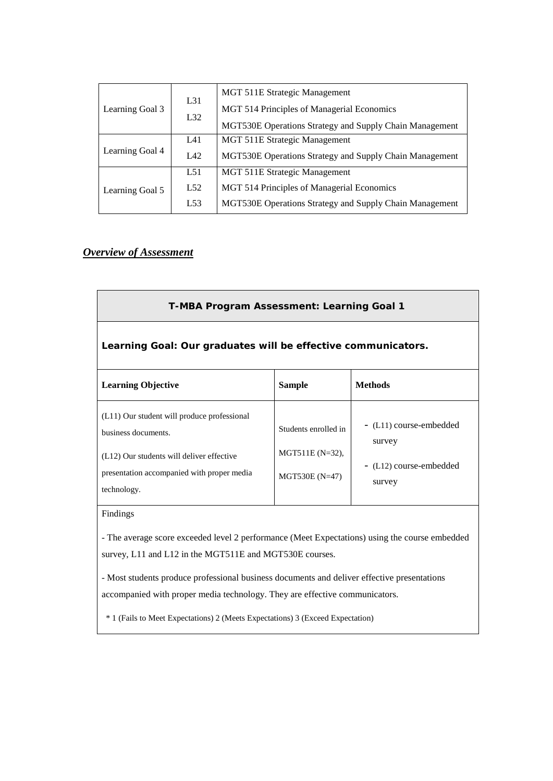|                 | L31 | MGT 511E Strategic Management                           |
|-----------------|-----|---------------------------------------------------------|
| Learning Goal 3 | L32 | MGT 514 Principles of Managerial Economics              |
|                 |     | MGT530E Operations Strategy and Supply Chain Management |
|                 | L41 | MGT 511E Strategic Management                           |
| Learning Goal 4 | IA2 | MGT530E Operations Strategy and Supply Chain Management |
|                 | L51 | MGT 511E Strategic Management                           |
| Learning Goal 5 | L52 | MGT 514 Principles of Managerial Economics              |
|                 | L53 | MGT530E Operations Strategy and Supply Chain Management |

# *Overview of Assessment*

| T-MBA Program Assessment: Learning Goal 1                                                                                                                                    |                                                                |                                                                        |  |  |  |  |  |
|------------------------------------------------------------------------------------------------------------------------------------------------------------------------------|----------------------------------------------------------------|------------------------------------------------------------------------|--|--|--|--|--|
| Learning Goal: Our graduates will be effective communicators.                                                                                                                |                                                                |                                                                        |  |  |  |  |  |
| <b>Learning Objective</b>                                                                                                                                                    | <b>Sample</b>                                                  | <b>Methods</b>                                                         |  |  |  |  |  |
| (L11) Our student will produce professional<br>business documents.<br>(L12) Our students will deliver effective<br>presentation accompanied with proper media<br>technology. | Students enrolled in<br>$MGT511E (N=32)$ ,<br>$MGT530E (N=47)$ | - (L11) course-embedded<br>survey<br>- (L12) course-embedded<br>survey |  |  |  |  |  |

Findings

- The average score exceeded level 2 performance (Meet Expectations) using the course embedded survey, L11 and L12 in the MGT511E and MGT530E courses.

- Most students produce professional business documents and deliver effective presentations accompanied with proper media technology. They are effective communicators.

\* 1 (Fails to Meet Expectations) 2 (Meets Expectations) 3 (Exceed Expectation)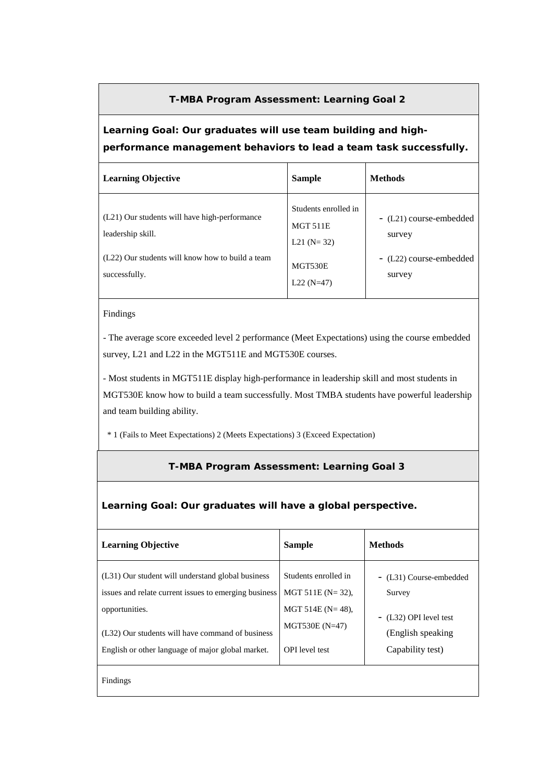### **T-MBA Program Assessment: Learning Goal 2**

# **Learning Goal: Our graduates will use team building and highperformance management behaviors to lead a team task successfully.**

| <b>Learning Objective</b>                                                                                                               | <b>Sample</b>                                                                         | <b>Methods</b>                                                         |
|-----------------------------------------------------------------------------------------------------------------------------------------|---------------------------------------------------------------------------------------|------------------------------------------------------------------------|
| (L21) Our students will have high-performance<br>leadership skill.<br>(L22) Our students will know how to build a team<br>successfully. | Students enrolled in<br><b>MGT 511E</b><br>L21 ( $N = 32$ )<br>MGT530E<br>$L22(N=47)$ | - (L21) course-embedded<br>survey<br>- (L22) course-embedded<br>survey |

#### Findings

- The average score exceeded level 2 performance (Meet Expectations) using the course embedded survey, L21 and L22 in the MGT511E and MGT530E courses.

- Most students in MGT511E display high-performance in leadership skill and most students in MGT530E know how to build a team successfully. Most TMBA students have powerful leadership and team building ability.

\* 1 (Fails to Meet Expectations) 2 (Meets Expectations) 3 (Exceed Expectation)

### **T-MBA Program Assessment: Learning Goal 3**

### **Learning Goal: Our graduates will have a global perspective.**

| <b>Learning Objective</b>                                                                                                                                                                                                             | <b>Sample</b>                                                                                                         | <b>Methods</b>                                                                                        |
|---------------------------------------------------------------------------------------------------------------------------------------------------------------------------------------------------------------------------------------|-----------------------------------------------------------------------------------------------------------------------|-------------------------------------------------------------------------------------------------------|
| (L31) Our student will understand global business<br>issues and relate current issues to emerging business<br>opportunities.<br>(L32) Our students will have command of business<br>English or other language of major global market. | Students enrolled in<br>MGT 511E ( $N = 32$ ),<br>MGT 514E ( $N = 48$ ),<br>$MGT530E (N=47)$<br><b>OPI</b> level test | - (L31) Course-embedded<br>Survey<br>- (L32) OPI level test<br>(English speaking)<br>Capability test) |
| Findings                                                                                                                                                                                                                              |                                                                                                                       |                                                                                                       |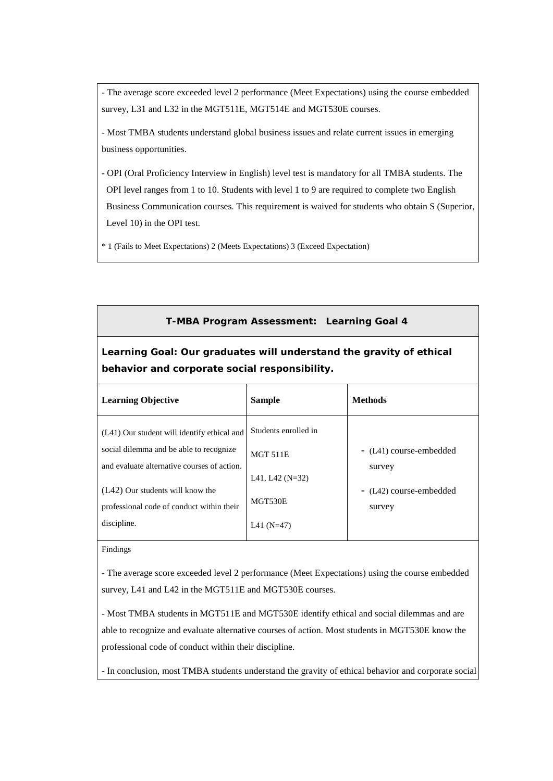- The average score exceeded level 2 performance (Meet Expectations) using the course embedded survey, L31 and L32 in the MGT511E, MGT514E and MGT530E courses.

- Most TMBA students understand global business issues and relate current issues in emerging business opportunities.

- OPI (Oral Proficiency Interview in English) level test is mandatory for all TMBA students. The OPI level ranges from 1 to 10. Students with level 1 to 9 are required to complete two English Business Communication courses. This requirement is waived for students who obtain S (Superior, Level 10) in the OPI test.

\* 1 (Fails to Meet Expectations) 2 (Meets Expectations) 3 (Exceed Expectation)

### **T-MBA Program Assessment: Learning Goal 4**

# **Learning Goal: Our graduates will understand the gravity of ethical behavior and corporate social responsibility.**

| <b>Learning Objective</b>                                                              | <b>Sample</b>                                       | <b>Methods</b>                    |
|----------------------------------------------------------------------------------------|-----------------------------------------------------|-----------------------------------|
| (L41) Our student will identify ethical and                                            | Students enrolled in                                |                                   |
| social dilemma and be able to recognize<br>and evaluate alternative courses of action. | <b>MGT 511E</b>                                     | - (L41) course-embedded<br>survey |
| $(L42)$ Our students will know the<br>professional code of conduct within their        | L <sub>41</sub> , L <sub>42</sub> (N=32)<br>MGT530E | - (L42) course-embedded<br>survey |
| discipline.                                                                            | L41 (N=47)                                          |                                   |

Findings

- The average score exceeded level 2 performance (Meet Expectations) using the course embedded survey, L41 and L42 in the MGT511E and MGT530E courses.

- Most TMBA students in MGT511E and MGT530E identify ethical and social dilemmas and are able to recognize and evaluate alternative courses of action. Most students in MGT530E know the professional code of conduct within their discipline.

- In conclusion, most TMBA students understand the gravity of ethical behavior and corporate social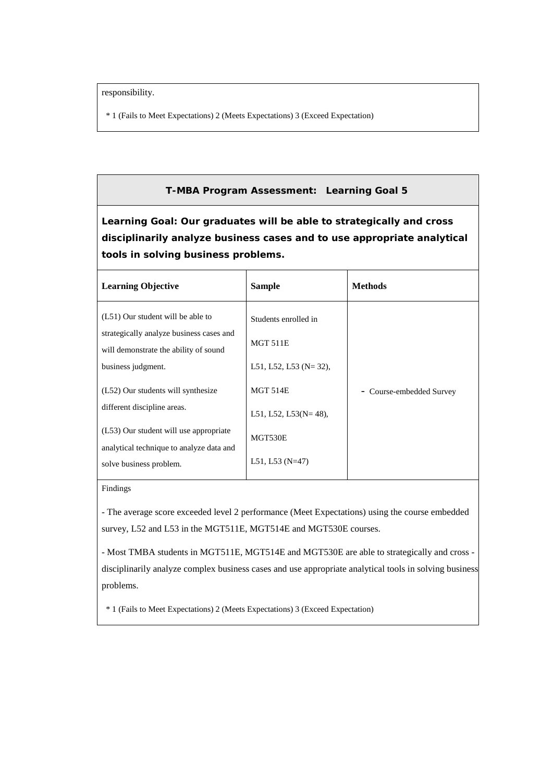responsibility.

\* 1 (Fails to Meet Expectations) 2 (Meets Expectations) 3 (Exceed Expectation)

### **T-MBA Program Assessment: Learning Goal 5**

**Learning Goal: Our graduates will be able to strategically and cross disciplinarily analyze business cases and to use appropriate analytical tools in solving business problems.**

| <b>Learning Objective</b>                                                                                                                    | <b>Sample</b>                                                          | <b>Methods</b>              |
|----------------------------------------------------------------------------------------------------------------------------------------------|------------------------------------------------------------------------|-----------------------------|
| (L51) Our student will be able to<br>strategically analyze business cases and<br>will demonstrate the ability of sound<br>business judgment. | Students enrolled in<br><b>MGT 511E</b><br>L51, L52, L53 ( $N = 32$ ), |                             |
| (L52) Our students will synthesize                                                                                                           | <b>MGT 514E</b>                                                        | Course-embedded Survey<br>- |
| different discipline areas.                                                                                                                  | L51, L52, L53( $N = 48$ ),                                             |                             |
| (L53) Our student will use appropriate<br>analytical technique to analyze data and                                                           | MGT530E                                                                |                             |
| solve business problem.                                                                                                                      | L51, L53 $(N=47)$                                                      |                             |

#### Findings

- The average score exceeded level 2 performance (Meet Expectations) using the course embedded survey, L52 and L53 in the MGT511E, MGT514E and MGT530E courses.

- Most TMBA students in MGT511E, MGT514E and MGT530E are able to strategically and cross disciplinarily analyze complex business cases and use appropriate analytical tools in solving business problems.

\* 1 (Fails to Meet Expectations) 2 (Meets Expectations) 3 (Exceed Expectation)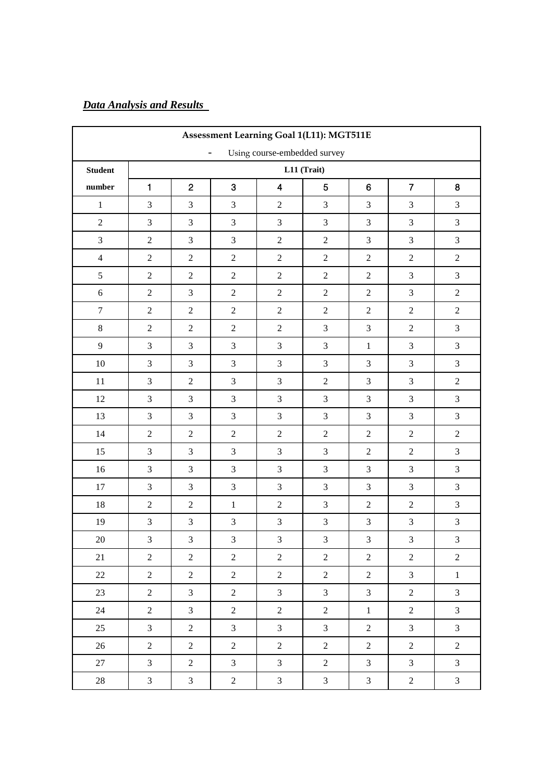# *Data Analysis and Results*

| Assessment Learning Goal 1(L11): MGT511E                 |                             |                |                |                         |                             |                  |                  |                             |  |
|----------------------------------------------------------|-----------------------------|----------------|----------------|-------------------------|-----------------------------|------------------|------------------|-----------------------------|--|
| Using course-embedded survey<br>$\overline{\phantom{a}}$ |                             |                |                |                         |                             |                  |                  |                             |  |
| <b>Student</b>                                           | L11 (Trait)                 |                |                |                         |                             |                  |                  |                             |  |
| $\quad$ number                                           | $\mathbf{1}$                | $\overline{2}$ | 3              | $\overline{\mathbf{4}}$ | 5                           | $\boldsymbol{6}$ | $\overline{7}$   | 8                           |  |
| $\,1\,$                                                  | $\mathfrak{Z}$              | $\mathfrak{Z}$ | $\mathfrak{Z}$ | $\sqrt{2}$              | $\mathfrak{Z}$              | 3                | $\mathfrak{Z}$   | $\mathfrak{Z}$              |  |
| $\overline{2}$                                           | $\mathfrak{Z}$              | $\overline{3}$ | 3              | 3                       | $\mathfrak{Z}$              | 3                | $\mathfrak{Z}$   | $\mathfrak{Z}$              |  |
| $\overline{3}$                                           | $\sqrt{2}$                  | $\overline{3}$ | $\mathfrak{Z}$ | $\overline{c}$          | $\sqrt{2}$                  | $\mathfrak{Z}$   | $\overline{3}$   | $\mathfrak{Z}$              |  |
| $\overline{4}$                                           | $\sqrt{2}$                  | $\overline{2}$ | $\sqrt{2}$     | $\overline{c}$          | $\sqrt{2}$                  | $\sqrt{2}$       | $\overline{c}$   | $\sqrt{2}$                  |  |
| 5                                                        | $\overline{2}$              | $\overline{2}$ | $\overline{2}$ | $\overline{2}$          | $\overline{2}$              | $\overline{2}$   | 3                | $\mathfrak{Z}$              |  |
| $\sqrt{6}$                                               | $\sqrt{2}$                  | $\overline{3}$ | $\overline{2}$ | $\overline{c}$          | $\sqrt{2}$                  | $\sqrt{2}$       | $\overline{3}$   | $\sqrt{2}$                  |  |
| $\boldsymbol{7}$                                         | $\sqrt{2}$                  | $\sqrt{2}$     | $\overline{2}$ | $\sqrt{2}$              | $\sqrt{2}$                  | $\overline{2}$   | $\overline{c}$   | $\sqrt{2}$                  |  |
| $\,8\,$                                                  | $\sqrt{2}$                  | $\overline{2}$ | $\overline{2}$ | $\sqrt{2}$              | $\overline{3}$              | 3                | $\overline{2}$   | $\mathfrak{Z}$              |  |
| 9                                                        | $\mathfrak{Z}$              | $\mathfrak{Z}$ | $\mathfrak{Z}$ | 3                       | $\mathfrak{Z}$              | $\,1\,$          | 3                | $\mathfrak{Z}$              |  |
| $10\,$                                                   | $\mathfrak{Z}$              | $\overline{3}$ | $\mathfrak{Z}$ | 3                       | $\mathfrak{Z}$              | 3                | 3                | $\mathfrak{Z}$              |  |
| $11\,$                                                   | $\mathfrak{Z}$              | $\overline{2}$ | $\mathfrak{Z}$ | 3                       | $\sqrt{2}$                  | 3                | 3                | $\sqrt{2}$                  |  |
| 12                                                       | $\mathfrak{Z}$              | $\overline{3}$ | $\mathfrak{Z}$ | 3                       | $\overline{3}$              | 3                | 3                | $\mathfrak{Z}$              |  |
| 13                                                       | $\ensuremath{\mathfrak{Z}}$ | $\mathfrak{Z}$ | $\mathfrak{Z}$ | 3                       | $\mathfrak{Z}$              | $\mathfrak{Z}$   | 3                | $\ensuremath{\mathfrak{Z}}$ |  |
| 14                                                       | $\sqrt{2}$                  | $\overline{2}$ | $\sqrt{2}$     | $\overline{c}$          | $\sqrt{2}$                  | $\sqrt{2}$       | $\overline{c}$   | $\sqrt{2}$                  |  |
| 15                                                       | $\mathfrak{Z}$              | $\mathfrak{Z}$ | $\mathfrak{Z}$ | 3                       | $\mathfrak{Z}$              | $\sqrt{2}$       | $\overline{c}$   | $\ensuremath{\mathfrak{Z}}$ |  |
| 16                                                       | $\ensuremath{\mathfrak{Z}}$ | $\mathfrak{Z}$ | $\mathfrak{Z}$ | 3                       | $\ensuremath{\mathfrak{Z}}$ | 3                | 3                | $\ensuremath{\mathfrak{Z}}$ |  |
| $17\,$                                                   | $\mathfrak{Z}$              | $\overline{3}$ | $\overline{3}$ | 3                       | 3                           | 3                | 3                | $\mathfrak{Z}$              |  |
| $18\,$                                                   | $\sqrt{2}$                  | $\sqrt{2}$     | $1\,$          | $\overline{c}$          | $\mathfrak{Z}$              | $\sqrt{2}$       | $\overline{c}$   | $\mathfrak 3$               |  |
| 19                                                       | $\ensuremath{\mathfrak{Z}}$ | $\mathfrak 3$  | $\mathfrak{Z}$ | $\mathfrak{Z}$          | $\ensuremath{\mathfrak{Z}}$ | $\mathfrak{Z}$   | $\mathfrak{Z}$   | $\sqrt{3}$                  |  |
| $20\,$                                                   | $\overline{3}$              | $\mathfrak{Z}$ | $\mathfrak{Z}$ | 3                       | $\mathfrak{Z}$              | 3                | $\mathfrak{Z}$   | 3                           |  |
| 21                                                       | $\overline{2}$              | $\overline{2}$ | $\overline{2}$ | $\overline{2}$          | $\sqrt{2}$                  | $\sqrt{2}$       | $\overline{c}$   | $\sqrt{2}$                  |  |
| 22                                                       | $\overline{2}$              | $\overline{2}$ | $\overline{2}$ | $\overline{c}$          | $\sqrt{2}$                  | $\boldsymbol{2}$ | $\overline{3}$   | $\,1\,$                     |  |
| 23                                                       | $\overline{2}$              | $\mathfrak{Z}$ | $\overline{2}$ | $\overline{3}$          | $\overline{3}$              | $\mathfrak{Z}$   | $\overline{2}$   | $\mathfrak{Z}$              |  |
| $24\,$                                                   | $\overline{c}$              | $\mathfrak{Z}$ | $\sqrt{2}$     | $\overline{c}$          | $\sqrt{2}$                  | $\,1$            | $\sqrt{2}$       | $\mathfrak{Z}$              |  |
| 25                                                       | $\mathfrak{Z}$              | $\overline{c}$ | $\mathfrak{Z}$ | $\overline{3}$          | $\mathfrak 3$               | $\boldsymbol{2}$ | $\overline{3}$   | $\mathfrak{Z}$              |  |
| 26                                                       | $\boldsymbol{2}$            | $\overline{2}$ | $\overline{2}$ | $\overline{2}$          | $\boldsymbol{2}$            | $\boldsymbol{2}$ | $\boldsymbol{2}$ | $\boldsymbol{2}$            |  |
| $27\,$                                                   | $\mathfrak{Z}$              | $\overline{c}$ | $\mathfrak{Z}$ | $\mathfrak{Z}$          | $\sqrt{2}$                  | $\overline{3}$   | $\mathfrak{Z}$   | $\mathfrak{Z}$              |  |
| 28                                                       | $\mathfrak{Z}$              | $\mathfrak{Z}$ | $\overline{2}$ | $\mathfrak{Z}$          | $\mathfrak{Z}$              | $\mathfrak{Z}$   | $\overline{2}$   | $\mathfrak{Z}$              |  |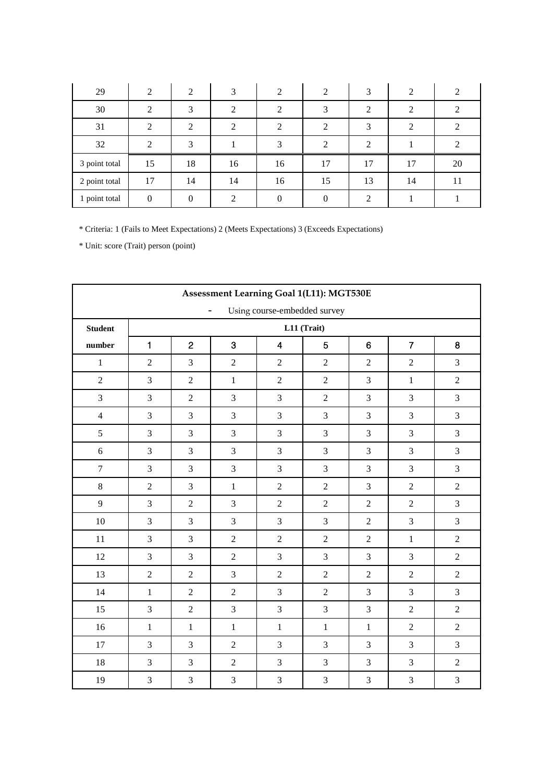| 29            | 2             | 2        | 3                           | 2  | $\overline{2}$ | 3              | 2  | 2                           |
|---------------|---------------|----------|-----------------------------|----|----------------|----------------|----|-----------------------------|
| 30            | ∍<br>∠        | 3        | ◠                           | 2  | 3              | 2              | 2  | 2                           |
| 31            | 2             | 2        | $\mathcal{D}_{\mathcal{L}}$ | 2  | 2              | 3              | 2  | $\mathcal{D}_{\mathcal{L}}$ |
| 32            | $\mathcal{D}$ | 3        |                             | 3  | $\mathcal{D}$  | $\overline{2}$ |    |                             |
| 3 point total | 15            | 18       | 16                          | 16 | 17             | 17             | 17 | 20                          |
| 2 point total | 17            | 14       | 14                          | 16 | 15             | 13             | 14 | 11                          |
| 1 point total | $\theta$      | $\Omega$ | ◠                           |    |                | ↑              |    |                             |

|                                                | Assessment Learning Goal 1(L11): MGT530E |                |                |                |                |                |                |                |  |
|------------------------------------------------|------------------------------------------|----------------|----------------|----------------|----------------|----------------|----------------|----------------|--|
| Using course-embedded survey<br>$\blacksquare$ |                                          |                |                |                |                |                |                |                |  |
| <b>Student</b>                                 |                                          |                |                |                | L11 (Trait)    |                |                |                |  |
| number                                         | $\mathbf{1}$                             | $\overline{2}$ | 3              | 4              | 5              | $6\phantom{1}$ | $\overline{7}$ | 8              |  |
| $\mathbf{1}$                                   | $\overline{2}$                           | $\overline{3}$ | $\overline{2}$ | $\overline{2}$ | $\overline{2}$ | $\overline{2}$ | $\overline{2}$ | 3              |  |
| $\sqrt{2}$                                     | 3                                        | $\overline{2}$ | $\mathbf{1}$   | $\overline{c}$ | $\sqrt{2}$     | 3              | $\mathbf{1}$   | $\sqrt{2}$     |  |
| $\overline{3}$                                 | 3                                        | $\overline{2}$ | $\overline{3}$ | 3              | $\overline{2}$ | $\overline{3}$ | 3              | 3              |  |
| $\overline{4}$                                 | $\mathfrak{Z}$                           | $\overline{3}$ | $\overline{3}$ | 3              | $\overline{3}$ | 3              | 3              | $\mathfrak{Z}$ |  |
| 5                                              | 3                                        | $\overline{3}$ | 3              | 3              | 3              | 3              | 3              | $\mathfrak{Z}$ |  |
| 6                                              | $\mathfrak{Z}$                           | $\overline{3}$ | $\overline{3}$ | 3              | $\mathfrak{Z}$ | 3              | 3              | $\mathfrak{Z}$ |  |
| $\overline{7}$                                 | 3                                        | $\overline{3}$ | $\overline{3}$ | 3              | $\overline{3}$ | 3              | 3              | 3              |  |
| $8\,$                                          | $\sqrt{2}$                               | $\overline{3}$ | $\mathbf{1}$   | $\overline{c}$ | $\sqrt{2}$     | 3              | $\overline{c}$ | $\sqrt{2}$     |  |
| 9                                              | 3                                        | $\overline{2}$ | $\overline{3}$ | $\overline{2}$ | $\overline{2}$ | $\overline{2}$ | $\overline{2}$ | $\mathfrak{Z}$ |  |
| $10\,$                                         | $\overline{3}$                           | $\overline{3}$ | $\overline{3}$ | $\overline{3}$ | $\overline{3}$ | $\overline{2}$ | 3              | 3              |  |
| 11                                             | 3                                        | $\overline{3}$ | $\overline{2}$ | $\overline{c}$ | $\sqrt{2}$     | $\overline{2}$ | $\mathbf{1}$   | $\sqrt{2}$     |  |
| 12                                             | $\overline{3}$                           | $\overline{3}$ | $\overline{2}$ | $\overline{3}$ | $\overline{3}$ | 3              | $\overline{3}$ | $\sqrt{2}$     |  |
| 13                                             | $\sqrt{2}$                               | $\overline{2}$ | $\overline{3}$ | $\overline{c}$ | $\overline{2}$ | $\overline{2}$ | $\overline{2}$ | $\sqrt{2}$     |  |
| 14                                             | $\mathbf{1}$                             | $\overline{2}$ | $\overline{2}$ | 3              | $\overline{2}$ | 3              | 3              | 3              |  |
| 15                                             | 3                                        | $\overline{2}$ | $\overline{3}$ | $\overline{3}$ | $\overline{3}$ | $\overline{3}$ | $\overline{2}$ | $\overline{2}$ |  |
| 16                                             | $\mathbf 1$                              | $\,1\,$        | $\mathbf{1}$   | $\,1\,$        | $\,1$          | $\,1\,$        | $\overline{2}$ | $\sqrt{2}$     |  |
| 17                                             | 3                                        | $\overline{3}$ | $\overline{2}$ | 3              | 3              | 3              | $\overline{3}$ | 3              |  |
| $18\,$                                         | 3                                        | $\overline{3}$ | $\overline{2}$ | $\overline{3}$ | $\overline{3}$ | 3              | $\overline{3}$ | $\sqrt{2}$     |  |
| 19                                             | $\overline{3}$                           | $\overline{3}$ | 3              | $\mathfrak{Z}$ | $\overline{3}$ | 3              | 3              | $\overline{3}$ |  |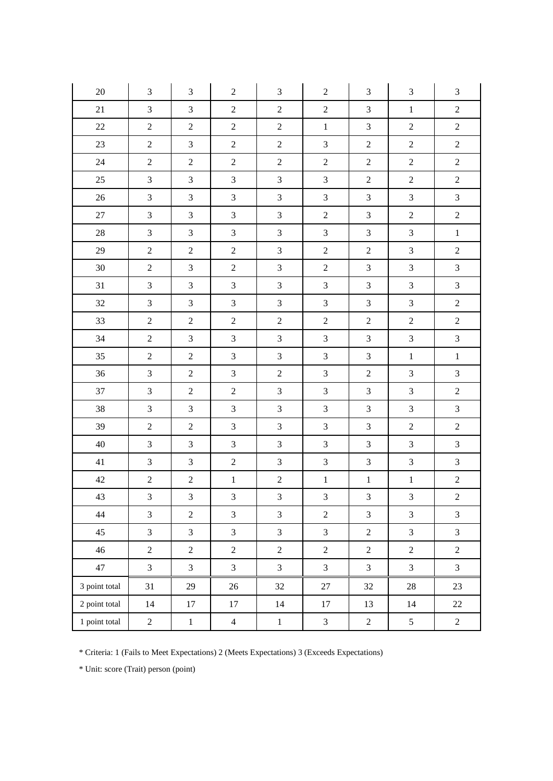| $20\,$        | $\mathfrak{Z}$ | 3                       | $\boldsymbol{2}$        | 3                | $\sqrt{2}$                  | $\mathfrak{Z}$              | $\mathfrak{Z}$              | $\mathfrak{Z}$   |
|---------------|----------------|-------------------------|-------------------------|------------------|-----------------------------|-----------------------------|-----------------------------|------------------|
| 21            | $\overline{3}$ | 3                       | $\sqrt{2}$              | $\sqrt{2}$       | $\sqrt{2}$                  | $\mathfrak{Z}$              | $\,1$                       | $\boldsymbol{2}$ |
| $22\,$        | $\sqrt{2}$     | $\mathbf{2}$            | $\sqrt{2}$              | $\boldsymbol{2}$ | $\,1\,$                     | $\ensuremath{\mathfrak{Z}}$ | $\sqrt{2}$                  | $\sqrt{2}$       |
| $23\,$        | $\overline{c}$ | 3                       | $\overline{2}$          | $\overline{c}$   | $\overline{3}$              | $\sqrt{2}$                  | $\sqrt{2}$                  | $\sqrt{2}$       |
| 24            | $\overline{c}$ | $\sqrt{2}$              | $\sqrt{2}$              | $\sqrt{2}$       | $\sqrt{2}$                  | $\boldsymbol{2}$            | $\sqrt{2}$                  | $\sqrt{2}$       |
| 25            | $\overline{3}$ | 3                       | $\mathfrak{Z}$          | $\mathfrak{Z}$   | $\mathfrak{Z}$              | $\boldsymbol{2}$            | $\sqrt{2}$                  | $\sqrt{2}$       |
| $26\,$        | $\mathfrak{Z}$ | $\mathfrak{Z}$          | $\mathfrak{Z}$          | $\mathfrak{Z}$   | $\mathfrak 3$               | $\sqrt{3}$                  | $\sqrt{3}$                  | $\mathfrak{Z}$   |
| $27\,$        | $\mathfrak{Z}$ | 3                       | $\mathfrak{Z}$          | $\mathfrak{Z}$   | $\sqrt{2}$                  | $\mathfrak{Z}$              | $\sqrt{2}$                  | $\boldsymbol{2}$ |
| $28\,$        | $\overline{3}$ | 3                       | $\mathfrak{Z}$          | $\mathfrak{Z}$   | $\sqrt{3}$                  | $\mathfrak{Z}$              | $\sqrt{3}$                  | $\mathbf 1$      |
| $29\,$        | $\overline{c}$ | $\overline{c}$          | $\overline{2}$          | 3                | $\sqrt{2}$                  | $\sqrt{2}$                  | $\mathfrak{Z}$              | $\overline{2}$   |
| 30            | $\overline{c}$ | 3                       | $\sqrt{2}$              | $\overline{3}$   | $\sqrt{2}$                  | $\mathfrak{Z}$              | $\mathfrak{Z}$              | $\mathfrak{Z}$   |
| 31            | $\mathfrak{Z}$ | $\mathfrak{Z}$          | $\mathfrak{Z}$          | $\mathfrak{Z}$   | $\ensuremath{\mathfrak{Z}}$ | $\mathfrak{Z}$              | $\sqrt{3}$                  | $\mathfrak{Z}$   |
| $32\,$        | $\overline{3}$ | $\overline{3}$          | $\mathfrak{Z}$          | $\mathfrak{Z}$   | $\mathfrak{Z}$              | $\mathfrak{Z}$              | $\ensuremath{\mathfrak{Z}}$ | $\sqrt{2}$       |
| 33            | $\sqrt{2}$     | $\overline{c}$          | $\sqrt{2}$              | $\sqrt{2}$       | $\sqrt{2}$                  | $\sqrt{2}$                  | $\sqrt{2}$                  | $\sqrt{2}$       |
| 34            | $\overline{c}$ | $\mathfrak{Z}$          | $\mathfrak{Z}$          | $\mathfrak{Z}$   | $\ensuremath{\mathfrak{Z}}$ | $\ensuremath{\mathfrak{Z}}$ | $\ensuremath{\mathfrak{Z}}$ | $\mathfrak{Z}$   |
| 35            | $\overline{c}$ | $\overline{c}$          | $\mathfrak{Z}$          | $\mathfrak{Z}$   | $\mathfrak{Z}$              | $\mathfrak{Z}$              | $\,1\,$                     | $\,1\,$          |
| 36            | $\mathfrak{Z}$ | $\overline{c}$          | $\mathfrak{Z}$          | $\sqrt{2}$       | $\sqrt{3}$                  | $\boldsymbol{2}$            | $\mathfrak{Z}$              | $\mathfrak{Z}$   |
| 37            | $\overline{3}$ | $\overline{c}$          | $\overline{2}$          | $\mathfrak{Z}$   | $\ensuremath{\mathfrak{Z}}$ | $\mathfrak{Z}$              | $\ensuremath{\mathfrak{Z}}$ | $\boldsymbol{2}$ |
| $38\,$        | $\mathfrak{Z}$ | $\mathfrak{Z}$          | $\mathfrak{Z}$          | $\mathfrak{Z}$   | $\mathfrak 3$               | $\sqrt{3}$                  | $\ensuremath{\mathfrak{Z}}$ | $\mathfrak{Z}$   |
| 39            | $\overline{c}$ | $\boldsymbol{2}$        | $\mathfrak{Z}$          | $\mathfrak{Z}$   | $\sqrt{3}$                  | $\sqrt{3}$                  | $\sqrt{2}$                  | $\sqrt{2}$       |
| $40\,$        | $\mathfrak{Z}$ | $\mathfrak{Z}$          | $\mathfrak{Z}$          | $\mathfrak{Z}$   | $\mathfrak{Z}$              | $\ensuremath{\mathfrak{Z}}$ | $\ensuremath{\mathfrak{Z}}$ | $\mathfrak{Z}$   |
| 41            | $\mathfrak{Z}$ | $\mathfrak{Z}$          | $\overline{2}$          | $\mathfrak{Z}$   | $\mathfrak{Z}$              | $\mathfrak{Z}$              | $\sqrt{3}$                  | $\overline{3}$   |
| $42\,$        | $\overline{c}$ | $\boldsymbol{2}$        | $\,1\,$                 | $\overline{c}$   | $\,1$                       | $\,1\,$                     | $\,1\,$                     | $\overline{c}$   |
| 43            | $\overline{3}$ | $\overline{\mathbf{3}}$ | $\overline{\mathbf{3}}$ | $\overline{3}$   | $\overline{\mathbf{3}}$     | $\overline{3}$              | $\overline{\mathbf{3}}$     | $\overline{c}$   |
| 44            | $\overline{3}$ | $\overline{c}$          | $\overline{3}$          | $\overline{3}$   | $\sqrt{2}$                  | $\mathfrak{Z}$              | $\mathfrak{Z}$              | $\mathfrak{Z}$   |
| 45            | $\overline{3}$ | 3                       | $\mathfrak{Z}$          | $\mathfrak{Z}$   | $\mathfrak{Z}$              | $\boldsymbol{2}$            | $\mathfrak{Z}$              | $\mathfrak{Z}$   |
| 46            | $\overline{c}$ | $\overline{c}$          | $\overline{2}$          | $\overline{2}$   | $\overline{2}$              | $\boldsymbol{2}$            | $\overline{2}$              | $\sqrt{2}$       |
| 47            | 3              | $\overline{3}$          | $\mathfrak{Z}$          | $\mathfrak{Z}$   | $\mathfrak{Z}$              | $\mathfrak{Z}$              | $\mathfrak{Z}$              | $\mathfrak{Z}$   |
| 3 point total | 31             | 29                      | $26\,$                  | $32\,$           | $27\,$                      | $32\,$                      | $28\,$                      | $23\,$           |
| 2 point total | 14             | $17\,$                  | 17                      | 14               | 17                          | 13                          | 14                          | $22\,$           |
| 1 point total | $\overline{c}$ | $\mathbf{1}$            | $\overline{4}$          | $\mathbf{1}$     | $\mathfrak{Z}$              | $\overline{c}$              | $\mathfrak{S}$              | $\sqrt{2}$       |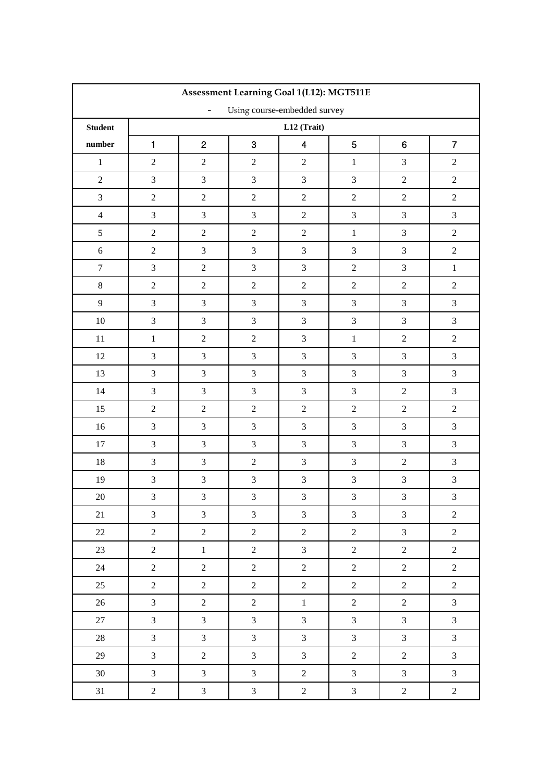|                                                   | Assessment Learning Goal 1(L12): MGT511E |                             |                  |                             |                |                             |                |  |  |
|---------------------------------------------------|------------------------------------------|-----------------------------|------------------|-----------------------------|----------------|-----------------------------|----------------|--|--|
| Using course-embedded survey<br>$\qquad \qquad -$ |                                          |                             |                  |                             |                |                             |                |  |  |
| <b>Student</b>                                    |                                          |                             |                  | L12 (Trait)                 |                |                             |                |  |  |
| number                                            | $\mathbf{1}$                             | $\overline{c}$              | 3                | $\overline{\mathbf{4}}$     | 5              | 6                           | $\overline{7}$ |  |  |
| $\mathbf 1$                                       | $\sqrt{2}$                               | $\sqrt{2}$                  | $\overline{2}$   | $\sqrt{2}$                  | $\,1\,$        | $\overline{3}$              | $\overline{2}$ |  |  |
| $\overline{2}$                                    | $\overline{3}$                           | $\mathfrak{Z}$              | $\overline{3}$   | 3                           | $\overline{3}$ | $\overline{2}$              | $\overline{2}$ |  |  |
| $\mathfrak{Z}$                                    | $\overline{c}$                           | $\sqrt{2}$                  | $\sqrt{2}$       | $\sqrt{2}$                  | $\overline{2}$ | $\overline{c}$              | $\overline{c}$ |  |  |
| $\overline{4}$                                    | $\overline{3}$                           | $\mathfrak{Z}$              | $\mathfrak{Z}$   | $\boldsymbol{2}$            | $\mathfrak{Z}$ | $\overline{3}$              | $\mathfrak{Z}$ |  |  |
| 5                                                 | $\sqrt{2}$                               | $\sqrt{2}$                  | $\sqrt{2}$       | $\sqrt{2}$                  | $\mathbf{1}$   | $\overline{3}$              | $\sqrt{2}$     |  |  |
| $\sqrt{6}$                                        | $\sqrt{2}$                               | $\overline{3}$              | $\overline{3}$   | $\mathfrak{Z}$              | $\mathfrak{Z}$ | 3                           | $\sqrt{2}$     |  |  |
| $\boldsymbol{7}$                                  | $\overline{3}$                           | $\sqrt{2}$                  | $\mathfrak{Z}$   | $\ensuremath{\mathfrak{Z}}$ | $\sqrt{2}$     | $\overline{3}$              | $\,1\,$        |  |  |
| $8\,$                                             | $\overline{2}$                           | $\sqrt{2}$                  | $\overline{2}$   | $\overline{2}$              | $\overline{2}$ | $\overline{2}$              | $\overline{c}$ |  |  |
| 9                                                 | $\mathfrak{Z}$                           | $\mathfrak{Z}$              | $\overline{3}$   | $\mathfrak{Z}$              | $\mathfrak{Z}$ | $\mathfrak{Z}$              | $\mathfrak{Z}$ |  |  |
| $10\,$                                            | $\overline{3}$                           | $\mathfrak{Z}$              | $\mathfrak{Z}$   | $\mathfrak{Z}$              | $\mathfrak{Z}$ | $\overline{3}$              | $\mathfrak{Z}$ |  |  |
| 11                                                | $\mathbf 1$                              | $\sqrt{2}$                  | $\overline{2}$   | 3                           | $1\,$          | $\sqrt{2}$                  | $\overline{c}$ |  |  |
| 12                                                | $\mathfrak{Z}$                           | $\mathfrak{Z}$              | $\mathfrak{Z}$   | $\mathfrak{Z}$              | $\mathfrak{Z}$ | $\mathfrak{Z}$              | $\mathfrak{Z}$ |  |  |
| 13                                                | $\mathfrak{Z}$                           | $\mathfrak{Z}$              | $\mathfrak{Z}$   | $\mathfrak{Z}$              | $\mathfrak{Z}$ | $\overline{3}$              | 3              |  |  |
| 14                                                | $\overline{3}$                           | $\mathfrak{Z}$              | $\overline{3}$   | $\mathfrak{Z}$              | $\overline{3}$ | $\sqrt{2}$                  | 3              |  |  |
| 15                                                | $\overline{c}$                           | $\sqrt{2}$                  | $\sqrt{2}$       | $\sqrt{2}$                  | $\overline{2}$ | $\sqrt{2}$                  | $\overline{c}$ |  |  |
| $16\,$                                            | $\overline{3}$                           | $\ensuremath{\mathfrak{Z}}$ | $\mathfrak{Z}$   | 3                           | $\mathfrak{Z}$ | $\overline{3}$              | 3              |  |  |
| 17                                                | $\overline{3}$                           | $\mathfrak{Z}$              | $\overline{3}$   | $\mathfrak{Z}$              | $\overline{3}$ | $\overline{3}$              | $\mathfrak{Z}$ |  |  |
| $18\,$                                            | $\mathfrak{Z}$                           | $\mathfrak{Z}$              | $\sqrt{2}$       | $\mathfrak{Z}$              | $\mathfrak{Z}$ | $\sqrt{2}$                  | 3              |  |  |
| 19                                                | $\mathfrak{Z}$                           | $\mathfrak{Z}$              | $\mathfrak{Z}$   | $\mathfrak{Z}$              | $\mathfrak{Z}$ | $\mathfrak{Z}$              | $\overline{3}$ |  |  |
| $20\,$                                            | $\mathfrak{Z}$                           | $\overline{\mathbf{3}}$     | 3                | $\overline{3}$              | $\overline{3}$ | $\mathfrak{Z}$              | $\overline{3}$ |  |  |
| $21\,$                                            | $\mathfrak{Z}$                           | $\mathfrak{Z}$              | $\mathfrak{Z}$   | $\mathfrak{Z}$              | $\mathfrak{Z}$ | $\ensuremath{\mathfrak{Z}}$ | $\overline{c}$ |  |  |
| 22                                                | $\overline{2}$                           | $\boldsymbol{2}$            | $\boldsymbol{2}$ | $\overline{2}$              | $\sqrt{2}$     | $\mathfrak{Z}$              | $\overline{2}$ |  |  |
| 23                                                | $\overline{2}$                           | $\mathbf{1}$                | $\sqrt{2}$       | $\mathfrak{Z}$              | $\overline{2}$ | $\sqrt{2}$                  | $\sqrt{2}$     |  |  |
| $24\,$                                            | $\overline{2}$                           | $\overline{c}$              | $\sqrt{2}$       | $\overline{2}$              | $\overline{2}$ | $\overline{c}$              | $\overline{2}$ |  |  |
| 25                                                | $\overline{2}$                           | $\sqrt{2}$                  | $\sqrt{2}$       | $\overline{2}$              | $\sqrt{2}$     | $\overline{2}$              | $\overline{2}$ |  |  |
| $26\,$                                            | $\overline{3}$                           | $\overline{2}$              | $\sqrt{2}$       | $1\,$                       | $\sqrt{2}$     | $\overline{c}$              | $\overline{3}$ |  |  |
| 27                                                | $\overline{3}$                           | $\mathfrak{Z}$              | $\mathfrak{Z}$   | $\mathfrak{Z}$              | $\mathfrak{Z}$ | $\mathfrak{Z}$              | $\mathfrak{Z}$ |  |  |
| 28                                                | $\overline{3}$                           | $\mathfrak{Z}$              | $\mathfrak{Z}$   | $\mathfrak{Z}$              | $\mathfrak{Z}$ | $\mathfrak{Z}$              | $\overline{3}$ |  |  |
| 29                                                | $\overline{3}$                           | $\sqrt{2}$                  | $\mathfrak{Z}$   | $\overline{3}$              | $\sqrt{2}$     | $\sqrt{2}$                  | $\overline{3}$ |  |  |
| $30\,$                                            | $\mathfrak{Z}$                           | $\mathfrak{Z}$              | $\mathfrak{Z}$   | $\overline{2}$              | $\mathfrak{Z}$ | $\mathfrak{Z}$              | $\mathfrak{Z}$ |  |  |
| 31                                                | $\overline{2}$                           | $\mathfrak{Z}$              | $\mathfrak{Z}$   | $\overline{2}$              | $\mathfrak{Z}$ | $\overline{2}$              | $\overline{c}$ |  |  |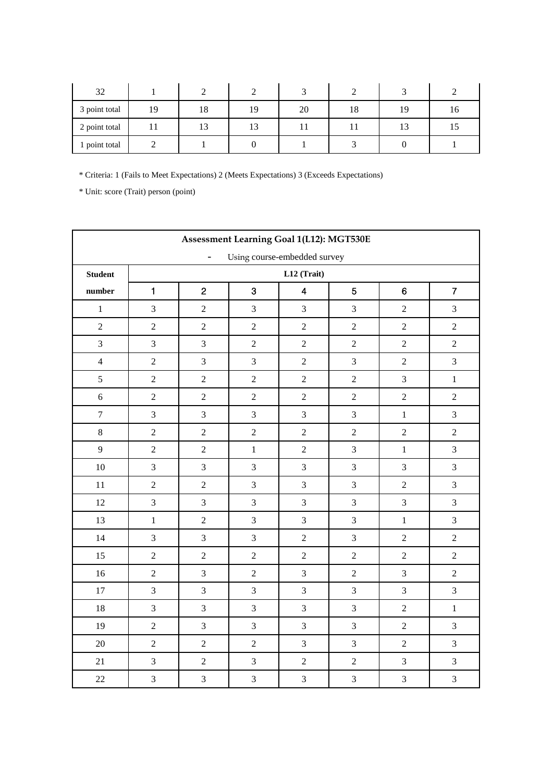| 32            |    |    |    |    |    |    |    |
|---------------|----|----|----|----|----|----|----|
| 3 point total | 19 | 18 | 19 | 20 | 18 | 19 | 10 |
| 2 point total |    | IJ | 13 |    |    |    |    |
| 1 point total |    |    |    |    |    |    |    |

|                | Assessment Learning Goal 1(L12): MGT530E                 |                |                |                  |                |                |                |  |
|----------------|----------------------------------------------------------|----------------|----------------|------------------|----------------|----------------|----------------|--|
|                | Using course-embedded survey<br>$\overline{\phantom{a}}$ |                |                |                  |                |                |                |  |
| <b>Student</b> |                                                          |                |                | L12 (Trait)      |                |                |                |  |
| number         | $\blacksquare$                                           | $\overline{2}$ | 3              | $\overline{4}$   | 5              | $6\phantom{1}$ | $\overline{7}$ |  |
| $\mathbf 1$    | 3                                                        | $\overline{c}$ | $\overline{3}$ | 3                | $\overline{3}$ | $\overline{2}$ | 3              |  |
| $\sqrt{2}$     | $\overline{2}$                                           | $\sqrt{2}$     | $\overline{2}$ | $\sqrt{2}$       | $\overline{2}$ | $\overline{2}$ | $\overline{c}$ |  |
| $\overline{3}$ | $\overline{3}$                                           | $\mathfrak{Z}$ | $\overline{2}$ | $\sqrt{2}$       | $\overline{2}$ | $\overline{2}$ | $\overline{2}$ |  |
| $\overline{4}$ | $\overline{2}$                                           | 3              | 3              | $\overline{2}$   | $\overline{3}$ | $\overline{2}$ | 3              |  |
| $\mathfrak{S}$ | $\overline{c}$                                           | $\sqrt{2}$     | $\overline{2}$ | $\overline{c}$   | $\overline{2}$ | $\overline{3}$ | $\mathbf 1$    |  |
| 6              | $\overline{2}$                                           | $\sqrt{2}$     | $\overline{2}$ | $\overline{c}$   | $\overline{2}$ | $\overline{2}$ | $\overline{c}$ |  |
| $\overline{7}$ | 3                                                        | $\mathfrak{Z}$ | $\overline{3}$ | 3                | $\overline{3}$ | $\mathbf{1}$   | $\overline{3}$ |  |
| $8\,$          | $\overline{2}$                                           | $\sqrt{2}$     | $\overline{2}$ | $\boldsymbol{2}$ | $\sqrt{2}$     | $\overline{2}$ | $\overline{c}$ |  |
| 9              | $\sqrt{2}$                                               | $\sqrt{2}$     | $\mathbf{1}$   | $\boldsymbol{2}$ | $\overline{3}$ | $\mathbf{1}$   | $\overline{3}$ |  |
| $10\,$         | 3                                                        | 3              | $\overline{3}$ | 3                | $\overline{3}$ | $\overline{3}$ | 3              |  |
| $11\,$         | $\overline{2}$                                           | $\sqrt{2}$     | 3              | $\mathfrak{Z}$   | $\overline{3}$ | $\overline{2}$ | 3              |  |
| 12             | $\overline{3}$                                           | $\mathfrak{Z}$ | 3              | $\mathfrak{Z}$   | $\overline{3}$ | $\overline{3}$ | 3              |  |
| 13             | $\mathbf{1}$                                             | $\sqrt{2}$     | $\mathfrak{Z}$ | 3                | $\overline{3}$ | $\mathbf{1}$   | 3              |  |
| 14             | $\overline{3}$                                           | $\overline{3}$ | $\overline{3}$ | $\sqrt{2}$       | $\overline{3}$ | $\sqrt{2}$     | $\sqrt{2}$     |  |
| 15             | $\overline{2}$                                           | $\sqrt{2}$     | $\overline{2}$ | $\overline{c}$   | $\sqrt{2}$     | $\overline{2}$ | $\overline{c}$ |  |
| 16             | $\overline{2}$                                           | $\mathfrak{Z}$ | $\overline{2}$ | $\mathfrak{Z}$   | $\overline{c}$ | $\overline{3}$ | $\overline{2}$ |  |
| 17             | 3                                                        | 3              | $\overline{3}$ | 3                | 3              | $\overline{3}$ | 3              |  |
| 18             | $\overline{3}$                                           | $\mathfrak{Z}$ | $\overline{3}$ | 3                | 3              | $\overline{2}$ | $\mathbf{1}$   |  |
| 19             | $\overline{2}$                                           | 3              | 3              | 3                | $\overline{3}$ | $\overline{2}$ | 3              |  |
| $20\,$         | $\sqrt{2}$                                               | $\sqrt{2}$     | $\sqrt{2}$     | $\mathfrak 3$    | $\overline{3}$ | $\sqrt{2}$     | 3              |  |
| 21             | $\overline{3}$                                           | $\sqrt{2}$     | $\overline{3}$ | $\sqrt{2}$       | $\overline{2}$ | $\overline{3}$ | $\overline{3}$ |  |
| $22\,$         | $\overline{\mathbf{3}}$                                  | $\mathfrak{Z}$ | $\mathfrak{Z}$ | $\mathfrak{Z}$   | $\mathfrak{Z}$ | $\mathfrak{Z}$ | $\overline{3}$ |  |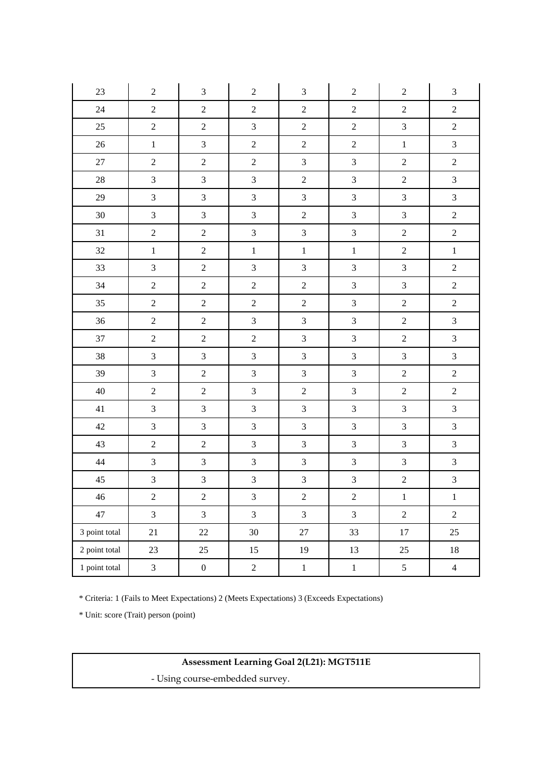| $23\,$        | $\boldsymbol{2}$ | $\mathfrak 3$           | $\mathbf{2}$            | $\mathfrak 3$    | $\mathbf{2}$   | $\boldsymbol{2}$ | $\ensuremath{\mathfrak{Z}}$ |
|---------------|------------------|-------------------------|-------------------------|------------------|----------------|------------------|-----------------------------|
| 24            | $\overline{2}$   | $\sqrt{2}$              | $\sqrt{2}$              | $\sqrt{2}$       | $\sqrt{2}$     | $\sqrt{2}$       | $\sqrt{2}$                  |
| 25            | $\overline{2}$   | $\overline{c}$          | $\mathfrak{Z}$          | $\sqrt{2}$       | $\sqrt{2}$     | $\mathfrak{Z}$   | $\overline{2}$              |
| $26\,$        | $\mathbf 1$      | $\overline{3}$          | $\overline{2}$          | $\overline{2}$   | $\overline{c}$ | $\,1$            | $\overline{3}$              |
| $27\,$        | $\overline{2}$   | $\sqrt{2}$              | $\sqrt{2}$              | $\overline{3}$   | $\mathfrak{Z}$ | $\overline{c}$   | $\sqrt{2}$                  |
| $28\,$        | $\overline{3}$   | $\overline{\mathbf{3}}$ | $\mathfrak{Z}$          | $\overline{2}$   | $\mathfrak{Z}$ | $\overline{c}$   | $\mathfrak{Z}$              |
| 29            | $\overline{3}$   | $\overline{3}$          | $\mathfrak{Z}$          | $\mathfrak{Z}$   | $\mathfrak{Z}$ | $\overline{3}$   | $\mathfrak{Z}$              |
| $30\,$        | $\mathfrak{Z}$   | $\overline{3}$          | $\mathfrak{Z}$          | $\sqrt{2}$       | $\mathfrak{Z}$ | $\mathfrak{Z}$   | $\sqrt{2}$                  |
| 31            | $\overline{2}$   | $\overline{c}$          | $\mathfrak{Z}$          | $\mathfrak{Z}$   | $\mathfrak{Z}$ | $\overline{c}$   | $\overline{c}$              |
| $32\,$        | $\,1$            | $\overline{c}$          | $\,1\,$                 | $\mathbf 1$      | $\,1$          | $\overline{2}$   | $\,1\,$                     |
| 33            | $\overline{3}$   | $\overline{2}$          | $\mathfrak{Z}$          | $\mathfrak{Z}$   | $\mathfrak{Z}$ | $\overline{3}$   | $\overline{c}$              |
| 34            | $\overline{2}$   | $\sqrt{2}$              | $\sqrt{2}$              | $\overline{2}$   | $\mathfrak{Z}$ | $\overline{3}$   | $\sqrt{2}$                  |
| 35            | $\overline{2}$   | $\overline{c}$          | $\overline{2}$          | $\sqrt{2}$       | $\mathfrak{Z}$ | $\boldsymbol{2}$ | $\overline{c}$              |
| 36            | $\overline{c}$   | $\sqrt{2}$              | $\mathfrak{Z}$          | $\mathfrak{Z}$   | $\mathfrak{Z}$ | $\overline{c}$   | $\sqrt{3}$                  |
| 37            | $\overline{2}$   | $\sqrt{2}$              | $\overline{2}$          | $\mathfrak 3$    | $\mathfrak{Z}$ | $\overline{c}$   | $\mathfrak{Z}$              |
| $38\,$        | $\overline{3}$   | $\overline{3}$          | $\overline{3}$          | $\mathfrak{Z}$   | $\overline{3}$ | $\overline{3}$   | $\overline{3}$              |
| 39            | $\mathfrak{Z}$   | $\sqrt{2}$              | $\mathfrak{Z}$          | $\mathfrak{Z}$   | $\mathfrak{Z}$ | $\overline{c}$   | $\sqrt{2}$                  |
| 40            | $\overline{2}$   | $\overline{c}$          | $\mathfrak{Z}$          | $\boldsymbol{2}$ | $\mathfrak{Z}$ | $\overline{c}$   | $\sqrt{2}$                  |
| 41            | $\overline{3}$   | $\overline{3}$          | $\mathfrak{Z}$          | $\mathfrak{Z}$   | $\overline{3}$ | $\overline{3}$   | $\overline{3}$              |
| 42            | $\mathfrak{Z}$   | $\overline{3}$          | $\mathfrak{Z}$          | $\mathfrak{Z}$   | $\mathfrak{Z}$ | $\mathfrak{Z}$   | $\mathfrak{Z}$              |
| 43            | $\overline{2}$   | $\overline{c}$          | $\mathfrak{Z}$          | $\mathfrak{Z}$   | $\mathfrak{Z}$ | $\mathfrak{Z}$   | $\mathfrak{Z}$              |
| $44\,$        | $\overline{3}$   | $\overline{3}$          | $\mathfrak{Z}$          | $\mathfrak{Z}$   | $\mathfrak{Z}$ | $\mathfrak{Z}$   | $\overline{3}$              |
| $45\,$        | $\overline{3}$   | 3                       | $\mathfrak{Z}$          | $\mathfrak{Z}$   | $\mathfrak{Z}$ | $\overline{c}$   | $\mathfrak{Z}$              |
| $46\,$        | $\overline{c}$   | $\overline{2}$          | $\overline{\mathbf{3}}$ | $\overline{c}$   | $\sqrt{2}$     | $\,1$            | $\,1\,$                     |
| 47            | $\overline{3}$   | $\overline{3}$          | $\overline{3}$          | $\overline{3}$   | $\mathfrak{Z}$ | $\overline{2}$   | $\overline{2}$              |
| 3 point total | 21               | $22\,$                  | 30                      | $27\,$           | 33             | $17\,$           | 25                          |
| 2 point total | 23               | 25                      | 15                      | 19               | 13             | 25               | $18\,$                      |
| 1 point total | $\mathfrak{Z}$   | $\boldsymbol{0}$        | $\sqrt{2}$              | $1\,$            | $\mathbf{1}$   | $\mathfrak{S}$   | $\overline{4}$              |

\* Unit: score (Trait) person (point)

# **Assessment Learning Goal 2(L21): MGT511E**

- Using course-embedded survey.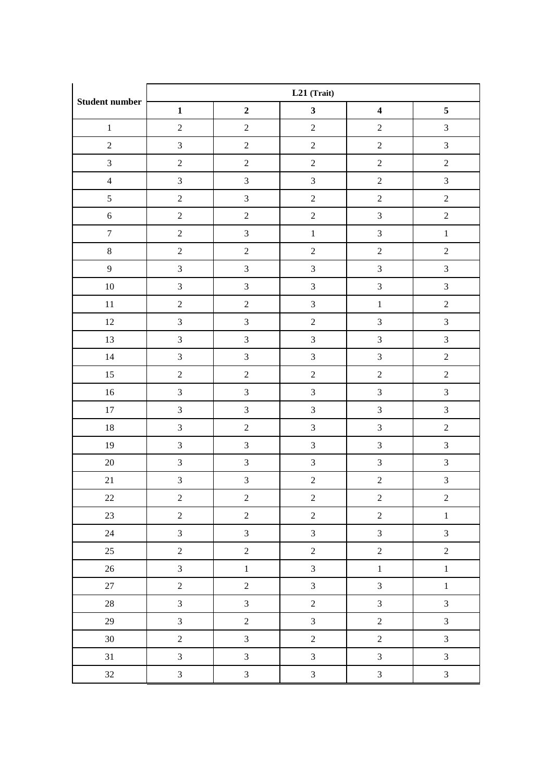|                       |                  | L21 (Trait)             |                         |                         |                |  |  |  |
|-----------------------|------------------|-------------------------|-------------------------|-------------------------|----------------|--|--|--|
| <b>Student number</b> | $\mathbf{1}$     | $\mathbf 2$             | $\mathbf{3}$            | $\overline{\mathbf{4}}$ | 5              |  |  |  |
| $\,1\,$               | $\boldsymbol{2}$ | $\overline{c}$          | $\boldsymbol{2}$        | $\boldsymbol{2}$        | $\mathfrak{Z}$ |  |  |  |
| $\sqrt{2}$            | $\overline{3}$   | $\boldsymbol{2}$        | $\overline{c}$          | $\overline{c}$          | $\mathfrak{Z}$ |  |  |  |
| $\mathfrak{Z}$        | $\sqrt{2}$       | $\sqrt{2}$              | $\boldsymbol{2}$        | $\sqrt{2}$              | $\overline{c}$ |  |  |  |
| $\overline{4}$        | $\mathfrak{Z}$   | $\sqrt{3}$              | $\overline{3}$          | $\sqrt{2}$              | $\sqrt{3}$     |  |  |  |
| 5                     | $\sqrt{2}$       | $\mathfrak{Z}$          | $\overline{c}$          | $\overline{c}$          | $\overline{2}$ |  |  |  |
| $\sqrt{6}$            | $\sqrt{2}$       | $\sqrt{2}$              | $\overline{c}$          | $\overline{3}$          | $\overline{c}$ |  |  |  |
| $\boldsymbol{7}$      | $\sqrt{2}$       | $\mathfrak{Z}$          | $\,1$                   | $\overline{3}$          | $\,1\,$        |  |  |  |
| $8\,$                 | $\overline{2}$   | $\overline{c}$          | $\overline{2}$          | $\overline{c}$          | $\overline{c}$ |  |  |  |
| $\overline{9}$        | $\mathfrak{Z}$   | $\mathfrak{Z}$          | $\overline{\mathbf{3}}$ | $\overline{3}$          | $\overline{3}$ |  |  |  |
| $10\,$                | $\mathfrak{Z}$   | $\sqrt{3}$              | $\overline{3}$          | $\overline{3}$          | $\overline{3}$ |  |  |  |
| $11\,$                | $\sqrt{2}$       | $\sqrt{2}$              | $\overline{3}$          | $\,1\,$                 | $\sqrt{2}$     |  |  |  |
| 12                    | $\overline{3}$   | $\mathfrak{Z}$          | $\overline{c}$          | $\overline{3}$          | $\overline{3}$ |  |  |  |
| 13                    | $\mathfrak{Z}$   | $\mathfrak{Z}$          | $\mathfrak{Z}$          | $\mathfrak{Z}$          | $\sqrt{3}$     |  |  |  |
| $14\,$                | $\overline{3}$   | $\mathfrak{Z}$          | $\overline{3}$          | $\overline{3}$          | $\overline{2}$ |  |  |  |
| 15                    | $\sqrt{2}$       | $\sqrt{2}$              | $\sqrt{2}$              | $\sqrt{2}$              | $\overline{c}$ |  |  |  |
| $16\,$                | $\mathfrak{Z}$   | $\sqrt{3}$              | $\overline{3}$          | $\overline{3}$          | $\overline{3}$ |  |  |  |
| $17\,$                | $\mathfrak{Z}$   | $\mathfrak{Z}$          | $\overline{\mathbf{3}}$ | $\overline{3}$          | $\overline{3}$ |  |  |  |
| $18\,$                | $\mathfrak{Z}$   | $\sqrt{2}$              | $\overline{3}$          | $\overline{3}$          | $\sqrt{2}$     |  |  |  |
| 19                    | $\mathfrak{Z}$   | $\mathfrak{Z}$          | $\overline{3}$          | $\overline{3}$          | $\sqrt{3}$     |  |  |  |
| $20\,$                | $\mathfrak{Z}$   | $\mathfrak{Z}$          | $\overline{3}$          | $\mathfrak{Z}$          | $\mathfrak{Z}$ |  |  |  |
| 21                    | $\overline{3}$   | $\overline{\mathbf{3}}$ | $\overline{c}$          | $\overline{c}$          | $\overline{3}$ |  |  |  |
| 22                    | $\overline{c}$   | $\overline{c}$          | $\overline{c}$          | $\overline{c}$          | $\overline{c}$ |  |  |  |
| 23                    | $\overline{2}$   | $\overline{c}$          | $\overline{c}$          | $\overline{c}$          | $\mathbf{1}$   |  |  |  |
| 24                    | $\overline{3}$   | $\mathfrak{Z}$          | $\overline{3}$          | $\overline{3}$          | $\overline{3}$ |  |  |  |
| 25                    | $\overline{2}$   | $\overline{c}$          | $\overline{c}$          | $\overline{c}$          | $\overline{2}$ |  |  |  |
| 26                    | $\overline{3}$   | $\,1$                   | $\overline{3}$          | $\,1$                   | $\mathbf{1}$   |  |  |  |
| 27                    | $\sqrt{2}$       | $\sqrt{2}$              | $\overline{3}$          | $\overline{3}$          | $\,1\,$        |  |  |  |
| $28\,$                | $\overline{3}$   | $\mathfrak{Z}$          | $\overline{c}$          | $\overline{3}$          | $\overline{3}$ |  |  |  |
| 29                    | $\overline{3}$   | $\sqrt{2}$              | $\overline{3}$          | $\overline{c}$          | $\overline{3}$ |  |  |  |
| $30\,$                | $\sqrt{2}$       | $\mathfrak{Z}$          | $\sqrt{2}$              | $\sqrt{2}$              | $\overline{3}$ |  |  |  |
| 31                    | $\mathfrak{Z}$   | $\mathfrak{Z}$          | $\overline{3}$          | $\overline{3}$          | $\overline{3}$ |  |  |  |
| 32                    | $\overline{3}$   | $\mathfrak{Z}$          | $\overline{3}$          | $\overline{3}$          | $\overline{3}$ |  |  |  |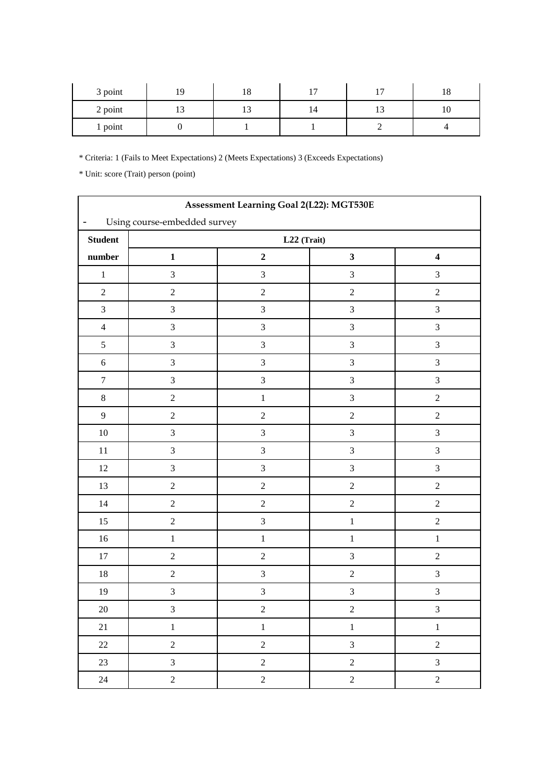| 3 point | $\sim$ | 18 | —  | $\overline{\phantom{a}}$ |  |
|---------|--------|----|----|--------------------------|--|
| 2 point |        |    | 14 | 1 <sub>2</sub><br>. .    |  |
| 1 point |        |    |    |                          |  |

|                          | Assessment Learning Goal 2(L22): MGT530E |                             |                |                         |  |  |  |  |
|--------------------------|------------------------------------------|-----------------------------|----------------|-------------------------|--|--|--|--|
| $\overline{\phantom{0}}$ | Using course-embedded survey             |                             |                |                         |  |  |  |  |
| <b>Student</b>           |                                          | $\mathbf{L22}$ (Trait)      |                |                         |  |  |  |  |
| number                   | $\mathbf 1$                              | $\mathbf 2$                 | $\mathbf{3}$   | $\overline{\mathbf{4}}$ |  |  |  |  |
| $\,1\,$                  | $\mathfrak{Z}$                           | $\ensuremath{\mathfrak{Z}}$ | $\mathfrak{Z}$ | $\mathfrak{Z}$          |  |  |  |  |
| $\sqrt{2}$               | $\sqrt{2}$                               | $\sqrt{2}$                  | $\sqrt{2}$     | $\sqrt{2}$              |  |  |  |  |
| $\mathfrak{Z}$           | $\mathfrak{Z}$                           | $\ensuremath{\mathfrak{Z}}$ | $\mathfrak{Z}$ | $\mathfrak{Z}$          |  |  |  |  |
| $\overline{4}$           | $\mathfrak{Z}$                           | $\ensuremath{\mathfrak{Z}}$ | $\mathfrak{Z}$ | $\mathfrak{Z}$          |  |  |  |  |
| $\mathfrak{S}$           | $\mathfrak{Z}$                           | $\mathfrak{Z}$              | $\mathfrak{Z}$ | $\mathfrak{Z}$          |  |  |  |  |
| $\sqrt{6}$               | $\sqrt{3}$                               | $\mathfrak 3$               | $\mathfrak{Z}$ | $\mathfrak{Z}$          |  |  |  |  |
| $\boldsymbol{7}$         | $\mathfrak{Z}$                           | $\sqrt{3}$                  | $\overline{3}$ | $\mathfrak 3$           |  |  |  |  |
| $8\,$                    | $\sqrt{2}$                               | $\,1\,$                     | $\mathfrak{Z}$ | $\sqrt{2}$              |  |  |  |  |
| $\overline{9}$           | $\sqrt{2}$                               | $\sqrt{2}$                  | $\sqrt{2}$     | $\sqrt{2}$              |  |  |  |  |
| $10\,$                   | $\mathfrak{Z}$                           | $\ensuremath{\mathfrak{Z}}$ | $\mathfrak{Z}$ | $\mathfrak{Z}$          |  |  |  |  |
| $11\,$                   | $\mathfrak{Z}$                           | $\sqrt{3}$                  | $\mathfrak{Z}$ | $\mathfrak{Z}$          |  |  |  |  |
| $12\,$                   | $\mathfrak{Z}$                           | $\sqrt{3}$                  | $\overline{3}$ | $\mathfrak{Z}$          |  |  |  |  |
| 13                       | $\sqrt{2}$                               | $\sqrt{2}$                  | $\sqrt{2}$     | $\sqrt{2}$              |  |  |  |  |
| $14\,$                   | $\sqrt{2}$                               | $\sqrt{2}$                  | $\sqrt{2}$     | $\sqrt{2}$              |  |  |  |  |
| 15                       | $\sqrt{2}$                               | $\ensuremath{\mathfrak{Z}}$ | $\,1\,$        | $\sqrt{2}$              |  |  |  |  |
| $16\,$                   | $\,1\,$                                  | $\,1$                       | $\,1\,$        | $\,1$                   |  |  |  |  |
| 17                       | $\sqrt{2}$                               | $\sqrt{2}$                  | $\overline{3}$ | $\sqrt{2}$              |  |  |  |  |
| $18\,$                   | $\sqrt{2}$                               | $\sqrt{3}$                  | $\sqrt{2}$     | $\mathfrak{Z}$          |  |  |  |  |
| 19                       | $\mathfrak 3$                            | $\sqrt{3}$                  | $\sqrt{3}$     | $\overline{3}$          |  |  |  |  |
| $20\,$                   | 3                                        | $\sqrt{2}$                  | $\sqrt{2}$     | $\sqrt{3}$              |  |  |  |  |
| 21                       | $\,1\,$                                  | $1\,$                       | $\,1\,$        | $\mathbf{1}$            |  |  |  |  |
| $22\,$                   | $\overline{2}$                           | $\sqrt{2}$                  | $\overline{3}$ | $\boldsymbol{2}$        |  |  |  |  |
| 23                       | $\overline{3}$                           | $\overline{2}$              | $\overline{2}$ | $\overline{3}$          |  |  |  |  |
| 24                       | $\overline{2}$                           | $\overline{c}$              | $\overline{2}$ | $\sqrt{2}$              |  |  |  |  |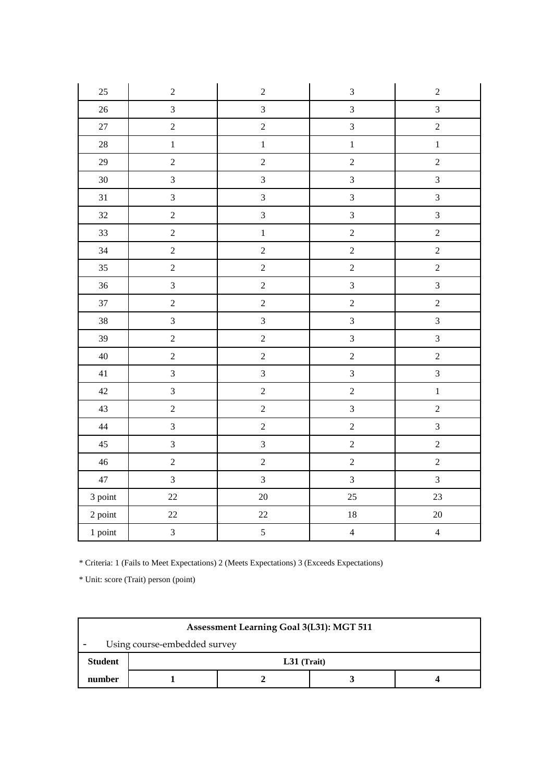| 25      | $\sqrt{2}$     | $\sqrt{2}$     | $\mathfrak{Z}$          | $\sqrt{2}$              |
|---------|----------------|----------------|-------------------------|-------------------------|
| 26      | $\overline{3}$ | $\mathfrak{Z}$ | $\overline{3}$          | $\overline{3}$          |
| $27\,$  | $\overline{2}$ | $\overline{2}$ | $\overline{3}$          | $\overline{2}$          |
| $28\,$  | $\,1$          | $\mathbf 1$    | $\,1$                   | $\,1\,$                 |
| 29      | $\overline{2}$ | $\sqrt{2}$     | $\overline{c}$          | $\overline{2}$          |
| $30\,$  | $\overline{3}$ | $\mathfrak{Z}$ | $\mathfrak{Z}$          | $\overline{3}$          |
| 31      | $\mathfrak{Z}$ | $\overline{3}$ | $\overline{3}$          | $\overline{\mathbf{3}}$ |
| 32      | $\sqrt{2}$     | $\mathfrak{Z}$ | $\overline{3}$          | $\overline{3}$          |
| 33      | $\overline{2}$ | $\mathbf{1}$   | $\overline{2}$          | $\overline{2}$          |
| 34      | $\overline{2}$ | $\sqrt{2}$     | $\overline{2}$          | $\overline{2}$          |
| 35      | $\overline{c}$ | $\overline{c}$ | $\overline{c}$          | $\overline{c}$          |
| 36      | $\overline{3}$ | $\overline{c}$ | $\overline{3}$          | $\overline{3}$          |
| 37      | $\overline{2}$ | $\overline{c}$ | $\overline{c}$          | $\overline{2}$          |
| $38\,$  | $\overline{3}$ | $\overline{3}$ | $\overline{3}$          | $\overline{3}$          |
| 39      | $\sqrt{2}$     | $\sqrt{2}$     | $\overline{3}$          | $\overline{3}$          |
| 40      | $\sqrt{2}$     | $\sqrt{2}$     | $\sqrt{2}$              | $\sqrt{2}$              |
| 41      | $\overline{3}$ | $\overline{3}$ | $\overline{3}$          | $\overline{3}$          |
| 42      | $\overline{3}$ | $\overline{2}$ | $\overline{c}$          | $\mathbf 1$             |
| 43      | $\overline{2}$ | $\sqrt{2}$     | $\overline{\mathbf{3}}$ | $\overline{c}$          |
| 44      | $\overline{3}$ | $\sqrt{2}$     | $\overline{2}$          | $\overline{3}$          |
| 45      | $\mathfrak{Z}$ | $\mathfrak{Z}$ | $\sqrt{2}$              | $\sqrt{2}$              |
| $46\,$  | $\overline{c}$ | $\sqrt{2}$     | $\overline{c}$          | $\overline{2}$          |
| $47\,$  | $\overline{3}$ | $\overline{3}$ | $\overline{3}$          | $\overline{3}$          |
| 3 point | 22             | $20\,$         | 25                      | 23                      |
| 2 point | $22\,$         | $22\,$         | $18\,$                  | $20\,$                  |
| 1 point | $\overline{3}$ | $\overline{5}$ | $\overline{4}$          | $\overline{4}$          |

| <b>Assessment Learning Goal 3(L31): MGT 511</b> |               |  |  |  |  |  |
|-------------------------------------------------|---------------|--|--|--|--|--|
| Using course-embedded survey                    |               |  |  |  |  |  |
| <b>Student</b>                                  | $L31$ (Trait) |  |  |  |  |  |
| number                                          |               |  |  |  |  |  |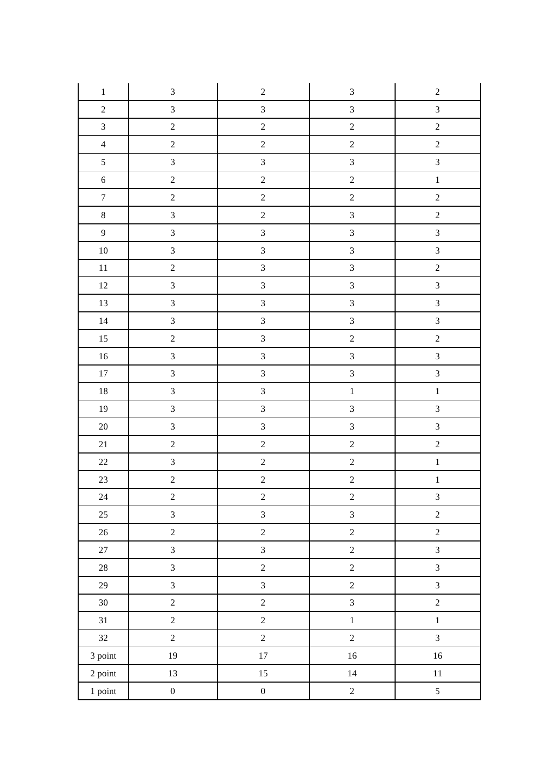| $\,1$            | $\mathfrak{Z}$              | $\sqrt{2}$              | $\mathfrak{Z}$   | $\sqrt{2}$              |
|------------------|-----------------------------|-------------------------|------------------|-------------------------|
| $\sqrt{2}$       | $\mathfrak{Z}$              | $\sqrt{3}$              | $\mathfrak{Z}$   | $\mathfrak{Z}$          |
| $\mathfrak{Z}$   | $\sqrt{2}$                  | $\sqrt{2}$              | $\sqrt{2}$       | $\sqrt{2}$              |
| $\overline{4}$   | $\sqrt{2}$                  | $\sqrt{2}$              | $\sqrt{2}$       | $\sqrt{2}$              |
| $\mathfrak{S}$   | $\mathfrak{Z}$              | $\overline{3}$          | $\mathfrak{Z}$   | $\overline{3}$          |
| $\sqrt{6}$       | $\sqrt{2}$                  | $\sqrt{2}$              | $\sqrt{2}$       | $\,1\,$                 |
| $\boldsymbol{7}$ | $\sqrt{2}$                  | $\sqrt{2}$              | $\sqrt{2}$       | $\overline{c}$          |
| $8\,$            | $\mathfrak{Z}$              | $\sqrt{2}$              | $\mathfrak{Z}$   | $\sqrt{2}$              |
| $\overline{9}$   | $\ensuremath{\mathfrak{Z}}$ | $\mathfrak{Z}$          | $\mathfrak{Z}$   | $\overline{3}$          |
| $10\,$           | $\mathfrak{Z}$              | $\overline{3}$          | $\overline{3}$   | $\mathfrak{Z}$          |
| $11\,$           | $\sqrt{2}$                  | $\overline{3}$          | $\mathfrak{Z}$   | $\sqrt{2}$              |
| $12\,$           | $\mathfrak{Z}$              | $\mathfrak{Z}$          | $\overline{3}$   | $\mathfrak{Z}$          |
| $13\,$           | $\mathfrak{Z}$              | $\overline{3}$          | $\mathfrak{Z}$   | $\overline{3}$          |
| $14\,$           | $\mathfrak{Z}$              | $\mathfrak{Z}$          | $\mathfrak{Z}$   | $\overline{3}$          |
| $15\,$           | $\sqrt{2}$                  | $\overline{3}$          | $\sqrt{2}$       | $\sqrt{2}$              |
| $16\,$           | $\ensuremath{\mathfrak{Z}}$ | $\mathfrak{Z}$          | $\overline{3}$   | $\overline{3}$          |
| $17\,$           | $\mathfrak{Z}$              | $\overline{3}$          | $\mathfrak{Z}$   | $\overline{3}$          |
| $18\,$           | $\mathfrak{Z}$              | $\overline{3}$          | $\,1$            | $\,1$                   |
| $19\,$           | $\ensuremath{\mathfrak{Z}}$ | $\overline{\mathbf{3}}$ | $\mathfrak{Z}$   | $\overline{3}$          |
| $20\,$           | $\mathfrak{Z}$              | $\overline{3}$          | $\mathfrak{Z}$   | $\overline{3}$          |
| 21               | $\sqrt{2}$                  | $\overline{c}$          | $\sqrt{2}$       | $\overline{c}$          |
| $22\,$           | $\mathfrak{Z}$              | $\sqrt{2}$              | $\overline{c}$   | $\,1\,$                 |
| $23\,$           | $\boldsymbol{2}$            | $\overline{c}$          | $\sqrt{2}$       | $\,1\,$                 |
| $24\,$           | $\overline{c}$              | $\overline{c}$          | $\overline{c}$   | $\overline{\mathbf{3}}$ |
| $25\,$           | $\overline{3}$              | $\mathfrak{Z}$          | $\mathfrak{Z}$   | $\sqrt{2}$              |
| $26\,$           | $\boldsymbol{2}$            | $\sqrt{2}$              | $\sqrt{2}$       | $\sqrt{2}$              |
| $27\,$           | $\overline{3}$              | $\mathfrak{Z}$          | $\overline{c}$   | $\mathfrak{Z}$          |
| $28\,$           | $\mathfrak{Z}$              | $\sqrt{2}$              | $\overline{2}$   | $\mathfrak{Z}$          |
| $29\,$           | $\mathfrak{Z}$              | $\mathfrak{Z}$          | $\sqrt{2}$       | $\mathfrak{Z}$          |
| $30\,$           | $\sqrt{2}$                  | $\sqrt{2}$              | $\mathfrak{Z}$   | $\overline{c}$          |
| 31               | $\sqrt{2}$                  | $\sqrt{2}$              | $\,1$            | $\,1\,$                 |
| 32               | $\sqrt{2}$                  | $\sqrt{2}$              | $\boldsymbol{2}$ | $\overline{3}$          |
| 3 point          | $19\,$                      | $17\,$                  | $16\,$           | $16\,$                  |
| 2 point          | $13\,$                      | $15\,$                  | $14\,$           | $11\,$                  |
| 1 point          | $\boldsymbol{0}$            | $\boldsymbol{0}$        | $\sqrt{2}$       | $\mathfrak{S}$          |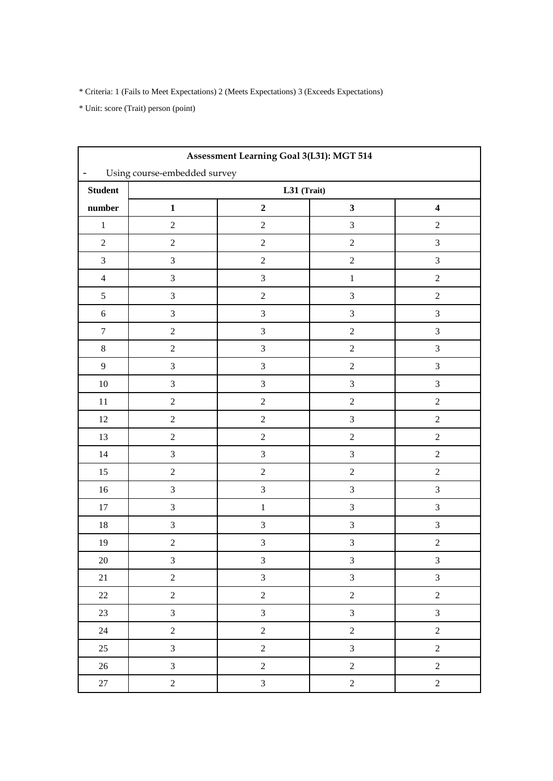| Assessment Learning Goal 3(L31): MGT 514                 |                  |                             |                |                             |  |  |  |  |
|----------------------------------------------------------|------------------|-----------------------------|----------------|-----------------------------|--|--|--|--|
| Using course-embedded survey<br>$\overline{\phantom{0}}$ |                  |                             |                |                             |  |  |  |  |
| <b>Student</b>                                           | $L31$ (Trait)    |                             |                |                             |  |  |  |  |
| number                                                   | $\mathbf 1$      | $\mathbf 2$                 | $\mathbf{3}$   | $\overline{\mathbf{4}}$     |  |  |  |  |
| $\,1$                                                    | $\sqrt{2}$       | $\sqrt{2}$                  | $\mathfrak{Z}$ | $\sqrt{2}$                  |  |  |  |  |
| $\sqrt{2}$                                               | $\sqrt{2}$       | $\sqrt{2}$                  | $\sqrt{2}$     | $\mathfrak{Z}$              |  |  |  |  |
| $\mathfrak{Z}$                                           | $\mathfrak{Z}$   | $\sqrt{2}$                  | $\sqrt{2}$     | $\mathfrak{Z}$              |  |  |  |  |
| $\overline{4}$                                           | $\mathfrak{Z}$   | $\ensuremath{\mathfrak{Z}}$ | $\,1$          | $\sqrt{2}$                  |  |  |  |  |
| $\mathfrak{S}$                                           | $\mathfrak{Z}$   | $\sqrt{2}$                  | $\overline{3}$ | $\sqrt{2}$                  |  |  |  |  |
| $\sqrt{6}$                                               | $\sqrt{3}$       | $\sqrt{3}$                  | $\overline{3}$ | $\mathfrak{Z}$              |  |  |  |  |
| $\boldsymbol{7}$                                         | $\sqrt{2}$       | $\ensuremath{\mathfrak{Z}}$ | $\overline{2}$ | $\mathfrak{Z}$              |  |  |  |  |
| $8\,$                                                    | $\sqrt{2}$       | $\mathfrak 3$               | $\sqrt{2}$     | 3                           |  |  |  |  |
| $\overline{9}$                                           | $\mathfrak{Z}$   | $\overline{\mathbf{3}}$     | $\sqrt{2}$     | $\mathfrak{Z}$              |  |  |  |  |
| $10\,$                                                   | $\mathfrak{Z}$   | $\ensuremath{\mathfrak{Z}}$ | $\overline{3}$ | $\mathfrak{Z}$              |  |  |  |  |
| $11\,$                                                   | $\sqrt{2}$       | $\sqrt{2}$                  | $\sqrt{2}$     | $\sqrt{2}$                  |  |  |  |  |
| $12\,$                                                   | $\sqrt{2}$       | $\sqrt{2}$                  | $\mathfrak{Z}$ | $\sqrt{2}$                  |  |  |  |  |
| 13                                                       | $\sqrt{2}$       | $\sqrt{2}$                  | $\sqrt{2}$     | $\sqrt{2}$                  |  |  |  |  |
| 14                                                       | $\mathfrak{Z}$   | $\sqrt{3}$                  | $\overline{3}$ | $\sqrt{2}$                  |  |  |  |  |
| 15                                                       | $\sqrt{2}$       | $\sqrt{2}$                  | $\sqrt{2}$     | $\sqrt{2}$                  |  |  |  |  |
| $16\,$                                                   | $\mathfrak{Z}$   | $\ensuremath{\mathfrak{Z}}$ | $\overline{3}$ | $\mathfrak{Z}$              |  |  |  |  |
| $17\,$                                                   | $\mathfrak{Z}$   | $\,1\,$                     | $\overline{3}$ | $\mathfrak{Z}$              |  |  |  |  |
| $18\,$                                                   | $\mathfrak 3$    | $\ensuremath{\mathfrak{Z}}$ | $\sqrt{3}$     | $\ensuremath{\mathfrak{Z}}$ |  |  |  |  |
| 19                                                       | $\sqrt{2}$       | $\mathfrak{Z}$              | $\mathfrak{Z}$ | $\sqrt{2}$                  |  |  |  |  |
| $20\,$                                                   | 3                | $\mathfrak 3$               | 3              | 3                           |  |  |  |  |
| 21                                                       | $\sqrt{2}$       | $\mathfrak{Z}$              | $\mathfrak{Z}$ | $\mathfrak{Z}$              |  |  |  |  |
| $22\,$                                                   | $\overline{2}$   | $\overline{c}$              | $\overline{2}$ | $\boldsymbol{2}$            |  |  |  |  |
| 23                                                       | $\mathfrak{Z}$   | $\overline{3}$              | $\overline{3}$ | $\overline{3}$              |  |  |  |  |
| $24\,$                                                   | $\boldsymbol{2}$ | $\sqrt{2}$                  | $\sqrt{2}$     | $\sqrt{2}$                  |  |  |  |  |
| 25                                                       | $\overline{3}$   | $\sqrt{2}$                  | $\overline{3}$ | $\sqrt{2}$                  |  |  |  |  |
| $26\,$                                                   | $\overline{3}$   | $\sqrt{2}$                  | $\sqrt{2}$     | $\sqrt{2}$                  |  |  |  |  |
| $27\,$                                                   | $\overline{2}$   | $\mathfrak{Z}$              | $\overline{c}$ | $\sqrt{2}$                  |  |  |  |  |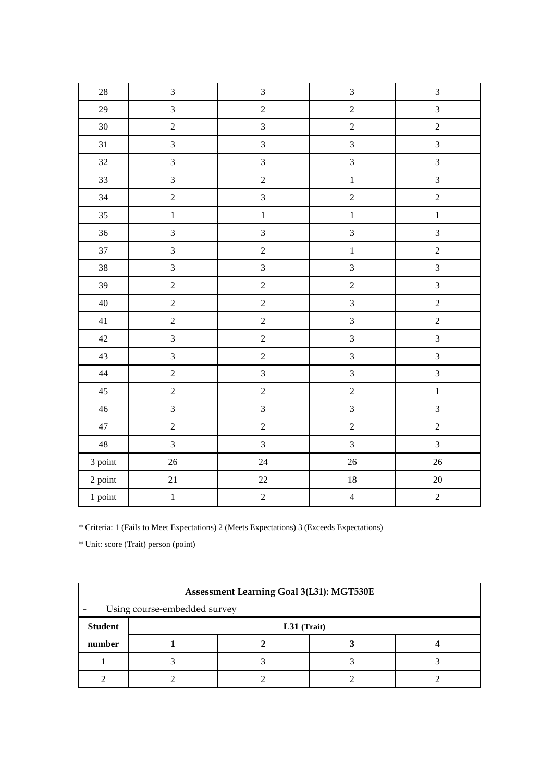| $28\,$         | $\mathfrak{Z}$   | $\ensuremath{\mathfrak{Z}}$ | $\mathfrak{Z}$ | $\ensuremath{\mathfrak{Z}}$ |
|----------------|------------------|-----------------------------|----------------|-----------------------------|
| 29             | $\overline{3}$   | $\sqrt{2}$                  | $\overline{2}$ | $\overline{3}$              |
| $30\,$         | $\sqrt{2}$       | $\overline{3}$              | $\overline{c}$ | $\overline{c}$              |
| 31             | $\overline{3}$   | $\overline{3}$              | $\overline{3}$ | $\overline{3}$              |
| 32             | $\overline{3}$   | $\overline{3}$              | $\overline{3}$ | $\overline{3}$              |
| 33             | $\mathfrak{Z}$   | $\sqrt{2}$                  | $\,1$          | $\overline{3}$              |
| 34             | $\overline{2}$   | $\overline{3}$              | $\overline{2}$ | $\overline{2}$              |
| 35             | $\mathbf{1}$     | $\,1$                       | $\,1$          | $\,1$                       |
| 36             | $\overline{3}$   | $\overline{3}$              | $\overline{3}$ | $\overline{3}$              |
| 37             | $\mathfrak{Z}$   | $\sqrt{2}$                  | $\,1\,$        | $\overline{c}$              |
| $38\,$         | $\mathfrak{Z}$   | $\overline{3}$              | $\overline{3}$ | $\overline{3}$              |
| 39             | $\sqrt{2}$       | $\overline{c}$              | $\sqrt{2}$     | $\overline{3}$              |
| $40\,$         | $\boldsymbol{2}$ | $\sqrt{2}$                  | $\overline{3}$ | $\overline{c}$              |
| 41             | $\overline{2}$   | $\sqrt{2}$                  | $\overline{3}$ | $\overline{2}$              |
| $42\,$         | $\mathfrak{Z}$   | $\overline{c}$              | $\overline{3}$ | $\overline{3}$              |
| 43             | $\overline{3}$   | $\sqrt{2}$                  | $\overline{3}$ | $\overline{3}$              |
| 44             | $\overline{2}$   | $\overline{3}$              | $\overline{3}$ | $\overline{3}$              |
| 45             | $\overline{2}$   | $\sqrt{2}$                  | $\overline{2}$ | $\mathbf{1}$                |
| $46\,$         | $\overline{3}$   | $\overline{3}$              | $\overline{3}$ | $\overline{3}$              |
| $47\,$         | $\sqrt{2}$       | $\sqrt{2}$                  | $\overline{2}$ | $\overline{2}$              |
| $\sqrt{48}$    | $\overline{3}$   | $\overline{3}$              | $\overline{3}$ | $\overline{3}$              |
| 3 point        | $26\,$           | 24                          | 26             | 26                          |
| $2$ point $\,$ | $21\,$           | $22\,$                      | $18\,$         | $20\,$                      |
| 1 point        | $\,1\,$          | $\sqrt{2}$                  | $\overline{4}$ | $\sqrt{2}$                  |

| Assessment Learning Goal 3(L31): MGT530E |  |               |  |  |  |  |
|------------------------------------------|--|---------------|--|--|--|--|
| Using course-embedded survey             |  |               |  |  |  |  |
| <b>Student</b>                           |  | $L31$ (Trait) |  |  |  |  |
| number                                   |  |               |  |  |  |  |
|                                          |  |               |  |  |  |  |
|                                          |  |               |  |  |  |  |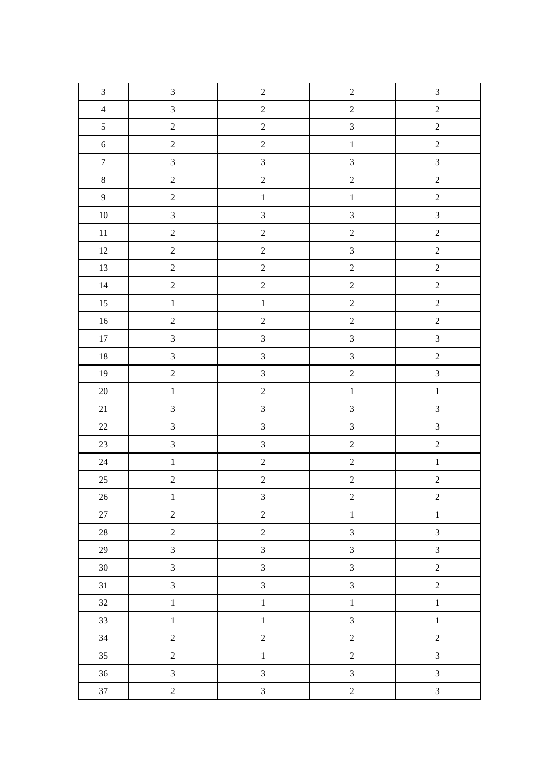| $\mathfrak{Z}$   | $\mathfrak{Z}$   | $\sqrt{2}$              | $\sqrt{2}$     | $\ensuremath{\mathfrak{Z}}$ |
|------------------|------------------|-------------------------|----------------|-----------------------------|
| $\overline{4}$   | $\mathfrak{Z}$   | $\sqrt{2}$              | $\sqrt{2}$     | $\sqrt{2}$                  |
| $\mathfrak{S}$   | $\sqrt{2}$       | $\sqrt{2}$              | $\overline{3}$ | $\sqrt{2}$                  |
| $\sqrt{6}$       | $\sqrt{2}$       | $\sqrt{2}$              | $\,1$          | $\sqrt{2}$                  |
| $\boldsymbol{7}$ | $\mathfrak{Z}$   | $\overline{3}$          | $\overline{3}$ | $\mathfrak{Z}$              |
| $8\,$            | $\sqrt{2}$       | $\sqrt{2}$              | $\sqrt{2}$     | $\sqrt{2}$                  |
| $\overline{9}$   | $\sqrt{2}$       | $\,1\,$                 | $\,1\,$        | $\sqrt{2}$                  |
| $10\,$           | $\mathfrak{Z}$   | $\overline{3}$          | $\overline{3}$ | $\overline{3}$              |
| $11\,$           | $\sqrt{2}$       | $\sqrt{2}$              | $\sqrt{2}$     | $\sqrt{2}$                  |
| $12\,$           | $\sqrt{2}$       | $\overline{c}$          | $\overline{3}$ | $\sqrt{2}$                  |
| $13\,$           | $\boldsymbol{2}$ | $\sqrt{2}$              | $\sqrt{2}$     | $\boldsymbol{2}$            |
| $14\,$           | $\sqrt{2}$       | $\sqrt{2}$              | $\sqrt{2}$     | $\sqrt{2}$                  |
| $15\,$           | $\,1\,$          | $\,1\,$                 | $\overline{c}$ | $\sqrt{2}$                  |
| $16\,$           | $\sqrt{2}$       | $\sqrt{2}$              | $\sqrt{2}$     | $\sqrt{2}$                  |
| $17\,$           | $\sqrt{3}$       | $\overline{3}$          | $\overline{3}$ | $\mathfrak{Z}$              |
| $18\,$           | $\mathfrak{Z}$   | $\overline{3}$          | $\overline{3}$ | $\sqrt{2}$                  |
| $19\,$           | $\sqrt{2}$       | $\overline{3}$          | $\sqrt{2}$     | $\overline{3}$              |
| $20\,$           | $\,1\,$          | $\overline{c}$          | $\,1\,$        | $\,1\,$                     |
| $21\,$           | $\sqrt{3}$       | $\overline{3}$          | $\overline{3}$ | $\overline{3}$              |
| $22\,$           | $\mathfrak{Z}$   | $\overline{3}$          | $\overline{3}$ | $\mathfrak{Z}$              |
| $23\,$           | $\mathfrak{Z}$   | $\overline{3}$          | $\overline{c}$ | $\overline{c}$              |
| $24\,$           | $\,1\,$          | $\sqrt{2}$              | $\overline{2}$ | $\,1\,$                     |
| $25\,$           | $\sqrt{2}$       | $\overline{2}$          | $\overline{2}$ | $\sqrt{2}$                  |
| 26               | $\,1$            | $\overline{\mathbf{3}}$ | $\overline{c}$ | $\overline{c}$              |
| $27\,$           | $\overline{2}$   | $\overline{c}$          | $\,1\,$        | $\,1\,$                     |
| $28\,$           | $\sqrt{2}$       | $\overline{2}$          | $\mathfrak{Z}$ | $\mathfrak{Z}$              |
| 29               | $\overline{3}$   | $\overline{3}$          | $\overline{3}$ | $\overline{3}$              |
| 30               | $\overline{3}$   | $\mathfrak{Z}$          | $\mathfrak{Z}$ | $\sqrt{2}$                  |
| 31               | $\overline{3}$   | $\overline{3}$          | $\mathfrak{Z}$ | $\sqrt{2}$                  |
| 32               | $\,1$            | $\mathbf{1}$            | $\,1\,$        | $\,1\,$                     |
| 33               | $\,1$            | $\overline{1}$          | $\mathfrak{Z}$ | $\,1\,$                     |
| $34\,$           | $\overline{c}$   | $\overline{c}$          | $\sqrt{2}$     | $\sqrt{2}$                  |
| 35               | $\overline{c}$   | $\mathbf{1}$            | $\overline{c}$ | $\mathfrak{Z}$              |
| 36               | $\overline{3}$   | $\overline{3}$          | $\overline{3}$ | $\overline{3}$              |
| 37               | $\sqrt{2}$       | $\overline{3}$          | $\sqrt{2}$     | $\mathfrak{Z}$              |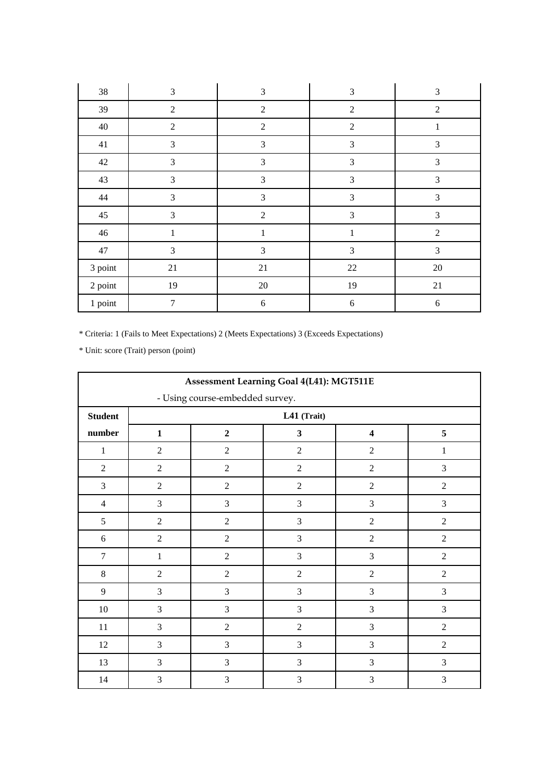| $38\,$  | 3              | $\mathfrak{Z}$ | 3              | $\mathfrak{Z}$   |
|---------|----------------|----------------|----------------|------------------|
| 39      | $\overline{2}$ | $\overline{2}$ | $\overline{2}$ | $\overline{2}$   |
| $40\,$  | $\overline{2}$ | $\overline{2}$ | $\overline{2}$ | $\mathbf{1}$     |
| 41      | 3              | $\mathfrak{Z}$ | $\mathfrak{Z}$ | 3                |
| 42      | $\mathfrak{Z}$ | $\mathfrak{Z}$ | $\mathfrak{Z}$ | $\mathfrak{Z}$   |
| 43      | 3              | 3              | 3              | 3                |
| $44\,$  | $\mathfrak{Z}$ | 3              | 3              | 3                |
| 45      | 3              | $\overline{2}$ | 3              | 3                |
| 46      | $\mathbf{1}$   | $\mathbf{1}$   | $\mathbf 1$    | $\overline{2}$   |
| 47      | 3              | 3              | 3              | 3                |
| 3 point | 21             | 21             | 22             | $20\,$           |
| 2 point | 19             | $20\,$         | 19             | 21               |
| 1 point | $\tau$         | $\sqrt{6}$     | 6              | $\boldsymbol{6}$ |

|                |                | <b>Assessment Learning Goal 4(L41): MGT511E</b> |                         |                         |                |
|----------------|----------------|-------------------------------------------------|-------------------------|-------------------------|----------------|
|                |                | - Using course-embedded survey.                 |                         |                         |                |
| <b>Student</b> |                |                                                 | L41 (Trait)             |                         |                |
| number         | $\mathbf{1}$   | $\overline{2}$                                  | $\overline{\mathbf{3}}$ | $\overline{\mathbf{4}}$ | 5              |
| $\mathbf{1}$   | $\overline{2}$ | $\overline{2}$                                  | $\overline{2}$          | $\overline{2}$          | $\mathbf{1}$   |
| $\overline{2}$ | $\overline{2}$ | $\overline{2}$                                  | $\overline{2}$          | $\overline{2}$          | $\mathfrak{Z}$ |
| $\overline{3}$ | $\overline{2}$ | $\overline{2}$                                  | $\overline{2}$          | $\overline{2}$          | $\overline{2}$ |
| $\overline{4}$ | 3              | 3                                               | 3                       | 3                       | 3              |
| 5              | $\overline{2}$ | $\overline{2}$                                  | 3                       | $\overline{2}$          | $\overline{2}$ |
| 6              | $\overline{2}$ | $\mathfrak{2}$                                  | 3                       | $\overline{2}$          | $\overline{2}$ |
| $\tau$         | $\mathbf{1}$   | $\overline{2}$                                  | 3                       | 3                       | $\overline{2}$ |
| $\,8\,$        | $\overline{2}$ | $\overline{2}$                                  | $\overline{2}$          | $\overline{2}$          | $\overline{2}$ |
| 9              | 3              | $\mathfrak{Z}$                                  | 3                       | 3                       | $\mathfrak{Z}$ |
| $10\,$         | 3              | $\overline{3}$                                  | $\overline{3}$          | 3                       | $\overline{3}$ |
| 11             | $\overline{3}$ | $\overline{2}$                                  | $\overline{2}$          | 3                       | $\overline{2}$ |
| 12             | 3              | $\mathfrak{Z}$                                  | $\overline{3}$          | 3                       | $\overline{2}$ |
| 13             | $\overline{3}$ | $\overline{3}$                                  | 3                       | 3                       | $\mathfrak{Z}$ |
| 14             | 3              | 3                                               | 3                       | 3                       | 3              |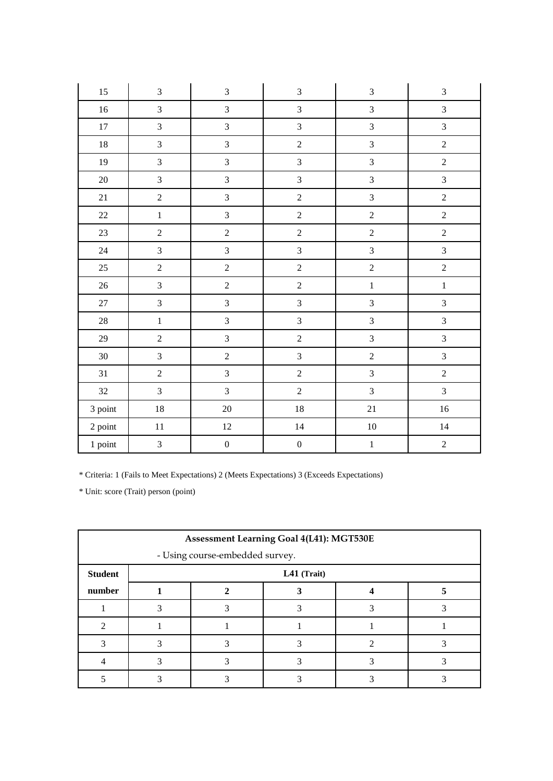| 15      | 3                | $\overline{3}$   | $\overline{3}$   | $\mathfrak{Z}$   | $\mathfrak{Z}$ |
|---------|------------------|------------------|------------------|------------------|----------------|
| $16\,$  | $\overline{3}$   | $\mathfrak{Z}$   | $\overline{3}$   | $\overline{3}$   | $\mathfrak{Z}$ |
| $17\,$  | $\overline{3}$   | $\overline{3}$   | $\overline{3}$   | $\overline{3}$   | $\mathfrak{Z}$ |
| $18\,$  | $\overline{3}$   | $\mathfrak{Z}$   | $\overline{2}$   | $\overline{3}$   | $\overline{2}$ |
| 19      | $\overline{3}$   | $\overline{3}$   | $\overline{3}$   | 3                | $\overline{2}$ |
| $20\,$  | $\overline{3}$   | $\overline{3}$   | $\overline{3}$   | $\overline{3}$   | $\overline{3}$ |
| 21      | $\overline{2}$   | $\mathfrak{Z}$   | $\overline{2}$   | $\mathfrak{Z}$   | $\sqrt{2}$     |
| 22      | $\mathbf 1$      | $\overline{3}$   | $\overline{2}$   | $\overline{2}$   | $\overline{2}$ |
| 23      | $\overline{2}$   | $\overline{2}$   | $\overline{2}$   | $\overline{c}$   | $\overline{c}$ |
| $24\,$  | $\overline{3}$   | $\mathfrak{Z}$   | $\overline{3}$   | $\overline{3}$   | $\overline{3}$ |
| $25\,$  | $\boldsymbol{2}$ | $\sqrt{2}$       | $\overline{2}$   | $\boldsymbol{2}$ | $\overline{c}$ |
| $26\,$  | $\overline{3}$   | $\sqrt{2}$       | $\overline{2}$   | $\,1\,$          | $\,1\,$        |
| $27\,$  | $\overline{3}$   | $\mathfrak{Z}$   | $\overline{3}$   | $\overline{3}$   | $\mathfrak{Z}$ |
| $28\,$  | $\mathbbm{1}$    | $\mathfrak{Z}$   | $\overline{3}$   | $\overline{3}$   | $\overline{3}$ |
| 29      | $\overline{2}$   | $\mathfrak{Z}$   | $\overline{2}$   | $\mathfrak{Z}$   | $\overline{3}$ |
| $30\,$  | $\overline{3}$   | $\sqrt{2}$       | $\overline{3}$   | $\sqrt{2}$       | $\overline{3}$ |
| 31      | $\overline{2}$   | $\mathfrak{Z}$   | $\overline{2}$   | $\overline{3}$   | $\sqrt{2}$     |
| 32      | $\overline{3}$   | $\overline{3}$   | $\overline{2}$   | $\mathfrak{Z}$   | $\overline{3}$ |
| 3 point | $18\,$           | $20\,$           | 18               | 21               | $16\,$         |
| 2 point | $11\,$           | $12\,$           | 14               | $10\,$           | 14             |
| 1 point | $\overline{3}$   | $\boldsymbol{0}$ | $\boldsymbol{0}$ | $\,1$            | $\overline{2}$ |

|                | Assessment Learning Goal 4(L41): MGT530E |             |  |  |  |  |
|----------------|------------------------------------------|-------------|--|--|--|--|
|                | - Using course-embedded survey.          |             |  |  |  |  |
| <b>Student</b> |                                          | L41 (Trait) |  |  |  |  |
| number         |                                          |             |  |  |  |  |
|                |                                          |             |  |  |  |  |
|                |                                          |             |  |  |  |  |
|                |                                          |             |  |  |  |  |
|                |                                          |             |  |  |  |  |
|                |                                          |             |  |  |  |  |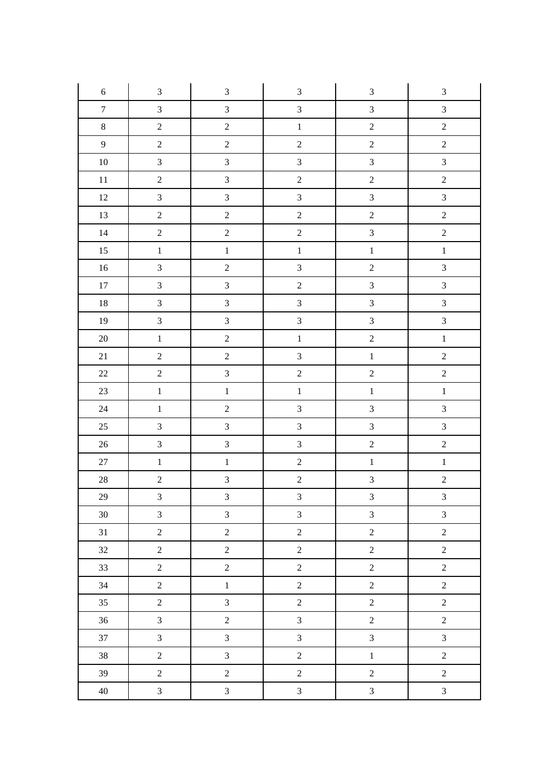| $\sqrt{6}$       | $\ensuremath{\mathfrak{Z}}$ | $\mathfrak{Z}$   | $\mathfrak{Z}$          | $\ensuremath{\mathfrak{Z}}$ | $\ensuremath{\mathfrak{Z}}$ |
|------------------|-----------------------------|------------------|-------------------------|-----------------------------|-----------------------------|
| $\boldsymbol{7}$ | $\overline{3}$              | $\overline{3}$   | $\overline{3}$          | $\mathfrak{Z}$              | $\mathfrak{Z}$              |
| $\,8\,$          | $\sqrt{2}$                  | $\sqrt{2}$       | $\,1\,$                 | $\sqrt{2}$                  | $\sqrt{2}$                  |
| $\overline{9}$   | $\boldsymbol{2}$            | $\boldsymbol{2}$ | $\boldsymbol{2}$        | $\sqrt{2}$                  | $\overline{2}$              |
| $10\,$           | $\overline{3}$              | $\overline{3}$   | $\overline{3}$          | $\mathfrak{Z}$              | $\mathfrak{Z}$              |
| $11\,$           | $\sqrt{2}$                  | $\mathfrak{Z}$   | $\sqrt{2}$              | $\overline{c}$              | $\overline{c}$              |
| 12               | $\overline{3}$              | $\mathfrak{Z}$   | $\overline{3}$          | $\mathfrak{Z}$              | $\mathfrak{Z}$              |
| 13               | $\sqrt{2}$                  | $\sqrt{2}$       | $\boldsymbol{2}$        | $\overline{c}$              | $\sqrt{2}$                  |
| 14               | $\sqrt{2}$                  | $\sqrt{2}$       | $\overline{c}$          | $\overline{3}$              | $\overline{c}$              |
| 15               | $\,1\,$                     | $1\,$            | $\,1\,$                 | $\,1\,$                     | $\mathbf 1$                 |
| $16\,$           | $\overline{3}$              | $\sqrt{2}$       | $\overline{3}$          | $\overline{c}$              | $\mathfrak{Z}$              |
| $17\,$           | $\overline{3}$              | $\mathfrak{Z}$   | $\sqrt{2}$              | $\mathfrak{Z}$              | $\mathfrak{Z}$              |
| $18\,$           | $\overline{3}$              | $\mathfrak{Z}$   | $\overline{3}$          | $\mathfrak{Z}$              | $\mathfrak{Z}$              |
| 19               | $\overline{3}$              | $\overline{3}$   | $\overline{3}$          | $\overline{3}$              | $\mathfrak{Z}$              |
| $20\,$           | $\,1\,$                     | $\sqrt{2}$       | $\,1\,$                 | $\overline{c}$              | $\,1\,$                     |
| $21\,$           | $\sqrt{2}$                  | $\boldsymbol{2}$ | $\overline{3}$          | $\,1\,$                     | $\boldsymbol{2}$            |
| $22\,$           | $\overline{2}$              | $\mathfrak{Z}$   | $\overline{2}$          | $\sqrt{2}$                  | $\sqrt{2}$                  |
| 23               | $\overline{1}$              | $\,1\,$          | $\,1\,$                 | $\,1\,$                     | $\,1$                       |
| $24\,$           | $\,1\,$                     | $\sqrt{2}$       | $\overline{3}$          | $\overline{3}$              | $\mathfrak{Z}$              |
| $25\,$           | $\overline{3}$              | $\overline{3}$   | $\overline{3}$          | $\overline{3}$              | $\mathfrak{Z}$              |
| $26\,$           | $\overline{3}$              | $\mathfrak{Z}$   | $\mathfrak{Z}$          | $\overline{c}$              | $\sqrt{2}$                  |
| $27\,$           | $\,1\,$                     | $\mathbf 1$      | $\sqrt{2}$              | $\,1\,$                     | $\,1$                       |
| $28\,$           | $\overline{c}$              | $\overline{3}$   | $\boldsymbol{2}$        | $\overline{\mathbf{3}}$     | $\overline{c}$              |
| 29               | $\overline{3}$              | $\mathfrak{Z}$   | $\overline{\mathbf{3}}$ | $\mathfrak{Z}$              | $\mathfrak{Z}$              |
| $30\,$           | $\overline{3}$              | $\mathfrak{Z}$   | $\overline{3}$          | $\mathfrak{Z}$              | $\mathfrak{Z}$              |
| 31               | $\overline{2}$              | $\overline{2}$   | $\overline{2}$          | $\overline{2}$              | $\sqrt{2}$                  |
| 32               | $\sqrt{2}$                  | $\overline{2}$   | $\overline{2}$          | $\overline{c}$              | $\overline{2}$              |
| 33               | $\overline{2}$              | $\overline{2}$   | $\overline{2}$          | $\overline{2}$              | $\overline{2}$              |
| 34               | $\overline{2}$              | $\,1$            | $\overline{2}$          | $\sqrt{2}$                  | $\sqrt{2}$                  |
| 35               | $\sqrt{2}$                  | $\mathfrak{Z}$   | $\overline{c}$          | $\boldsymbol{2}$            | $\sqrt{2}$                  |
| 36               | $\overline{3}$              | $\overline{2}$   | $\overline{3}$          | $\overline{2}$              | $\sqrt{2}$                  |
| 37               | $\overline{3}$              | $\overline{3}$   | $\overline{3}$          | $\mathfrak{Z}$              | $\overline{3}$              |
| 38               | $\overline{2}$              | $\mathfrak{Z}$   | $\overline{2}$          | $\mathbf{1}$                | $\overline{2}$              |
| 39               | $\overline{2}$              | $\overline{2}$   | $\overline{2}$          | $\sqrt{2}$                  | $\overline{2}$              |
| $40\,$           | $\overline{3}$              | $\mathfrak{Z}$   | $\overline{3}$          | $\mathfrak{Z}$              | $\mathfrak{Z}$              |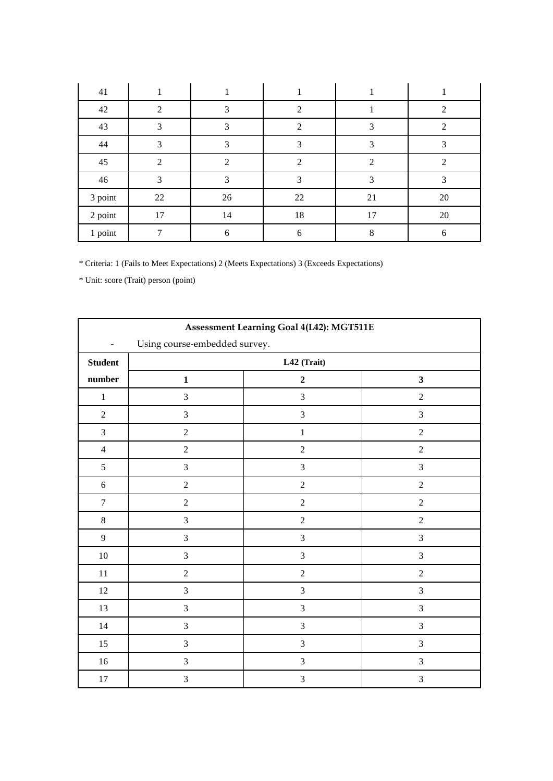| 41      |                |                |                             |    |                             |
|---------|----------------|----------------|-----------------------------|----|-----------------------------|
| 42      | $\mathfrak{D}$ | 3              | $\mathfrak{D}$              |    | $\mathcal{D}_{\mathcal{L}}$ |
| 43      | 3              | 3              | $\mathcal{D}_{\mathcal{L}}$ | 3  | 2                           |
| 44      | 3              | 3              |                             | 3  | 3                           |
| 45      | $\mathfrak{D}$ | $\mathfrak{D}$ | 2                           | 2  | $\mathfrak{D}$              |
| 46      | 3              | 3              | 3                           | 3  | 3                           |
| 3 point | 22             | 26             | 22                          | 21 | 20                          |
| 2 point | 17             | 14             | 18                          | 17 | 20                          |
| 1 point |                | 6              | 6                           | 8  | 6                           |

|                          |                               | Assessment Learning Goal 4(L42): MGT511E |                  |
|--------------------------|-------------------------------|------------------------------------------|------------------|
| $\overline{\phantom{0}}$ | Using course-embedded survey. |                                          |                  |
| <b>Student</b>           |                               | $L42$ (Trait)                            |                  |
| number                   | $\mathbf 1$                   | $\mathbf 2$                              | $\mathbf{3}$     |
| $\,1$                    | $\overline{3}$                | $\mathfrak{Z}$                           | $\sqrt{2}$       |
| $\overline{2}$           | 3                             | $\mathfrak{Z}$                           | $\mathfrak{Z}$   |
| $\mathfrak{Z}$           | $\sqrt{2}$                    | $\mathbf 1$                              | $\boldsymbol{2}$ |
| $\overline{4}$           | $\sqrt{2}$                    | $\sqrt{2}$                               | $\sqrt{2}$       |
| 5                        | $\mathfrak{Z}$                | $\mathfrak{Z}$                           | $\mathfrak{Z}$   |
| $\sqrt{6}$               | $\sqrt{2}$                    | $\sqrt{2}$                               | $\sqrt{2}$       |
| $\tau$                   | $\sqrt{2}$                    | $\sqrt{2}$                               | $\sqrt{2}$       |
| $\,8\,$                  | $\mathfrak{Z}$                | $\sqrt{2}$                               | $\boldsymbol{2}$ |
| 9                        | $\mathfrak{Z}$                | $\mathfrak{Z}$                           | $\mathfrak{Z}$   |
| $10\,$                   | $\mathfrak{Z}$                | $\mathfrak{Z}$                           | $\mathfrak{Z}$   |
| $11\,$                   | $\sqrt{2}$                    | $\sqrt{2}$                               | $\sqrt{2}$       |
| $12\,$                   | $\overline{3}$                | 3                                        | $\mathfrak{Z}$   |
| $13\,$                   | $\mathfrak{Z}$                | $\ensuremath{\mathfrak{Z}}$              | $\mathfrak{Z}$   |
| 14                       | $\mathfrak{Z}$                | $\mathfrak{Z}$                           | $\mathfrak{Z}$   |
| 15                       | 3                             | $\mathfrak{Z}$                           | $\mathfrak{Z}$   |
| $16\,$                   | $\mathfrak{Z}$                | $\ensuremath{\mathfrak{Z}}$              | $\mathfrak 3$    |
| $17\,$                   | 3                             | 3                                        | $\mathfrak{Z}$   |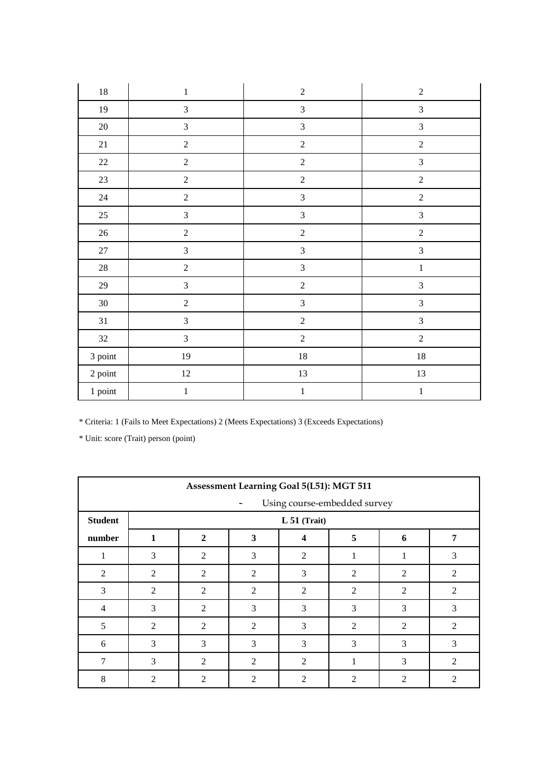| $18\,$         | $\,1$          | $\sqrt{2}$                  | $\sqrt{2}$                  |
|----------------|----------------|-----------------------------|-----------------------------|
| 19             | $\mathfrak{Z}$ | $\mathfrak{Z}$              | $\mathfrak{Z}$              |
| $20\,$         | $\mathfrak{Z}$ | $\mathfrak{Z}$              | $\mathfrak{Z}$              |
| 21             | $\sqrt{2}$     | $\sqrt{2}$                  | $\sqrt{2}$                  |
| $22\,$         | $\overline{c}$ | $\sqrt{2}$                  | $\mathfrak{Z}$              |
| 23             | $\sqrt{2}$     | $\sqrt{2}$                  | $\sqrt{2}$                  |
| $24\,$         | $\sqrt{2}$     | $\ensuremath{\mathfrak{Z}}$ | $\sqrt{2}$                  |
| $25\,$         | $\mathfrak{Z}$ | $\sqrt{3}$                  | $\mathfrak{Z}$              |
| $26\,$         | $\sqrt{2}$     | $\sqrt{2}$                  | $\sqrt{2}$                  |
| $27\,$         | $\sqrt{3}$     | $\sqrt{3}$                  | $\ensuremath{\mathfrak{Z}}$ |
| $28\,$         | $\sqrt{2}$     | $\mathfrak{Z}$              | $\mathbf 1$                 |
| $29\,$         | $\overline{3}$ | $\sqrt{2}$                  | $\mathfrak{Z}$              |
| $30\,$         | $\sqrt{2}$     | $\overline{3}$              | $\mathfrak{Z}$              |
| $31\,$         | $\sqrt{3}$     | $\sqrt{2}$                  | $\mathfrak{Z}$              |
| $32\,$         | $\sqrt{3}$     | $\sqrt{2}$                  | $\sqrt{2}$                  |
| 3 point        | 19             | $18\,$                      | $18\,$                      |
| $2$ point $\,$ | $12\,$         | $13\,$                      | 13                          |
| 1 point        | $\,1$          | $\,1$                       | $\,1\,$                     |

|                | Assessment Learning Goal 5(L51): MGT 511 |                |                |                              |                             |                |                |
|----------------|------------------------------------------|----------------|----------------|------------------------------|-----------------------------|----------------|----------------|
|                |                                          |                |                | Using course-embedded survey |                             |                |                |
| <b>Student</b> |                                          |                |                | $L 51$ (Trait)               |                             |                |                |
| number         | 1                                        | $\mathbf{2}$   | 3              | 4                            | 5                           | 6              | 7              |
| $\perp$        | 3                                        | 2              | 3              | 2                            | 1                           | 1              | 3              |
| 2              | $\overline{2}$                           | 2              | 2              | 3                            | $\overline{2}$              | 2              | 2              |
| 3              | $\overline{2}$                           | 2              | $\overline{2}$ | $\overline{2}$               | $\overline{2}$              | $\overline{2}$ | $\overline{2}$ |
| $\overline{4}$ | 3                                        | 2              | 3              | 3                            | 3                           | 3              | 3              |
| 5              | $\overline{2}$                           | $\overline{c}$ | $\mathfrak{D}$ | 3                            | $\mathfrak{D}$              | $\overline{2}$ | 2              |
| 6              | 3                                        | 3              | 3              | 3                            | 3                           | 3              | 3              |
| 7              | 3                                        | $\mathfrak{D}$ | 2              | 2                            |                             | 3              | 2              |
| 8              | $\mathcal{L}$                            | $\mathfrak{D}$ | 2              | 2                            | $\mathcal{D}_{\mathcal{A}}$ | $\overline{2}$ | 2              |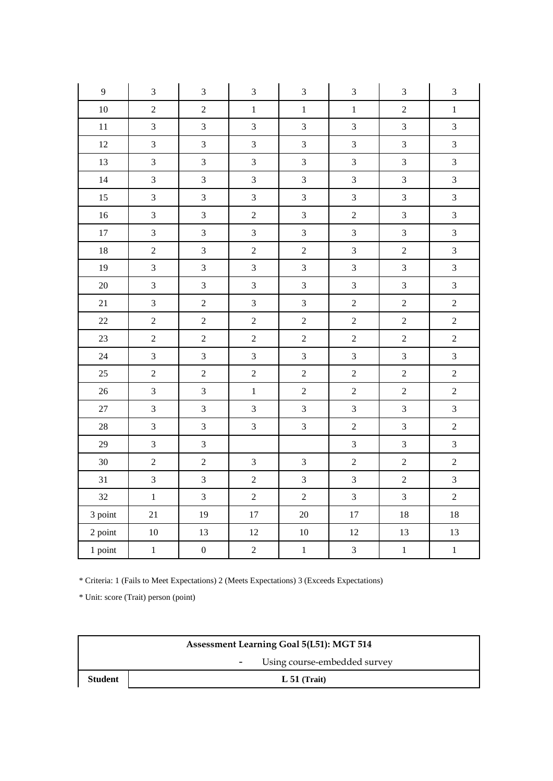| $\mathbf{9}$ | $\mathfrak{Z}$          | $\mathfrak{Z}$   | $\mathfrak{Z}$          | $\mathfrak{Z}$ | $\mathfrak{Z}$ | $\mathfrak{Z}$ | $\mathfrak{Z}$ |
|--------------|-------------------------|------------------|-------------------------|----------------|----------------|----------------|----------------|
| $10\,$       | $\overline{2}$          | $\overline{2}$   | $\mathbf 1$             | $\mathbf{1}$   | $\,1$          | $\overline{2}$ | $\mathbf{1}$   |
| $11\,$       | $\overline{3}$          | $\overline{3}$   | $\overline{3}$          | $\overline{3}$ | $\overline{3}$ | $\overline{3}$ | $\overline{3}$ |
| $12\,$       | $\overline{\mathbf{3}}$ | $\overline{3}$   | 3                       | $\mathfrak{Z}$ | $\mathfrak{Z}$ | $\overline{3}$ | $\overline{3}$ |
| 13           | $\overline{3}$          | $\overline{3}$   | $\overline{3}$          | $\overline{3}$ | $\mathfrak{Z}$ | $\overline{3}$ | $\overline{3}$ |
| 14           | $\overline{3}$          | $\overline{3}$   | $\overline{3}$          | $\overline{3}$ | $\overline{3}$ | $\overline{3}$ | $\overline{3}$ |
| 15           | $\overline{3}$          | $\overline{3}$   | $\overline{3}$          | $\overline{3}$ | $\overline{3}$ | $\overline{3}$ | 3              |
| $16\,$       | $\overline{\mathbf{3}}$ | $\overline{3}$   | $\overline{c}$          | $\overline{3}$ | $\overline{c}$ | $\overline{3}$ | $\overline{3}$ |
| $17\,$       | $\overline{3}$          | $\overline{3}$   | $\overline{3}$          | $\overline{3}$ | $\mathfrak{Z}$ | $\overline{3}$ | $\overline{3}$ |
| $18\,$       | $\overline{c}$          | $\overline{3}$   | $\overline{2}$          | $\overline{2}$ | $\overline{3}$ | $\overline{2}$ | $\overline{3}$ |
| 19           | $\overline{\mathbf{3}}$ | $\overline{3}$   | $\overline{3}$          | $\overline{3}$ | $\overline{3}$ | $\overline{3}$ | $\overline{3}$ |
| $20\,$       | $\overline{3}$          | $\mathfrak{Z}$   | 3                       | $\overline{3}$ | $\mathfrak{Z}$ | $\mathfrak{Z}$ | $\mathfrak{Z}$ |
| 21           | $\overline{3}$          | $\overline{c}$   | $\overline{\mathbf{3}}$ | $\overline{3}$ | $\overline{2}$ | $\overline{2}$ | $\overline{c}$ |
| 22           | $\overline{c}$          | $\overline{2}$   | $\overline{2}$          | $\overline{2}$ | $\overline{2}$ | $\overline{2}$ | $\overline{2}$ |
| 23           | $\overline{2}$          | $\overline{2}$   | $\overline{2}$          | $\overline{c}$ | $\overline{2}$ | $\overline{2}$ | $\sqrt{2}$     |
| 24           | $\overline{\mathbf{3}}$ | $\overline{3}$   | 3                       | $\mathfrak{Z}$ | $\mathfrak{Z}$ | $\overline{3}$ | $\overline{3}$ |
| 25           | $\overline{c}$          | $\overline{c}$   | $\overline{2}$          | $\sqrt{2}$     | $\overline{2}$ | $\overline{2}$ | $\overline{c}$ |
| 26           | $\overline{3}$          | $\overline{3}$   | $\mathbf{1}$            | $\overline{2}$ | $\overline{2}$ | $\overline{2}$ | $\overline{2}$ |
| $27\,$       | $\overline{3}$          | $\overline{3}$   | $\overline{3}$          | $\overline{3}$ | $\overline{3}$ | $\overline{3}$ | 3              |
| $28\,$       | $\overline{3}$          | $\overline{3}$   | $\overline{3}$          | $\overline{3}$ | $\overline{c}$ | $\overline{3}$ | $\sqrt{2}$     |
| 29           | $\overline{3}$          | $\overline{3}$   |                         |                | $\overline{3}$ | $\overline{3}$ | $\overline{3}$ |
| $30\,$       | $\overline{c}$          | $\overline{2}$   | $\overline{3}$          | $\overline{3}$ | $\overline{2}$ | $\overline{2}$ | $\overline{c}$ |
| 31           | $\overline{3}$          | $\overline{3}$   | $\overline{2}$          | $\overline{3}$ | $\overline{3}$ | $\overline{2}$ | $\mathfrak{Z}$ |
| 32           | $\,1$                   | $\overline{3}$   | $\overline{2}$          | $\overline{2}$ | $\overline{3}$ | $\overline{3}$ | $\overline{2}$ |
| 3 point      | 21                      | 19               | 17                      | $20\,$         | $17\,$         | $18\,$         | $18\,$         |
| 2 point      | $10\,$                  | 13               | 12                      | $10\,$         | $12\,$         | 13             | 13             |
| 1 point      | $\,1$                   | $\boldsymbol{0}$ | $\overline{2}$          | $\,1$          | $\mathfrak{Z}$ | $\mathbf 1$    | $\,1$          |

| <b>Assessment Learning Goal 5(L51): MGT 514</b> |                                            |  |  |  |
|-------------------------------------------------|--------------------------------------------|--|--|--|
|                                                 | Using course-embedded survey<br>$\sim$ $-$ |  |  |  |
| <b>Student</b>                                  | $L 51$ (Trait)                             |  |  |  |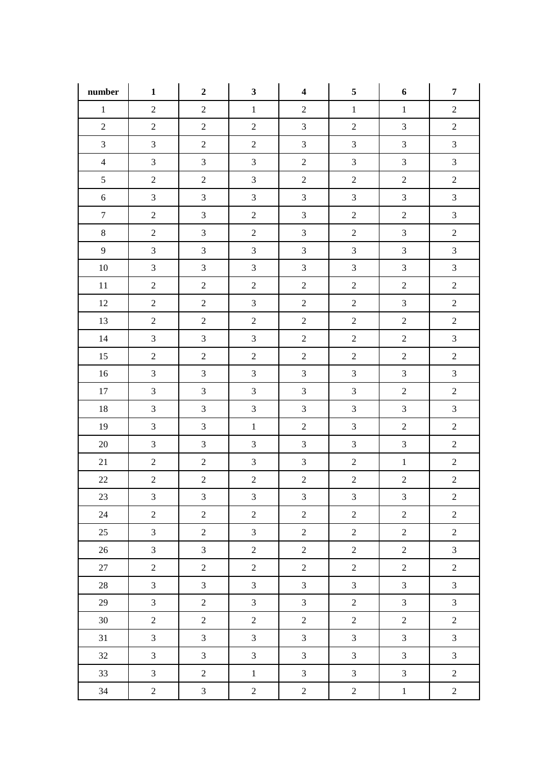| number         | $\mathbf{1}$            | $\boldsymbol{2}$ | $\mathbf{3}$            | $\overline{\mathbf{4}}$ | 5              | 6              | $\overline{7}$ |
|----------------|-------------------------|------------------|-------------------------|-------------------------|----------------|----------------|----------------|
| $1\,$          | $\sqrt{2}$              | $\overline{2}$   | $\mathbf{1}$            | $\boldsymbol{2}$        | $\,1$          | $\mathbf{1}$   | $\overline{2}$ |
| $\overline{2}$ | $\sqrt{2}$              | $\overline{2}$   | $\sqrt{2}$              | $\mathfrak{Z}$          | $\overline{2}$ | $\mathfrak{Z}$ | $\overline{2}$ |
| $\mathfrak{Z}$ | $\overline{3}$          | $\overline{2}$   | $\overline{2}$          | $\overline{3}$          | $\overline{3}$ | $\overline{3}$ | $\overline{3}$ |
| $\overline{4}$ | $\mathfrak{Z}$          | $\mathfrak{Z}$   | $\overline{3}$          | $\overline{c}$          | $\mathfrak{Z}$ | $\mathfrak{Z}$ | $\overline{3}$ |
| $\mathfrak{S}$ | $\overline{2}$          | $\overline{2}$   | $\overline{3}$          | $\overline{2}$          | $\overline{2}$ | $\overline{2}$ | $\overline{2}$ |
| $6\,$          | $\overline{3}$          | $\mathfrak{Z}$   | $\overline{3}$          | $\mathfrak{Z}$          | $\mathfrak{Z}$ | $\overline{3}$ | $\overline{3}$ |
| $\tau$         | $\overline{c}$          | $\mathfrak{Z}$   | $\overline{2}$          | $\mathfrak{Z}$          | $\overline{2}$ | $\sqrt{2}$     | $\overline{3}$ |
| $8\,$          | $\overline{c}$          | $\mathfrak{Z}$   | $\overline{c}$          | $\mathfrak{Z}$          | $\overline{2}$ | $\mathfrak{Z}$ | $\overline{c}$ |
| 9              | $\overline{3}$          | $\mathfrak{Z}$   | $\overline{3}$          | $\overline{3}$          | $\mathfrak{Z}$ | $\overline{3}$ | $\overline{3}$ |
| $10\,$         | $\overline{3}$          | $\mathfrak{Z}$   | $\overline{3}$          | $\overline{3}$          | $\mathfrak{Z}$ | $\mathfrak{Z}$ | $\overline{3}$ |
| 11             | $\overline{c}$          | $\overline{2}$   | $\overline{2}$          | $\boldsymbol{2}$        | $\overline{2}$ | $\overline{2}$ | $\overline{2}$ |
| 12             | $\sqrt{2}$              | $\overline{2}$   | $\overline{3}$          | $\overline{c}$          | $\overline{2}$ | $\overline{3}$ | $\overline{2}$ |
| 13             | $\sqrt{2}$              | $\overline{2}$   | $\overline{2}$          | $\sqrt{2}$              | $\overline{2}$ | $\sqrt{2}$     | $\sqrt{2}$     |
| 14             | $\mathfrak{Z}$          | $\mathfrak{Z}$   | $\overline{3}$          | $\boldsymbol{2}$        | $\overline{2}$ | $\overline{2}$ | $\overline{3}$ |
| 15             | $\overline{c}$          | $\overline{2}$   | $\overline{2}$          | $\sqrt{2}$              | $\overline{2}$ | $\overline{2}$ | $\sqrt{2}$     |
| $16\,$         | $\mathfrak{Z}$          | $\mathfrak{Z}$   | $\overline{3}$          | $\mathfrak{Z}$          | $\mathfrak{Z}$ | $\overline{3}$ | $\overline{3}$ |
| 17             | $\overline{3}$          | $\mathfrak{Z}$   | $\overline{3}$          | $\overline{3}$          | $\mathfrak{Z}$ | $\overline{2}$ | $\overline{c}$ |
| 18             | $\mathfrak{Z}$          | $\mathfrak{Z}$   | $\mathfrak{Z}$          | $\mathfrak{Z}$          | $\mathfrak{Z}$ | $\overline{3}$ | $\mathfrak{Z}$ |
| 19             | $\mathfrak{Z}$          | $\mathfrak{Z}$   | $\,1\,$                 | $\boldsymbol{2}$        | $\mathfrak{Z}$ | $\sqrt{2}$     | $\sqrt{2}$     |
| $20\,$         | $\mathfrak{Z}$          | $\mathfrak{Z}$   | $\overline{3}$          | $\mathfrak{Z}$          | $\mathfrak{Z}$ | $\overline{3}$ | $\sqrt{2}$     |
| 21             | $\sqrt{2}$              | $\overline{2}$   | $\overline{3}$          | $\mathfrak{Z}$          | $\overline{2}$ | $\,1\,$        | $\overline{2}$ |
| $22\,$         | $\sqrt{2}$              | $\overline{2}$   | $\overline{2}$          | $\sqrt{2}$              | $\overline{2}$ | $\overline{2}$ | $\sqrt{2}$     |
| $23\,$         | $\overline{\mathbf{3}}$ | $\mathfrak{Z}$   | $\overline{\mathbf{3}}$ | $\overline{3}$          | $\mathfrak{Z}$ | $\mathfrak{Z}$ | $\overline{c}$ |
| 24             | $\overline{2}$          | $\overline{2}$   | $\overline{2}$          | $\overline{2}$          | $\overline{2}$ | $\overline{2}$ | $\sqrt{2}$     |
| 25             | $\overline{3}$          | $\overline{2}$   | $\mathfrak{Z}$          | $\overline{2}$          | $\overline{2}$ | $\sqrt{2}$     | $\sqrt{2}$     |
| $26\,$         | $\overline{3}$          | $\mathfrak{Z}$   | $\overline{2}$          | $\overline{2}$          | $\overline{2}$ | $\overline{2}$ | $\overline{3}$ |
| 27             | $\overline{c}$          | $\overline{2}$   | $\overline{2}$          | $\overline{2}$          | $\overline{2}$ | $\overline{2}$ | $\overline{2}$ |
| $28\,$         | $\overline{3}$          | $\mathfrak{Z}$   | $\mathfrak{Z}$          | $\overline{3}$          | $\mathfrak{Z}$ | $\mathfrak{Z}$ | $\overline{3}$ |
| 29             | $\mathfrak{Z}$          | $\overline{2}$   | $\mathfrak{Z}$          | $\overline{3}$          | $\overline{2}$ | $\overline{3}$ | $\overline{3}$ |
| 30             | $\overline{2}$          | $\overline{2}$   | $\overline{2}$          | $\overline{2}$          | $\overline{2}$ | $\overline{2}$ | $\sqrt{2}$     |
| 31             | $\overline{3}$          | $\mathfrak{Z}$   | $\overline{3}$          | $\overline{3}$          | $\mathfrak{Z}$ | $\overline{3}$ | $\mathfrak{Z}$ |
| 32             | $\overline{3}$          | $\mathfrak{Z}$   | $\overline{3}$          | $\overline{3}$          | $\mathfrak{Z}$ | $\overline{3}$ | $\mathfrak{Z}$ |
| 33             | $\overline{3}$          | $\overline{2}$   | $1\,$                   | $\overline{3}$          | $\mathfrak{Z}$ | $\overline{3}$ | $\overline{c}$ |
| 34             | $\sqrt{2}$              | $\mathfrak{Z}$   | $\sqrt{2}$              | $\overline{c}$          | $\overline{c}$ | $\,1\,$        | $\sqrt{2}$     |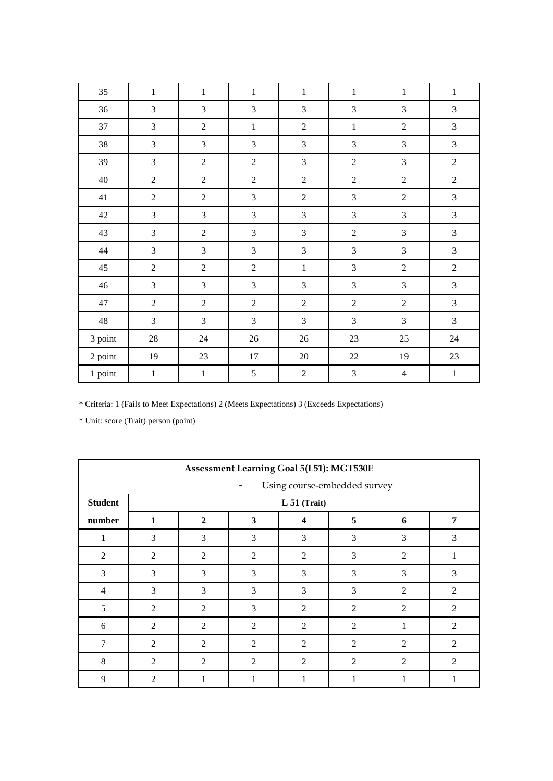| 35      | $\mathbf 1$    | $\mathbf{1}$   | $\,1$          | $\mathbf 1$                 | $\,1$          | $\mathbf 1$    | $\mathbf 1$    |
|---------|----------------|----------------|----------------|-----------------------------|----------------|----------------|----------------|
| 36      | $\overline{3}$ | 3              | 3              | $\mathfrak{Z}$              | 3              | 3              | 3              |
| 37      | $\overline{3}$ | $\overline{2}$ | $\mathbf 1$    | $\sqrt{2}$                  | $\,1$          | $\overline{2}$ | 3              |
| 38      | $\mathfrak{Z}$ | 3              | $\mathfrak 3$  | $\ensuremath{\mathfrak{Z}}$ | 3              | $\mathfrak{Z}$ | $\mathfrak{Z}$ |
| 39      | 3              | $\overline{2}$ | $\sqrt{2}$     | $\mathfrak{Z}$              | $\overline{2}$ | 3              | $\sqrt{2}$     |
| 40      | $\overline{2}$ | $\overline{2}$ | $\overline{2}$ | $\overline{2}$              | $\overline{2}$ | $\overline{2}$ | $\overline{2}$ |
| 41      | $\sqrt{2}$     | $\overline{2}$ | 3              | $\sqrt{2}$                  | 3              | $\overline{2}$ | $\mathfrak{Z}$ |
| 42      | $\overline{3}$ | 3              | 3              | $\mathfrak{Z}$              | 3              | 3              | 3              |
| 43      | $\overline{3}$ | $\overline{2}$ | 3              | $\mathfrak 3$               | $\sqrt{2}$     | 3              | $\mathfrak{Z}$ |
| 44      | $\mathfrak{Z}$ | 3              | $\mathfrak 3$  | $\ensuremath{\mathfrak{Z}}$ | 3              | $\mathfrak{Z}$ | $\mathfrak{Z}$ |
| 45      | $\overline{2}$ | $\overline{2}$ | $\overline{2}$ | $\mathbf 1$                 | 3              | $\overline{2}$ | $\sqrt{2}$     |
| 46      | 3              | 3              | 3              | 3                           | 3              | 3              | 3              |
| 47      | $\sqrt{2}$     | $\overline{2}$ | $\overline{2}$ | $\sqrt{2}$                  | $\overline{2}$ | $\overline{2}$ | $\mathfrak{Z}$ |
| 48      | $\overline{3}$ | 3              | 3              | $\mathfrak{Z}$              | 3              | 3              | 3              |
| 3 point | $28\,$         | $24\,$         | $26\,$         | $26\,$                      | $23\,$         | $25\,$         | $24\,$         |
| 2 point | 19             | $23\,$         | 17             | 20                          | $22\,$         | 19             | $23\,$         |
| 1 point | $\mathbf{1}$   | $\mathbf 1$    | 5              | $\sqrt{2}$                  | 3              | $\overline{4}$ | $1\,$          |

|                                   | Assessment Learning Goal 5(L51): MGT530E |                |                |                |                |                |                |  |  |  |  |
|-----------------------------------|------------------------------------------|----------------|----------------|----------------|----------------|----------------|----------------|--|--|--|--|
| Using course-embedded survey<br>- |                                          |                |                |                |                |                |                |  |  |  |  |
| <b>Student</b>                    |                                          | L 51 (Trait)   |                |                |                |                |                |  |  |  |  |
| number                            | 1                                        | $\mathbf{2}$   | 3              | 4              | 5              | 6              | 7              |  |  |  |  |
| 1                                 | 3                                        | 3              | 3              | 3              | 3              | 3              | 3              |  |  |  |  |
| 2                                 | $\overline{2}$                           | 2              | 2              | $\overline{2}$ | 3              | 2              | 1              |  |  |  |  |
| 3                                 | 3                                        | 3              | 3              | 3              | 3              | 3              | 3              |  |  |  |  |
| $\overline{4}$                    | 3                                        | 3              | 3              | 3              | 3              | $\overline{2}$ | 2              |  |  |  |  |
| 5                                 | $\overline{2}$                           | $\overline{2}$ | 3              | $\overline{2}$ | $\overline{2}$ | 2              | 2              |  |  |  |  |
| 6                                 | $\overline{2}$                           | 2              | $\overline{c}$ | $\overline{2}$ | $\overline{2}$ | 1              | $\overline{2}$ |  |  |  |  |
| 7                                 | $\overline{2}$                           | 2              | 2              | 2              | $\overline{2}$ | $\overline{2}$ | 2              |  |  |  |  |
| 8                                 | $\overline{2}$                           | 2              | $\overline{c}$ | $\overline{2}$ | $\overline{2}$ | $\overline{2}$ | 2              |  |  |  |  |
| 9                                 | $\overline{2}$                           |                | 1              |                |                | 1              |                |  |  |  |  |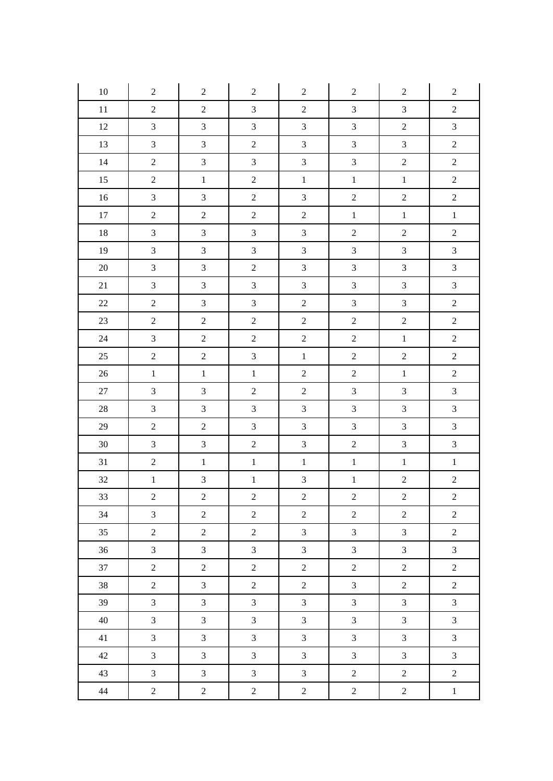| $10\,$ | $\overline{2}$   | $\overline{2}$   | $\sqrt{2}$     | $\overline{2}$   | $\overline{2}$   | $\mathbf{2}$     | $\overline{c}$   |
|--------|------------------|------------------|----------------|------------------|------------------|------------------|------------------|
| 11     | $\boldsymbol{2}$ | $\sqrt{2}$       | $\overline{3}$ | $\boldsymbol{2}$ | $\mathfrak{Z}$   | $\mathfrak{Z}$   | $\overline{c}$   |
| 12     | $\mathfrak{Z}$   | $\mathfrak{Z}$   | $\mathfrak{Z}$ | $\mathfrak{Z}$   | $\mathfrak{Z}$   | $\sqrt{2}$       | $\overline{3}$   |
| 13     | $\mathfrak{Z}$   | $\mathfrak{Z}$   | $\sqrt{2}$     | $\mathfrak{Z}$   | $\mathfrak{Z}$   | $\mathfrak{Z}$   | $\boldsymbol{2}$ |
| 14     | $\boldsymbol{2}$ | $\mathfrak{Z}$   | $\overline{3}$ | $\overline{3}$   | $\mathfrak{Z}$   | $\overline{c}$   | $\boldsymbol{2}$ |
| 15     | $\overline{c}$   | $\,1\,$          | $\overline{c}$ | $\,1\,$          | $\,1\,$          | $\,1$            | $\boldsymbol{2}$ |
| 16     | $\mathfrak{Z}$   | $\mathfrak{Z}$   | $\overline{2}$ | $\mathfrak{Z}$   | $\sqrt{2}$       | $\boldsymbol{2}$ | $\sqrt{2}$       |
| 17     | $\boldsymbol{2}$ | $\sqrt{2}$       | $\sqrt{2}$     | $\boldsymbol{2}$ | $1\,$            | $1\,$            | $\,1\,$          |
| 18     | $\mathfrak{Z}$   | $\mathfrak{Z}$   | $\mathfrak{Z}$ | $\mathfrak{Z}$   | $\sqrt{2}$       | $\sqrt{2}$       | $\boldsymbol{2}$ |
| 19     | $\mathfrak{Z}$   | $\mathfrak{Z}$   | $\mathfrak{Z}$ | $\mathfrak{Z}$   | $\mathfrak{Z}$   | $\mathfrak{Z}$   | $\overline{3}$   |
| $20\,$ | $\overline{3}$   | $\mathfrak{Z}$   | $\sqrt{2}$     | $\overline{3}$   | $\mathfrak{Z}$   | $\overline{3}$   | $\overline{3}$   |
| 21     | $\mathfrak{Z}$   | $\mathfrak{Z}$   | $\mathfrak{Z}$ | $\mathfrak{Z}$   | $\mathfrak{Z}$   | $\mathfrak{Z}$   | $\mathfrak{Z}$   |
| 22     | $\boldsymbol{2}$ | $\mathfrak{Z}$   | $\mathfrak{Z}$ | $\sqrt{2}$       | $\mathfrak{Z}$   | $\mathfrak{Z}$   | $\sqrt{2}$       |
| 23     | $\sqrt{2}$       | $\boldsymbol{2}$ | $\sqrt{2}$     | $\sqrt{2}$       | $\boldsymbol{2}$ | $\sqrt{2}$       | $\sqrt{2}$       |
| 24     | $\mathfrak{Z}$   | $\boldsymbol{2}$ | $\sqrt{2}$     | $\sqrt{2}$       | $\boldsymbol{2}$ | $1\,$            | $\sqrt{2}$       |
| 25     | $\overline{c}$   | $\overline{2}$   | $\overline{3}$ | $\,1$            | $\sqrt{2}$       | $\sqrt{2}$       | $\sqrt{2}$       |
| $26\,$ | $\,1$            | $\,1\,$          | $\,1$          | $\boldsymbol{2}$ | $\sqrt{2}$       | $\,1$            | $\boldsymbol{2}$ |
| 27     | $\mathfrak{Z}$   | $\mathfrak{Z}$   | $\overline{c}$ | $\sqrt{2}$       | $\mathfrak 3$    | $\mathfrak{Z}$   | $\mathfrak{Z}$   |
| 28     | $\mathfrak{Z}$   | $\mathfrak{Z}$   | $\mathfrak{Z}$ | $\mathfrak{Z}$   | $\mathfrak{Z}$   | $\mathfrak{Z}$   | $\mathfrak{Z}$   |
| 29     | $\boldsymbol{2}$ | $\sqrt{2}$       | $\mathfrak{Z}$ | $\mathfrak{Z}$   | $\mathfrak{Z}$   | $\mathfrak{Z}$   | $\overline{3}$   |
| $30\,$ | $\mathfrak{Z}$   | $\mathfrak{Z}$   | $\sqrt{2}$     | $\mathfrak{Z}$   | $\overline{2}$   | $\sqrt{3}$       | $\mathfrak{Z}$   |
| 31     | $\sqrt{2}$       | $\mathbf{1}$     | $1\,$          | $\,1$            | $1\,$            | $\,1\,$          | $\,1\,$          |
| $32\,$ | $\,1$            | $\mathfrak{Z}$   | $\,1\,$        | $\overline{3}$   | $\,1$            | $\sqrt{2}$       | $\sqrt{2}$       |
| 33     | $\overline{c}$   | $\overline{2}$   | $\sqrt{2}$     | $\overline{c}$   | $\overline{2}$   | $\sqrt{2}$       | $\overline{c}$   |
| 34     | $\overline{3}$   | $\overline{2}$   | $\overline{2}$ | $\overline{2}$   | $\overline{2}$   | $\overline{2}$   | $\overline{2}$   |
| 35     | $\boldsymbol{2}$ | $\overline{2}$   | $\overline{2}$ | $\overline{3}$   | $\mathfrak{Z}$   | $\overline{3}$   | $\overline{c}$   |
| 36     | $\mathfrak{Z}$   | $\mathfrak{Z}$   | $\mathfrak{Z}$ | $\mathfrak{Z}$   | $\mathfrak{Z}$   | $\mathfrak{Z}$   | $\mathfrak{Z}$   |
| 37     | $\overline{2}$   | $\overline{2}$   | $\overline{2}$ | $\overline{2}$   | $\overline{2}$   | $\overline{2}$   | $\overline{2}$   |
| 38     | $\overline{2}$   | $\mathfrak{Z}$   | $\overline{c}$ | $\overline{2}$   | $\mathfrak{Z}$   | $\overline{2}$   | $\overline{2}$   |
| 39     | $\mathfrak{Z}$   | $\mathfrak{Z}$   | $\mathfrak{Z}$ | $\mathfrak{Z}$   | $\mathfrak{Z}$   | $\mathfrak{Z}$   | $\mathfrak{Z}$   |
| 40     | $\overline{3}$   | $\mathfrak{Z}$   | $\mathfrak{Z}$ | $\overline{3}$   | $\mathfrak{Z}$   | $\overline{3}$   | $\mathfrak{Z}$   |
| 41     | $\mathfrak{Z}$   | $\mathfrak{Z}$   | $\overline{3}$ | $\mathfrak{Z}$   | $\mathfrak{Z}$   | $\overline{3}$   | $\overline{3}$   |
| 42     | $\mathfrak{Z}$   | $\mathfrak{Z}$   | $\mathfrak{Z}$ | $\mathfrak{Z}$   | $\mathfrak{Z}$   | $\mathfrak{Z}$   | $\mathfrak{Z}$   |
| 43     | $\overline{3}$   | $\mathfrak{Z}$   | $\overline{3}$ | $\overline{3}$   | $\overline{2}$   | $\overline{2}$   | $\overline{c}$   |
| 44     | $\overline{2}$   | $\overline{c}$   | $\overline{2}$ | $\overline{2}$   | $\overline{c}$   | $\overline{2}$   | $\,1$            |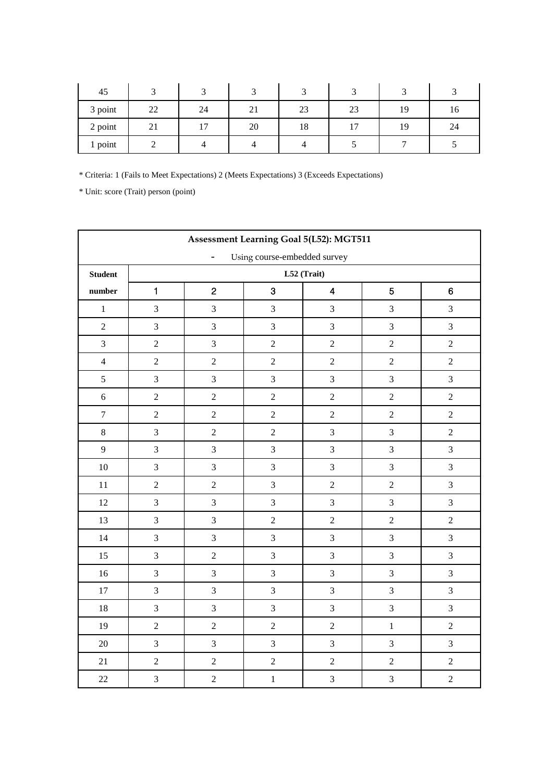| 45      |    |    |                 |    |    |     |    |
|---------|----|----|-----------------|----|----|-----|----|
| 3 point | 22 | 24 | $\bigcap$<br>∠⊥ | 23 | 23 | 1 Q | 10 |
| 2 point | ∠⊥ |    | 20              | 18 |    | 19  | 24 |
| 1 point |    |    |                 |    |    |     |    |

|                | <b>Assessment Learning Goal 5(L52): MGT511</b> |                |                              |                         |                |                |  |  |  |  |  |  |
|----------------|------------------------------------------------|----------------|------------------------------|-------------------------|----------------|----------------|--|--|--|--|--|--|
|                |                                                | $\blacksquare$ | Using course-embedded survey |                         |                |                |  |  |  |  |  |  |
| <b>Student</b> |                                                | L52 (Trait)    |                              |                         |                |                |  |  |  |  |  |  |
| number         | $\mathbf{1}$                                   | $\overline{2}$ | 3                            | $\overline{\mathbf{4}}$ | $\overline{5}$ | 6              |  |  |  |  |  |  |
| $\,1\,$        | 3                                              | $\overline{3}$ | $\mathfrak{Z}$               | $\overline{3}$          | $\mathfrak{Z}$ | $\overline{3}$ |  |  |  |  |  |  |
| $\overline{2}$ | 3                                              | $\overline{3}$ | $\mathfrak{Z}$               | $\overline{3}$          | $\overline{3}$ | $\overline{3}$ |  |  |  |  |  |  |
| $\mathfrak{Z}$ | $\sqrt{2}$                                     | $\overline{3}$ | $\sqrt{2}$                   | $\overline{c}$          | $\sqrt{2}$     | $\overline{2}$ |  |  |  |  |  |  |
| $\overline{4}$ | $\sqrt{2}$                                     | $\overline{2}$ | $\overline{2}$               | $\overline{2}$          | $\sqrt{2}$     | $\overline{2}$ |  |  |  |  |  |  |
| $\sqrt{5}$     | $\mathfrak{Z}$                                 | $\overline{3}$ | $\mathfrak{Z}$               | $\overline{3}$          | $\mathfrak{Z}$ | $\overline{3}$ |  |  |  |  |  |  |
| $6\phantom{a}$ | $\sqrt{2}$                                     | $\overline{2}$ | $\sqrt{2}$                   | $\overline{c}$          | $\sqrt{2}$     | $\overline{2}$ |  |  |  |  |  |  |
| $\tau$         | $\sqrt{2}$                                     | $\overline{2}$ | $\sqrt{2}$                   | $\overline{c}$          | $\sqrt{2}$     | $\overline{2}$ |  |  |  |  |  |  |
| $\,8\,$        | 3                                              | $\overline{2}$ | $\sqrt{2}$                   | 3                       | 3              | $\overline{2}$ |  |  |  |  |  |  |
| 9              | $\mathfrak{Z}$                                 | $\overline{3}$ | $\mathfrak{Z}$               | $\overline{3}$          | $\mathfrak{Z}$ | $\mathfrak{Z}$ |  |  |  |  |  |  |
| 10             | $\overline{3}$                                 | $\overline{3}$ | $\overline{3}$               | $\overline{3}$          | $\overline{3}$ | $\overline{3}$ |  |  |  |  |  |  |
| 11             | $\overline{c}$                                 | $\overline{2}$ | $\mathfrak{Z}$               | $\overline{2}$          | $\sqrt{2}$     | $\overline{3}$ |  |  |  |  |  |  |
| 12             | 3                                              | $\overline{3}$ | $\overline{3}$               | $\overline{3}$          | 3              | $\overline{3}$ |  |  |  |  |  |  |
| 13             | $\mathfrak{Z}$                                 | $\overline{3}$ | $\overline{2}$               | $\overline{c}$          | $\overline{c}$ | $\overline{2}$ |  |  |  |  |  |  |
| 14             | $\overline{3}$                                 | $\overline{3}$ | $\overline{3}$               | $\overline{3}$          | 3              | $\overline{3}$ |  |  |  |  |  |  |
| 15             | $\mathfrak{Z}$                                 | $\overline{2}$ | $\mathfrak{Z}$               | 3                       | 3              | $\overline{3}$ |  |  |  |  |  |  |
| 16             | 3                                              | $\overline{3}$ | $\mathfrak{Z}$               | $\overline{3}$          | $\mathfrak{Z}$ | $\overline{3}$ |  |  |  |  |  |  |
| $17\,$         | $\overline{3}$                                 | $\overline{3}$ | $\overline{3}$               | $\overline{3}$          | 3              | $\overline{3}$ |  |  |  |  |  |  |
| $18\,$         | $\overline{3}$                                 | $\overline{3}$ | $\mathfrak{Z}$               | $\overline{3}$          | $\overline{3}$ | $\overline{3}$ |  |  |  |  |  |  |
| 19             | $\overline{c}$                                 | $\overline{2}$ | $\sqrt{2}$                   | $\overline{c}$          | $\,1\,$        | $\overline{2}$ |  |  |  |  |  |  |
| 20             | $\overline{3}$                                 | $\overline{3}$ | $\overline{3}$               | $\overline{3}$          | 3              | $\overline{3}$ |  |  |  |  |  |  |
| 21             | $\sqrt{2}$                                     | $\overline{2}$ | $\sqrt{2}$                   | $\overline{c}$          | $\sqrt{2}$     | $\overline{2}$ |  |  |  |  |  |  |
| 22             | $\overline{3}$                                 | $\overline{2}$ | $\,1\,$                      | $\overline{3}$          | $\overline{3}$ | $\overline{2}$ |  |  |  |  |  |  |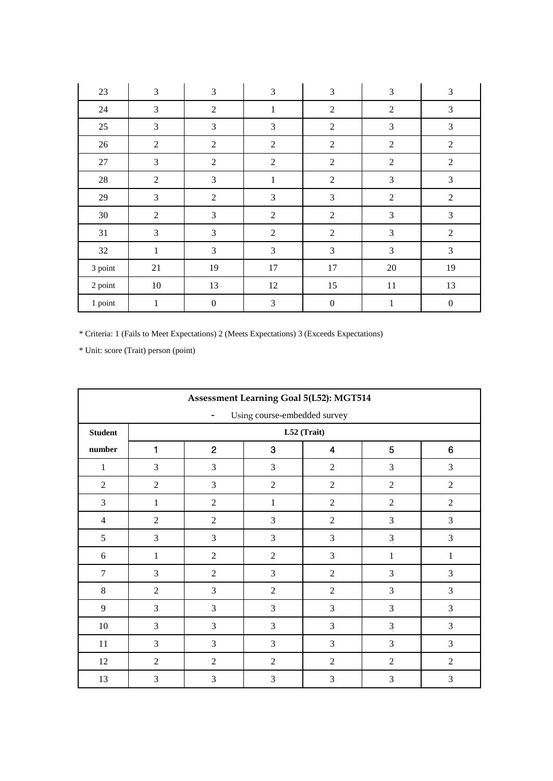| $23\,$  | $\mathfrak{Z}$ | $\mathfrak{Z}$   | $\mathfrak{Z}$ | $\mathfrak{Z}$   | $\mathfrak{Z}$ | $\mathfrak{Z}$   |
|---------|----------------|------------------|----------------|------------------|----------------|------------------|
| 24      | 3              | $\mathbf{2}$     | $\mathbf{1}$   | $\overline{2}$   | $\mathfrak{2}$ | 3                |
| 25      | 3              | 3                | $\mathfrak{Z}$ | $\overline{2}$   | 3              | 3                |
| 26      | $\sqrt{2}$     | $\sqrt{2}$       | $\sqrt{2}$     | $\sqrt{2}$       | $\overline{2}$ | $\sqrt{2}$       |
| $27\,$  | 3              | $\overline{2}$   | $\sqrt{2}$     | $\overline{2}$   | $\overline{2}$ | $\overline{2}$   |
| 28      | $\mathfrak{2}$ | 3                | $\mathbf{1}$   | $\overline{2}$   | 3              | 3                |
| 29      | $\mathfrak 3$  | $\overline{2}$   | $\mathfrak{Z}$ | 3                | $\overline{2}$ | $\overline{2}$   |
| 30      | $\overline{2}$ | 3                | $\overline{2}$ | $\overline{2}$   | 3              | $\mathfrak{Z}$   |
| 31      | 3              | 3                | $\overline{2}$ | $\overline{2}$   | 3              | $\overline{2}$   |
| 32      | $\mathbf{1}$   | 3                | $\mathfrak{Z}$ | 3                | $\mathfrak{Z}$ | 3                |
| 3 point | 21             | 19               | 17             | 17               | $20\,$         | 19               |
| 2 point | $10\,$         | 13               | 12             | 15               | $11\,$         | 13               |
| 1 point | $\mathbf{1}$   | $\boldsymbol{0}$ | $\mathfrak{Z}$ | $\boldsymbol{0}$ | $\mathbf{1}$   | $\boldsymbol{0}$ |

|                | <b>Assessment Learning Goal 5(L52): MGT514</b> |                                                 |                |                |                |                |  |  |  |  |  |  |  |
|----------------|------------------------------------------------|-------------------------------------------------|----------------|----------------|----------------|----------------|--|--|--|--|--|--|--|
|                | Using course-embedded survey                   |                                                 |                |                |                |                |  |  |  |  |  |  |  |
| <b>Student</b> |                                                | L52 (Trait)                                     |                |                |                |                |  |  |  |  |  |  |  |
| number         | 1                                              | $\overline{2}$<br>3<br>6<br>$\overline{5}$<br>4 |                |                |                |                |  |  |  |  |  |  |  |
| $\mathbf{1}$   | 3                                              | 3                                               | 3              | $\overline{2}$ | 3              | 3              |  |  |  |  |  |  |  |
| $\overline{2}$ | $\overline{2}$                                 | 3                                               | $\overline{2}$ | $\overline{2}$ | $\overline{2}$ | $\overline{2}$ |  |  |  |  |  |  |  |
| $\overline{3}$ | $\mathbf{1}$                                   | $\overline{2}$                                  | $\mathbf{1}$   | $\overline{2}$ | $\overline{2}$ | 2              |  |  |  |  |  |  |  |
| $\overline{4}$ | $\overline{2}$                                 | $\overline{2}$                                  | 3              | $\overline{2}$ | 3              | 3              |  |  |  |  |  |  |  |
| 5              | 3                                              | 3                                               | 3              | 3              | 3              | 3              |  |  |  |  |  |  |  |
| 6              | $\mathbf{1}$                                   | $\overline{2}$                                  | $\overline{2}$ | 3              | 1              | 1              |  |  |  |  |  |  |  |
| $\overline{7}$ | 3                                              | $\overline{2}$                                  | 3              | $\overline{2}$ | 3              | $\overline{3}$ |  |  |  |  |  |  |  |
| $8\,$          | $\overline{2}$                                 | 3                                               | $\overline{2}$ | $\overline{2}$ | 3              | $\mathfrak{Z}$ |  |  |  |  |  |  |  |
| 9              | 3                                              | 3                                               | 3              | 3              | 3              | 3              |  |  |  |  |  |  |  |
| 10             | $\overline{3}$                                 | 3                                               | 3              | 3              | 3              | 3              |  |  |  |  |  |  |  |
| 11             | 3                                              | 3                                               | 3              | 3              | 3              | 3              |  |  |  |  |  |  |  |
| 12             | $\overline{2}$                                 | $\overline{2}$                                  | $\overline{2}$ | $\overline{2}$ | $\overline{2}$ | $\overline{2}$ |  |  |  |  |  |  |  |
| 13             | 3                                              | 3                                               | 3              | 3              | 3              | 3              |  |  |  |  |  |  |  |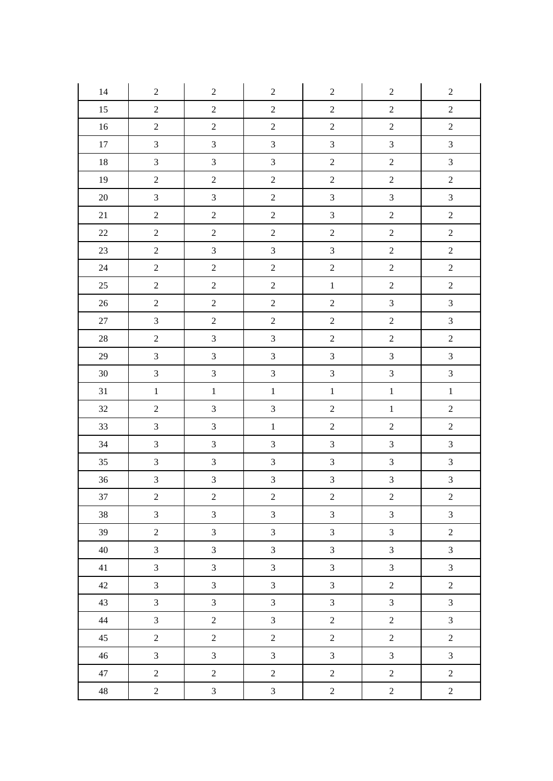| 14     | $\sqrt{2}$       | $\sqrt{2}$     | $\sqrt{2}$       | $\sqrt{2}$       | $\boldsymbol{2}$ | $\boldsymbol{2}$ |
|--------|------------------|----------------|------------------|------------------|------------------|------------------|
| 15     | $\sqrt{2}$       | $\overline{c}$ | $\sqrt{2}$       | $\sqrt{2}$       | $\boldsymbol{2}$ | $\overline{c}$   |
| $16\,$ | $\sqrt{2}$       | $\overline{2}$ | $\boldsymbol{2}$ | $\sqrt{2}$       | $\sqrt{2}$       | $\boldsymbol{2}$ |
| $17\,$ | $\mathfrak{Z}$   | $\overline{3}$ | $\mathfrak{Z}$   | $\overline{3}$   | $\mathfrak{Z}$   | $\overline{3}$   |
| $18\,$ | $\overline{3}$   | $\overline{3}$ | $\overline{3}$   | $\boldsymbol{2}$ | $\overline{2}$   | $\overline{3}$   |
| 19     | $\overline{c}$   | $\overline{c}$ | $\boldsymbol{2}$ | $\boldsymbol{2}$ | $\overline{2}$   | $\sqrt{2}$       |
| $20\,$ | $\mathfrak{Z}$   | $\overline{3}$ | $\sqrt{2}$       | $\overline{3}$   | $\mathfrak{Z}$   | $\overline{3}$   |
| 21     | $\sqrt{2}$       | $\overline{c}$ | $\boldsymbol{2}$ | $\overline{3}$   | $\overline{c}$   | $\overline{c}$   |
| $22\,$ | $\boldsymbol{2}$ | $\overline{c}$ | $\boldsymbol{2}$ | $\boldsymbol{2}$ | $\sqrt{2}$       | $\overline{c}$   |
| 23     | $\overline{2}$   | $\overline{3}$ | $\mathfrak{Z}$   | $\overline{3}$   | $\boldsymbol{2}$ | $\overline{2}$   |
| $24\,$ | $\overline{2}$   | $\overline{2}$ | $\overline{2}$   | $\overline{2}$   | $\overline{c}$   | $\overline{2}$   |
| 25     | $\sqrt{2}$       | $\overline{2}$ | $\sqrt{2}$       | $\,1$            | $\overline{2}$   | $\overline{2}$   |
| $26\,$ | $\sqrt{2}$       | $\overline{c}$ | $\boldsymbol{2}$ | $\boldsymbol{2}$ | $\mathfrak{Z}$   | $\mathfrak{Z}$   |
| $27\,$ | $\mathfrak{Z}$   | $\overline{c}$ | $\overline{c}$   | $\sqrt{2}$       | $\boldsymbol{2}$ | $\overline{3}$   |
| $28\,$ | $\boldsymbol{2}$ | $\overline{3}$ | $\overline{3}$   | $\sqrt{2}$       | $\boldsymbol{2}$ | $\boldsymbol{2}$ |
| 29     | $\sqrt{3}$       | $\overline{3}$ | $\overline{3}$   | $\mathfrak{Z}$   | $\mathfrak{Z}$   | $\overline{3}$   |
| $30\,$ | $\overline{3}$   | $\overline{3}$ | $\overline{3}$   | $\overline{3}$   | $\overline{3}$   | $\overline{3}$   |
| 31     | $\,1\,$          | $\mathbf 1$    | $\,1$            | $\,1\,$          | $\,1\,$          | $\,1$            |
| 32     | $\sqrt{2}$       | $\overline{3}$ | $\overline{3}$   | $\sqrt{2}$       | $\,1$            | $\overline{c}$   |
| 33     | $\overline{3}$   | $\overline{3}$ | $\,1\,$          | $\boldsymbol{2}$ | $\overline{c}$   | $\overline{c}$   |
| 34     | $\mathfrak{Z}$   | $\overline{3}$ | $\overline{3}$   | $\overline{3}$   | $\mathfrak{Z}$   | $\overline{3}$   |
| 35     | $\sqrt{3}$       | $\overline{3}$ | $\mathfrak{Z}$   | $\mathfrak{Z}$   | $\mathfrak{Z}$   | $\overline{3}$   |
| 36     | $\mathfrak{Z}$   | $\overline{3}$ | $\overline{3}$   | 3                | $\overline{3}$   | $\overline{3}$   |
| 37     | $\overline{c}$   | $\overline{c}$ | $\overline{c}$   | $\overline{c}$   | $\overline{c}$   | $\overline{c}$   |
| 38     | $\mathfrak{Z}$   | $\overline{3}$ | $\mathfrak{Z}$   | $\mathfrak{Z}$   | $\mathfrak{Z}$   | $\overline{3}$   |
| 39     | $\overline{2}$   | $\overline{3}$ | $\overline{3}$   | $\overline{3}$   | $\overline{3}$   | $\overline{2}$   |
| 40     | $\mathfrak{Z}$   | $\overline{3}$ | $\overline{3}$   | $\overline{3}$   | $\overline{3}$   | $\overline{3}$   |
| 41     | $\mathfrak{Z}$   | $\overline{3}$ | $\overline{3}$   | $\overline{3}$   | $\overline{3}$   | $\overline{3}$   |
| 42     | $\overline{3}$   | $\overline{3}$ | $\overline{3}$   | $\overline{3}$   | $\overline{2}$   | $\overline{2}$   |
| 43     | $\mathfrak{Z}$   | $\overline{3}$ | $\overline{3}$   | $\overline{3}$   | $\overline{3}$   | $\overline{3}$   |
| 44     | $\mathfrak{Z}$   | $\overline{c}$ | $\overline{3}$   | $\overline{2}$   | $\overline{c}$   | $\overline{3}$   |
| 45     | $\overline{2}$   | $\overline{2}$ | $\overline{c}$   | $\boldsymbol{2}$ | $\overline{c}$   | $\overline{2}$   |
| 46     | $\mathfrak{Z}$   | $\overline{3}$ | $\overline{3}$   | $\overline{3}$   | $\overline{3}$   | $\overline{3}$   |
| 47     | $\overline{2}$   | $\overline{2}$ | $\overline{c}$   | $\overline{2}$   | $\overline{c}$   | $\overline{2}$   |
| 48     | $\overline{2}$   | $\mathfrak{Z}$ | $\mathfrak{Z}$   | $\sqrt{2}$       | $\overline{2}$   | $\overline{2}$   |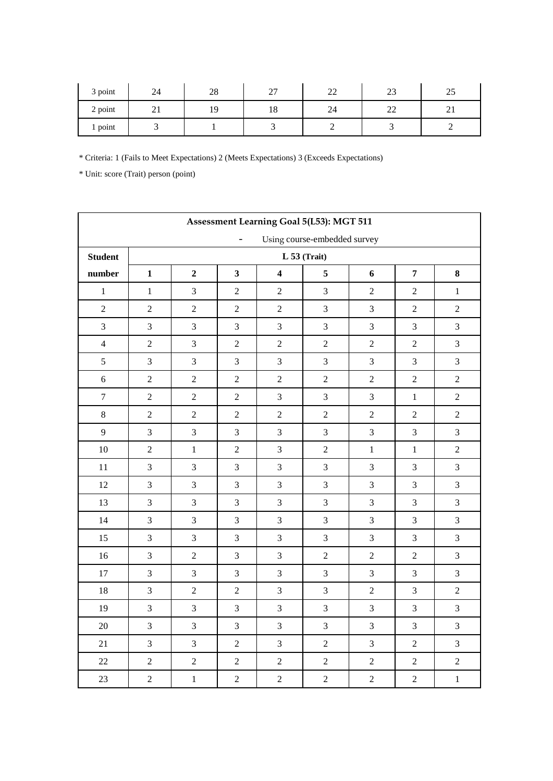| 3 point | 24               | 28 | $\mathcal{L}$<br>ا ت | $\sim$<br>,,,, | $\sim$<br>ل ک                  | ر_ر |
|---------|------------------|----|----------------------|----------------|--------------------------------|-----|
| 2 point | $\sim$<br>$\sim$ |    | 18                   | 24             | ΩΩ<br>$\overline{\phantom{a}}$ |     |
| 1 point |                  |    |                      |                |                                |     |

|                |                |                |                          |                         | Assessment Learning Goal 5(L53): MGT 511 |                  |                |                  |  |  |  |  |
|----------------|----------------|----------------|--------------------------|-------------------------|------------------------------------------|------------------|----------------|------------------|--|--|--|--|
|                |                |                | $\overline{\phantom{a}}$ |                         | Using course-embedded survey             |                  |                |                  |  |  |  |  |
| <b>Student</b> |                | $L$ 53 (Trait) |                          |                         |                                          |                  |                |                  |  |  |  |  |
| number         | $\mathbf{1}$   | $\overline{2}$ | $\overline{\mathbf{3}}$  | $\overline{\mathbf{4}}$ | 5                                        | 6                | $\overline{7}$ | 8                |  |  |  |  |
| $\,1\,$        | $\mathbf 1$    | 3              | $\overline{c}$           | $\overline{2}$          | 3                                        | $\overline{2}$   | $\sqrt{2}$     | $\,1$            |  |  |  |  |
| $\overline{2}$ | $\overline{2}$ | $\overline{2}$ | $\overline{2}$           | $\overline{2}$          | 3                                        | 3                | $\sqrt{2}$     | $\sqrt{2}$       |  |  |  |  |
| $\mathfrak{Z}$ | 3              | 3              | 3                        | 3                       | $\mathfrak{Z}$                           | 3                | 3              | $\mathfrak{Z}$   |  |  |  |  |
| $\overline{4}$ | $\overline{2}$ | $\overline{3}$ | $\overline{2}$           | $\overline{2}$          | $\overline{c}$                           | $\overline{2}$   | $\overline{2}$ | 3                |  |  |  |  |
| 5              | 3              | $\overline{3}$ | 3                        | 3                       | 3                                        | 3                | 3              | $\mathfrak{Z}$   |  |  |  |  |
| 6              | $\overline{2}$ | $\sqrt{2}$     | $\overline{c}$           | $\sqrt{2}$              | $\sqrt{2}$                               | $\mathbf{2}$     | $\sqrt{2}$     | $\sqrt{2}$       |  |  |  |  |
| $\overline{7}$ | $\overline{2}$ | $\overline{2}$ | $\overline{2}$           | 3                       | 3                                        | 3                | $\mathbf{1}$   | $\overline{2}$   |  |  |  |  |
| $\,8\,$        | $\sqrt{2}$     | $\sqrt{2}$     | $\overline{c}$           | $\sqrt{2}$              | $\boldsymbol{2}$                         | $\mathbf{2}$     | $\sqrt{2}$     | $\boldsymbol{2}$ |  |  |  |  |
| 9              | $\overline{3}$ | $\overline{3}$ | $\overline{3}$           | 3                       | 3                                        | 3                | 3              | 3                |  |  |  |  |
| 10             | $\overline{2}$ | $\mathbf{1}$   | $\overline{2}$           | 3                       | $\sqrt{2}$                               | $\mathbf{1}$     | $\mathbf{1}$   | $\sqrt{2}$       |  |  |  |  |
| 11             | $\overline{3}$ | $\overline{3}$ | $\overline{3}$           | 3                       | 3                                        | 3                | 3              | $\mathfrak{Z}$   |  |  |  |  |
| 12             | $\mathfrak{Z}$ | $\overline{3}$ | 3                        | 3                       | 3                                        | 3                | 3              | $\mathfrak{Z}$   |  |  |  |  |
| 13             | $\overline{3}$ | $\overline{3}$ | $\overline{3}$           | 3                       | 3                                        | 3                | 3              | $\mathfrak{Z}$   |  |  |  |  |
| 14             | $\mathfrak{Z}$ | $\overline{3}$ | 3                        | 3                       | 3                                        | $\mathfrak{Z}$   | $\mathfrak{Z}$ | $\mathfrak{Z}$   |  |  |  |  |
| 15             | 3              | $\overline{3}$ | 3                        | 3                       | 3                                        | 3                | 3              | $\mathfrak{Z}$   |  |  |  |  |
| 16             | $\overline{3}$ | $\sqrt{2}$     | 3                        | $\mathfrak{Z}$          | $\sqrt{2}$                               | $\boldsymbol{2}$ | $\sqrt{2}$     | $\mathfrak{Z}$   |  |  |  |  |
| 17             | $\mathfrak{Z}$ | $\overline{3}$ | 3                        | $\mathfrak{Z}$          | $\overline{3}$                           | 3                | 3              | $\mathfrak{Z}$   |  |  |  |  |
| $18\,$         | $\overline{3}$ | $\sqrt{2}$     | $\overline{c}$           | 3                       | $\mathfrak{Z}$                           | $\boldsymbol{2}$ | $\mathfrak{Z}$ | $\sqrt{2}$       |  |  |  |  |
| 19             | $\mathfrak{Z}$ | $\mathfrak{Z}$ | 3                        | $\mathfrak{Z}$          | $\mathfrak{Z}$                           | 3                | $\mathfrak{Z}$ | $\mathfrak{Z}$   |  |  |  |  |
| 20             | 3              | $\overline{3}$ | 3                        | 3                       | 3                                        | 3                | 3              | 3                |  |  |  |  |
| 21             | 3              | $\overline{3}$ | $\sqrt{2}$               | 3                       | $\sqrt{2}$                               | 3                | $\sqrt{2}$     | $\mathfrak{Z}$   |  |  |  |  |
| $22\,$         | $\overline{2}$ | $\sqrt{2}$     | $\sqrt{2}$               | $\overline{c}$          | $\mathbf 2$                              | $\sqrt{2}$       | $\sqrt{2}$     | $\sqrt{2}$       |  |  |  |  |
| 23             | $\overline{2}$ | $\,1\,$        | $\overline{c}$           | $\overline{c}$          | $\mathbf 2$                              | $\sqrt{2}$       | $\sqrt{2}$     | $\,1$            |  |  |  |  |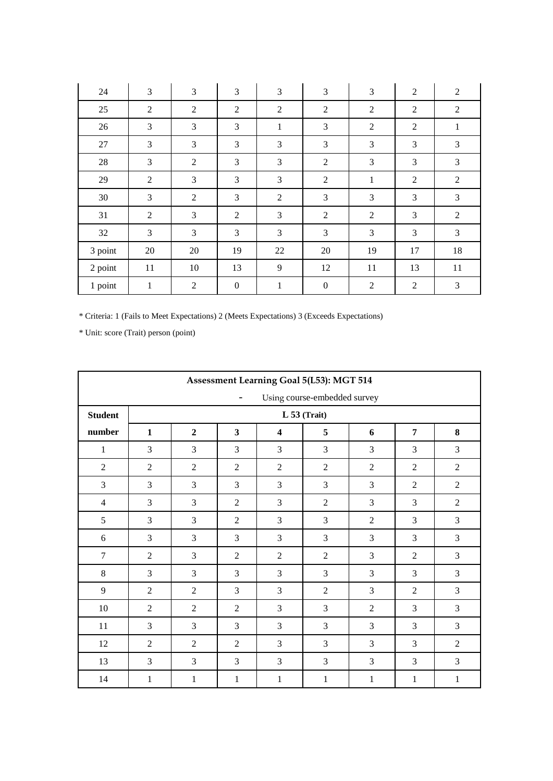| 24      | 3              | 3              | 3                | 3              | 3                | 3              | $\overline{2}$ | $\overline{2}$ |
|---------|----------------|----------------|------------------|----------------|------------------|----------------|----------------|----------------|
| 25      | $\overline{2}$ | 2              | $\overline{2}$   | $\mathfrak{2}$ | $\sqrt{2}$       | $\overline{2}$ | $\overline{2}$ | $\overline{2}$ |
| 26      | 3              | 3              | 3                | $\mathbf{1}$   | $\mathfrak{Z}$   | $\mathfrak{2}$ | $\mathfrak{2}$ | $\mathbf{1}$   |
| 27      | 3              | 3              | 3                | 3              | 3                | 3              | 3              | 3              |
| 28      | 3              | $\mathfrak{2}$ | 3                | 3              | $\mathfrak{2}$   | 3              | 3              | $\mathfrak{Z}$ |
| 29      | $\overline{2}$ | 3              | 3                | 3              | $\sqrt{2}$       | $\mathbf{1}$   | $\mathfrak{2}$ | $\mathfrak{2}$ |
| 30      | 3              | 2              | 3                | $\overline{2}$ | 3                | 3              | 3              | 3              |
| 31      | $\overline{2}$ | 3              | $\overline{2}$   | 3              | 2                | $\overline{2}$ | 3              | $\overline{2}$ |
| 32      | 3              | 3              | 3                | 3              | 3                | 3              | 3              | 3              |
| 3 point | 20             | 20             | 19               | 22             | 20               | 19             | 17             | 18             |
| 2 point | 11             | 10             | 13               | 9              | 12               | 11             | 13             | 11             |
| 1 point | 1              | $\mathfrak{2}$ | $\boldsymbol{0}$ | $\mathbf{1}$   | $\boldsymbol{0}$ | $\mathfrak{2}$ | $\mathfrak{2}$ | 3              |

| Assessment Learning Goal 5(L53): MGT 514                 |                |                |                         |                         |                |                |                |                |  |  |
|----------------------------------------------------------|----------------|----------------|-------------------------|-------------------------|----------------|----------------|----------------|----------------|--|--|
| Using course-embedded survey<br>$\overline{\phantom{a}}$ |                |                |                         |                         |                |                |                |                |  |  |
| <b>Student</b>                                           | $L 53$ (Trait) |                |                         |                         |                |                |                |                |  |  |
| number                                                   | $\mathbf{1}$   | $\overline{2}$ | $\overline{\mathbf{3}}$ | $\overline{\mathbf{4}}$ | 5              | 6              | $\overline{7}$ | 8              |  |  |
| $\mathbf{1}$                                             | 3              | 3              | 3                       | 3                       | 3              | 3              | 3              | 3              |  |  |
| $\overline{2}$                                           | $\overline{2}$ | $\overline{2}$ | $\overline{2}$          | $\overline{2}$          | $\overline{2}$ | $\overline{2}$ | $\overline{2}$ | $\overline{2}$ |  |  |
| 3                                                        | 3              | 3              | 3                       | 3                       | 3              | 3              | $\overline{2}$ | $\overline{2}$ |  |  |
| $\overline{4}$                                           | 3              | 3              | $\overline{2}$          | 3                       | $\overline{2}$ | 3              | 3              | $\overline{2}$ |  |  |
| 5                                                        | 3              | $\overline{3}$ | $\overline{2}$          | $\overline{3}$          | 3              | $\overline{2}$ | 3              | 3              |  |  |
| 6                                                        | 3              | 3              | 3                       | 3                       | 3              | 3              | 3              | 3              |  |  |
| $\tau$                                                   | $\overline{2}$ | 3              | $\overline{2}$          | $\overline{2}$          | $\overline{2}$ | 3              | $\overline{2}$ | 3              |  |  |
| $\,8\,$                                                  | 3              | 3              | 3                       | 3                       | 3              | 3              | 3              | 3              |  |  |
| 9                                                        | $\overline{2}$ | $\overline{2}$ | 3                       | 3                       | $\overline{2}$ | 3              | $\overline{2}$ | 3              |  |  |
| $10\,$                                                   | $\overline{2}$ | $\overline{2}$ | $\overline{2}$          | 3                       | 3              | $\overline{2}$ | 3              | 3              |  |  |
| $11\,$                                                   | 3              | 3              | 3                       | 3                       | 3              | 3              | 3              | 3              |  |  |
| 12                                                       | $\overline{2}$ | $\overline{2}$ | $\overline{2}$          | 3                       | 3              | 3              | 3              | $\overline{2}$ |  |  |
| 13                                                       | 3              | 3              | 3                       | 3                       | 3              | 3              | 3              | 3              |  |  |
| 14                                                       | $\mathbf{1}$   | $\mathbf{1}$   | $\mathbf{1}$            | $\mathbf{1}$            | $\mathbf{1}$   | $\mathbf{1}$   | $\mathbf{1}$   | $\mathbf{1}$   |  |  |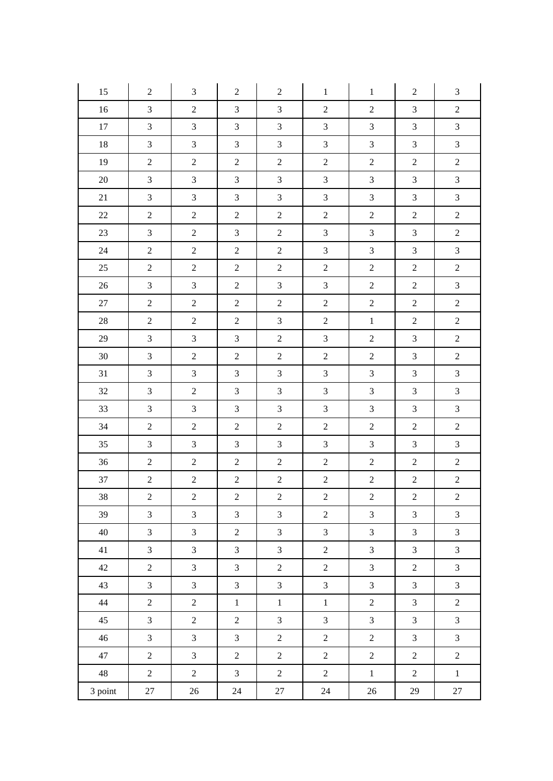| 15      | $\overline{2}$   | 3                | $\boldsymbol{2}$ | $\boldsymbol{2}$ | $\mathbf{1}$                | $\mathbf{1}$     | $\overline{2}$   | 3                           |
|---------|------------------|------------------|------------------|------------------|-----------------------------|------------------|------------------|-----------------------------|
| 16      | $\mathfrak{Z}$   | $\sqrt{2}$       | $\mathfrak{Z}$   | 3                | $\sqrt{2}$                  | $\sqrt{2}$       | $\mathfrak{Z}$   | $\sqrt{2}$                  |
| 17      | 3                | $\mathfrak{Z}$   | $\mathfrak{Z}$   | $\mathfrak{Z}$   | $\mathfrak 3$               | $\mathfrak{Z}$   | $\mathfrak{Z}$   | $\mathfrak{Z}$              |
| 18      | $\mathfrak{Z}$   | $\mathfrak{Z}$   | $\mathfrak{Z}$   | $\overline{3}$   | $\mathfrak{Z}$              | $\mathfrak{Z}$   | $\mathfrak{Z}$   | $\mathfrak{Z}$              |
| 19      | $\sqrt{2}$       | $\overline{2}$   | $\boldsymbol{2}$ | $\overline{2}$   | $\sqrt{2}$                  | $\overline{2}$   | $\sqrt{2}$       | $\boldsymbol{2}$            |
| $20\,$  | 3                | $\mathfrak{Z}$   | $\mathfrak{Z}$   | $\mathfrak{Z}$   | $\ensuremath{\mathfrak{Z}}$ | $\mathfrak{Z}$   | $\mathfrak{Z}$   | $\mathfrak{Z}$              |
| 21      | 3                | $\mathfrak{Z}$   | $\overline{3}$   | 3                | $\mathfrak{Z}$              | $\mathfrak{Z}$   | $\mathfrak{Z}$   | $\mathfrak{Z}$              |
| $22\,$  | $\overline{c}$   | $\overline{2}$   | $\overline{2}$   | $\overline{c}$   | $\sqrt{2}$                  | $\sqrt{2}$       | $\sqrt{2}$       | $\boldsymbol{2}$            |
| $23\,$  | $\mathfrak{Z}$   | $\sqrt{2}$       | $\mathfrak{Z}$   | $\overline{2}$   | $\ensuremath{\mathfrak{Z}}$ | $\mathfrak{Z}$   | $\mathfrak{Z}$   | $\boldsymbol{2}$            |
| 24      | $\sqrt{2}$       | $\overline{2}$   | $\overline{2}$   | $\overline{2}$   | $\mathfrak{Z}$              | $\mathfrak{Z}$   | $\mathfrak{Z}$   | $\mathfrak{Z}$              |
| 25      | $\boldsymbol{2}$ | $\overline{2}$   | $\overline{2}$   | $\overline{2}$   | $\sqrt{2}$                  | $\sqrt{2}$       | $\sqrt{2}$       | $\boldsymbol{2}$            |
| 26      | $\mathfrak{Z}$   | $\mathfrak{Z}$   | $\overline{c}$   | $\mathfrak{Z}$   | $\ensuremath{\mathfrak{Z}}$ | $\boldsymbol{2}$ | $\boldsymbol{2}$ | $\ensuremath{\mathfrak{Z}}$ |
| 27      | $\overline{2}$   | $\overline{2}$   | $\overline{2}$   | $\overline{2}$   | $\boldsymbol{2}$            | $\sqrt{2}$       | $\sqrt{2}$       | $\sqrt{2}$                  |
| $28\,$  | $\overline{c}$   | $\boldsymbol{2}$ | $\overline{2}$   | 3                | $\sqrt{2}$                  | $1\,$            | $\sqrt{2}$       | $\boldsymbol{2}$            |
| 29      | 3                | $\mathfrak{Z}$   | $\mathfrak{Z}$   | $\overline{2}$   | $\mathfrak{Z}$              | $\sqrt{2}$       | $\mathfrak{Z}$   | $\sqrt{2}$                  |
| $30\,$  | $\mathfrak{Z}$   | $\sqrt{2}$       | $\boldsymbol{2}$ | $\overline{2}$   | $\sqrt{2}$                  | $\sqrt{2}$       | $\mathfrak{Z}$   | $\sqrt{2}$                  |
| 31      | $\mathfrak{Z}$   | $\mathfrak{Z}$   | $\mathfrak{Z}$   | $\mathfrak{Z}$   | $\mathfrak{Z}$              | $\mathfrak{Z}$   | $\mathfrak{Z}$   | $\mathfrak{Z}$              |
| $32\,$  | $\mathfrak{Z}$   | $\boldsymbol{2}$ | $\mathfrak{Z}$   | $\mathfrak{Z}$   | $\ensuremath{\mathfrak{Z}}$ | $\mathfrak{Z}$   | $\mathfrak{Z}$   | $\mathfrak{Z}$              |
| 33      | $\mathfrak{Z}$   | $\mathfrak{Z}$   | $\mathfrak{Z}$   | 3                | $\mathfrak{Z}$              | $\mathfrak{Z}$   | $\mathfrak{Z}$   | $\mathfrak{Z}$              |
| 34      | $\mathbf{2}$     | $\overline{2}$   | $\overline{2}$   | $\overline{c}$   | $\sqrt{2}$                  | $\sqrt{2}$       | $\sqrt{2}$       | $\sqrt{2}$                  |
| 35      | $\mathfrak{Z}$   | $\mathfrak{Z}$   | $\mathfrak{Z}$   | 3                | $\mathfrak{Z}$              | $\mathfrak{Z}$   | $\mathfrak{Z}$   | $\mathfrak{Z}$              |
| 36      | $\overline{2}$   | $\sqrt{2}$       | $\sqrt{2}$       | $\overline{2}$   | $\sqrt{2}$                  | $\sqrt{2}$       | $\sqrt{2}$       | $\sqrt{2}$                  |
| 37      | $\overline{c}$   | $\sqrt{2}$       | $\sqrt{2}$       | $\overline{c}$   | $\sqrt{2}$                  | $\overline{c}$   | $\sqrt{2}$       | $\sqrt{2}$                  |
| $38\,$  | $\overline{2}$   | $\sqrt{2}$       | $\overline{c}$   | $\overline{c}$   | $\sqrt{2}$                  | $\sqrt{2}$       | $\sqrt{2}$       | $\overline{c}$              |
| 39      | $\overline{3}$   | $\overline{3}$   | $\overline{3}$   | $\overline{3}$   | $\sqrt{2}$                  | $\overline{3}$   | $\overline{3}$   | $\overline{3}$              |
| 40      | $\overline{3}$   | $\mathfrak{Z}$   | $\overline{2}$   | $\overline{3}$   | $\mathfrak{Z}$              | $\mathfrak{Z}$   | $\mathfrak{Z}$   | $\mathfrak{Z}$              |
| 41      | $\mathfrak{Z}$   | $\overline{3}$   | $\mathfrak{Z}$   | $\overline{3}$   | $\overline{2}$              | $\overline{3}$   | $\mathfrak{Z}$   | $\mathfrak{Z}$              |
| 42      | $\overline{2}$   | $\mathfrak{Z}$   | $\mathfrak{Z}$   | $\overline{2}$   | $\overline{2}$              | $\mathfrak{Z}$   | $\overline{2}$   | $\mathfrak{Z}$              |
| 43      | $\mathfrak{Z}$   | $\mathfrak{Z}$   | $\mathfrak{Z}$   | $\mathfrak{Z}$   | $\overline{3}$              | $\mathfrak{Z}$   | $\mathfrak{Z}$   | $\mathfrak{Z}$              |
| 44      | $\overline{2}$   | $\overline{2}$   | $\,1$            | $\,1$            | $\,1$                       | $\overline{2}$   | $\mathfrak{Z}$   | $\overline{2}$              |
| 45      | $\overline{3}$   | $\overline{2}$   | $\overline{2}$   | $\overline{3}$   | $\mathfrak{Z}$              | $\overline{3}$   | $\mathfrak{Z}$   | $\mathfrak{Z}$              |
| 46      | $\overline{3}$   | $\mathfrak{Z}$   | $\mathfrak{Z}$   | $\overline{2}$   | $\sqrt{2}$                  | $\sqrt{2}$       | $\mathfrak{Z}$   | $\mathfrak{Z}$              |
| 47      | $\overline{2}$   | $\mathfrak{Z}$   | $\overline{2}$   | $\overline{2}$   | $\sqrt{2}$                  | $\overline{2}$   | $\overline{2}$   | $\overline{2}$              |
| 48      | $\overline{2}$   | $\overline{2}$   | $\mathfrak{Z}$   | $\overline{2}$   | $\overline{2}$              | $\,1$            | $\sqrt{2}$       | $\,1$                       |
| 3 point | 27               | $26\,$           | 24               | 27               | $24\,$                      | 26               | 29               | $27\,$                      |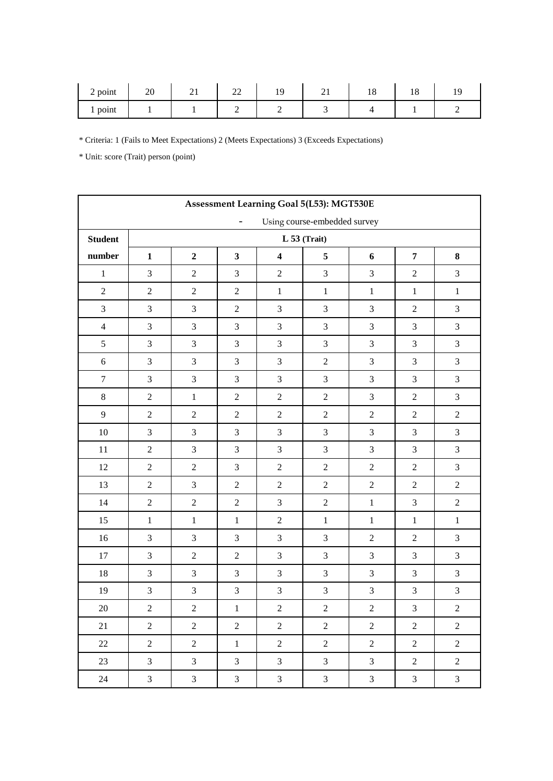| $2$ point | $\Delta$<br>∠∪ | ∠⊥<br>-- | $\sim$<br>$\overline{\phantom{a}}$ | . . | $\sim$<br>$\sim$ 1 | ⊥∪ | 1C<br>ΙU |  |
|-----------|----------------|----------|------------------------------------|-----|--------------------|----|----------|--|
| point     |                |          |                                    |     |                    |    |          |  |

| Assessment Learning Goal 5(L53): MGT530E |                                                                                                              |                  |                |                |                             |                             |                |                             |  |
|------------------------------------------|--------------------------------------------------------------------------------------------------------------|------------------|----------------|----------------|-----------------------------|-----------------------------|----------------|-----------------------------|--|
|                                          | Using course-embedded survey<br>-                                                                            |                  |                |                |                             |                             |                |                             |  |
| <b>Student</b>                           | $L$ 53 (Trait)                                                                                               |                  |                |                |                             |                             |                |                             |  |
| number                                   | $\mathbf 2$<br>$\mathbf{3}$<br>5<br>$\overline{7}$<br>$\mathbf 1$<br>$\overline{\mathbf{4}}$<br>$\bf 8$<br>6 |                  |                |                |                             |                             |                |                             |  |
| $\mathbf{1}$                             | 3                                                                                                            | $\sqrt{2}$       | $\mathfrak{Z}$ | $\sqrt{2}$     | $\mathfrak{Z}$              | $\mathfrak{Z}$              | $\sqrt{2}$     | $\mathfrak{Z}$              |  |
| $\sqrt{2}$                               | $\sqrt{2}$                                                                                                   | $\sqrt{2}$       | $\sqrt{2}$     | $\mathbf{1}$   | $\,1\,$                     | $\mathbf 1$                 | $\mathbf{1}$   | $\mathbf{1}$                |  |
| $\mathfrak{Z}$                           | $\mathfrak{Z}$                                                                                               | $\mathfrak{Z}$   | $\sqrt{2}$     | $\mathfrak{Z}$ | $\ensuremath{\mathfrak{Z}}$ | $\mathfrak{Z}$              | $\sqrt{2}$     | $\ensuremath{\mathfrak{Z}}$ |  |
| $\overline{4}$                           | 3                                                                                                            | $\mathfrak{Z}$   | 3              | $\mathfrak{Z}$ | $\ensuremath{\mathfrak{Z}}$ | $\mathfrak{Z}$              | $\mathfrak{Z}$ | $\ensuremath{\mathfrak{Z}}$ |  |
| 5                                        | $\mathfrak{Z}$                                                                                               | $\mathfrak{Z}$   | $\mathfrak{Z}$ | $\mathfrak{Z}$ | $\mathfrak{Z}$              | $\mathfrak{Z}$              | $\mathfrak{Z}$ | $\mathfrak 3$               |  |
| $\sqrt{6}$                               | $\mathfrak{Z}$                                                                                               | $\overline{3}$   | 3              | $\mathfrak{Z}$ | $\sqrt{2}$                  | 3                           | $\mathfrak{Z}$ | $\ensuremath{\mathfrak{Z}}$ |  |
| $\tau$                                   | 3                                                                                                            | $\mathfrak{Z}$   | 3              | $\mathfrak{Z}$ | $\mathfrak{Z}$              | $\ensuremath{\mathfrak{Z}}$ | $\mathfrak{Z}$ | $\ensuremath{\mathfrak{Z}}$ |  |
| $\,8\,$                                  | $\sqrt{2}$                                                                                                   | $\mathbf{1}$     | $\overline{2}$ | $\overline{2}$ | $\sqrt{2}$                  | $\mathfrak{Z}$              | $\sqrt{2}$     | $\mathfrak{Z}$              |  |
| 9                                        | $\sqrt{2}$                                                                                                   | $\sqrt{2}$       | $\sqrt{2}$     | $\sqrt{2}$     | $\sqrt{2}$                  | $\sqrt{2}$                  | $\sqrt{2}$     | $\boldsymbol{2}$            |  |
| $10\,$                                   | 3                                                                                                            | $\mathfrak{Z}$   | $\mathfrak{Z}$ | $\mathfrak{Z}$ | $\mathfrak{Z}$              | $\mathfrak{Z}$              | $\mathfrak{Z}$ | $\ensuremath{\mathfrak{Z}}$ |  |
| 11                                       | $\overline{2}$                                                                                               | 3                | 3              | $\overline{3}$ | $\mathfrak{Z}$              | 3                           | $\mathfrak{Z}$ | $\mathfrak{Z}$              |  |
| 12                                       | $\overline{2}$                                                                                               | $\sqrt{2}$       | $\mathfrak{Z}$ | $\overline{2}$ | $\sqrt{2}$                  | $\sqrt{2}$                  | $\sqrt{2}$     | $\mathfrak 3$               |  |
| 13                                       | $\overline{2}$                                                                                               | 3                | $\overline{2}$ | $\overline{2}$ | $\sqrt{2}$                  | $\sqrt{2}$                  | $\sqrt{2}$     | $\sqrt{2}$                  |  |
| 14                                       | $\sqrt{2}$                                                                                                   | $\sqrt{2}$       | $\sqrt{2}$     | $\overline{3}$ | $\sqrt{2}$                  | $\,1\,$                     | $\mathfrak{Z}$ | $\sqrt{2}$                  |  |
| 15                                       | $\mathbf{1}$                                                                                                 | $\mathbf{1}$     | $\,1\,$        | $\sqrt{2}$     | $\mathbf{1}$                | $\mathbf 1$                 | $\mathbf 1$    | $\mathbf 1$                 |  |
| $16\,$                                   | 3                                                                                                            | $\mathfrak{Z}$   | $\mathfrak{Z}$ | $\mathfrak{Z}$ | $\mathfrak{Z}$              | $\boldsymbol{2}$            | $\sqrt{2}$     | $\ensuremath{\mathfrak{Z}}$ |  |
| 17                                       | 3                                                                                                            | $\overline{2}$   | $\sqrt{2}$     | 3              | $\mathfrak{Z}$              | $\mathfrak{Z}$              | $\mathfrak{Z}$ | $\mathfrak 3$               |  |
| 18                                       | $\mathfrak{Z}$                                                                                               | $\mathfrak{Z}$   | 3              | $\mathfrak{Z}$ | $\mathfrak{Z}$              | 3                           | $\mathfrak{Z}$ | $\mathfrak{Z}$              |  |
| 19                                       | $\ensuremath{\mathfrak{Z}}$                                                                                  | $\mathfrak 3$    | $\mathfrak{Z}$ | $\mathfrak{Z}$ | $\ensuremath{\mathfrak{Z}}$ | $\ensuremath{\mathfrak{Z}}$ | $\mathfrak{Z}$ | $\sqrt{3}$                  |  |
| $20\,$                                   | $\overline{c}$                                                                                               | $\boldsymbol{2}$ | $\,1\,$        | $\overline{c}$ | $\overline{c}$              | $\overline{c}$              | $\mathfrak{Z}$ | $\overline{c}$              |  |
| 21                                       | $\overline{2}$                                                                                               | $\overline{2}$   | $\overline{2}$ | $\overline{2}$ | $\overline{2}$              | $\overline{2}$              | $\overline{2}$ | $\overline{2}$              |  |
| 22                                       | $\overline{2}$                                                                                               | $\overline{2}$   | $\mathbf{1}$   | $\overline{2}$ | $\overline{2}$              | $\overline{2}$              | $\overline{2}$ | $\overline{2}$              |  |
| 23                                       | $\overline{3}$                                                                                               | $\overline{3}$   | $\overline{3}$ | $\overline{3}$ | $\overline{3}$              | $\mathfrak{Z}$              | $\overline{2}$ | $\sqrt{2}$                  |  |
| 24                                       | $\mathfrak{Z}$                                                                                               | $\mathfrak{Z}$   | 3 <sup>7</sup> | $\mathfrak{Z}$ | $\mathfrak{Z}$              | $\mathfrak{Z}$              | $\mathfrak{Z}$ | $\mathfrak{Z}$              |  |